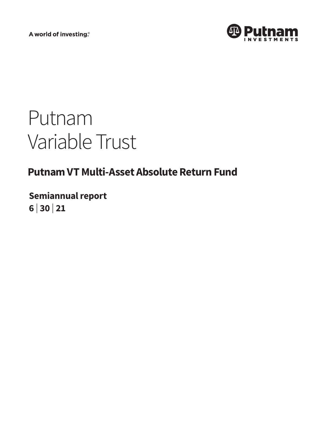A world of investing®



# Putnam Variable Trust

# **Putnam VT Multi-Asset Absolute Return Fund**

**Semiannual report 6 <sup>|</sup> 30 <sup>|</sup> 21**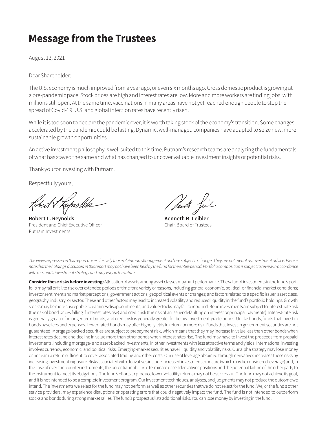# **Message from the Trustees**

August 12, 2021

Dear Shareholder:

The U.S. economy is much improved from a year ago, or even six months ago. Gross domestic product is growing at a pre-pandemic pace. Stock prices are high and interest rates are low. More and more workers are finding jobs, with millions still open. At the same time, vaccinations in many areas have not yet reached enough people to stop the spread of Covid-19. U.S. and global infection rates have recently risen.

While it is too soon to declare the pandemic over, it is worth taking stock of the economy's transition. Some changes accelerated by the pandemic could be lasting. Dynamic, well-managed companies have adapted to seize new, more sustainable growth opportunities.

An active investment philosophy is well suited to this time. Putnam's research teams are analyzing the fundamentals of what has stayed the same and what has changed to uncover valuable investment insights or potential risks.

Thank you for investing with Putnam.

Respectfully yours,

**Robert L. Reynolds Kenneth R. Leibler** President and Chief Executive Officer Chair, Board of Trustees Putnam Investments

*The views expressed in this report are exclusively those of Putnam Management and are subject to change. They are not meant as investment advice. Please note that the holdings discussed in this report may not have been held by the fund for the entire period. Portfolio composition is subject to review in accordance with the fund's investment strategy and may vary in the future.*

**Consider these risks before investing:** Allocation of assets among asset classes may hurt performance. The value of investments in the fund's portfolio may fall or fail to rise over extended periods of time for a variety of reasons, including general economic, political, or financial market conditions; investor sentiment and market perceptions; government actions; geopolitical events or changes; and factors related to a specific issuer, asset class, geography, industry, or sector. These and other factors may lead to increased volatility and reduced liquidity in the fund's portfolio holdings. Growth stocks may be more susceptible to earnings disappointments, and value stocks may fail to rebound. Bond investments are subject to interest-rate risk (the risk of bond prices falling if interest rates rise) and credit risk (the risk of an issuer defaulting on interest or principal payments). Interest-rate risk is generally greater for longer-term bonds, and credit risk is generally greater for below-investment-grade bonds. Unlike bonds, funds that invest in bonds have fees and expenses. Lower-rated bonds may offer higher yields in return for more risk. Funds that invest in government securities are not guaranteed. Mortgage-backed securities are subject to prepayment risk, which means that they may increase in value less than other bonds when interest rates decline and decline in value more than other bonds when interest rates rise. The fund may have to invest the proceeds from prepaid investments, including mortgage- and asset-backed investments, in other investments with less attractive terms and yields. International investing involves currency, economic, and political risks. Emerging-market securities have illiquidity and volatility risks. Our alpha strategy may lose money or not earn a return sufficient to cover associated trading and other costs. Our use of leverage obtained through derivatives increases these risks by increasing investment exposure. Risks associated with derivatives include increased investment exposure (which may be considered leverage) and, in the case of over-the-counter instruments, the potential inability to terminate or sell derivatives positions and the potential failure of the other party to the instrument to meet its obligations. The fund's efforts to produce lower-volatility returns may not be successful. The fund may not achieve its goal, and it is not intended to be a complete investment program. Our investment techniques, analyses, and judgments may not produce the outcome we intend. The investments we select for the fund may not perform as well as other securities that we do not select for the fund. We, or the fund's other service providers, may experience disruptions or operating errors that could negatively impact the fund. The fund is not intended to outperform stocks and bonds during strong market rallies. The fund's prospectus lists additional risks. You can lose money by investing in the fund.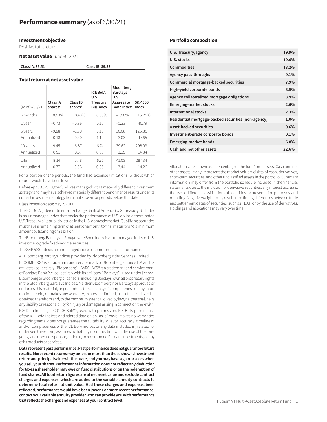#### **Investment objective**

Positive total return

**Net asset value** June 30, 2021

| Class IA: \$9.51 |  |  |  |
|------------------|--|--|--|
|------------------|--|--|--|

**Class IA: \$9.51 Class IB: \$9.33**

#### **Total return at net asset value**

| (as of 6/30/21) | Class IA<br>shares* | Class IB<br>shares* | <b>ICE BofA</b><br>U.S.<br>Treasury<br><b>Bill Index</b> | <b>Bloomberg</b><br><b>Barclays</b><br>U.S.<br>Aggregate<br><b>Bond Index</b> | S&P 500<br>Index |
|-----------------|---------------------|---------------------|----------------------------------------------------------|-------------------------------------------------------------------------------|------------------|
| 6 months        | 0.63%               | 0.43%               | 0.03%                                                    | $-1.60%$                                                                      | 15.25%           |
| 1 year          | $-0.73$             | $-0.96$             | 0.10                                                     | $-0.33$                                                                       | 40.79            |
| 5 years         | $-0.88$             | $-1.98$             | 6.10                                                     | 16.08                                                                         | 125.36           |
| Annualized      | $-0.18$             | $-0.40$             | 1.19                                                     | 3.03                                                                          | 17.65            |
| 10 years        | 9.45                | 6.87                | 6.74                                                     | 39.62                                                                         | 298.93           |
| Annualized      | 0.91                | 0.67                | 0.65                                                     | 3.39                                                                          | 14.84            |
| l ife           | 8.14                | 5.48                | 6.76                                                     | 41.03                                                                         | 287.84           |
| Annualized      | 0.77                | 0.53                | 0.65                                                     | 3.44                                                                          | 14.26            |

For a portion of the periods, the fund had expense limitations, without which returns would have been lower.

Before April 30, 2018, the fund was managed with a materially different investment strategy and may have achieved materially different performance results under its current investment strategy from that shown for periods before this date.

\* Class inception date: May 2, 2011.

The ICE BofA (Intercontinental Exchange Bank of America) U.S. Treasury Bill Index is an unmanaged index that tracks the performance of U.S.-dollar-denominated U.S. Treasury bills publicly issued in the U.S. domestic market. Qualifying securities must have a remaining term of at least one month to final maturity and a minimum amount outstanding of \$1 billion.

The Bloomberg Barclays U.S. Aggregate Bond Index is an unmanaged index of U.S. investment-grade fixed-income securities.

The S&P 500 Index is an unmanaged index of common stock performance.

All Bloomberg Barclays indices provided by Bloomberg Index Services Limited.

BLOOMBERG® is a trademark and service mark of Bloomberg Finance L.P. and its affiliates (collectively "Bloomberg"). BARCLAYS® is a trademark and service mark of Barclays Bank Plc (collectively with its affiliates, "Barclays"), used under license. Bloomberg or Bloomberg's licensors, including Barclays, own all proprietary rights in the Bloomberg Barclays Indices. Neither Bloomberg nor Barclays approves or endorses this material, or guarantees the accuracy of completeness of any information herein, or makes any warranty, express or limited, as to the results to be obtained therefrom and, to the maximum extent allowed by law, neither shall have any liability or responsibility for injury or damages arising in connection therewith.

ICE Data Indices, LLC ("ICE BofA"), used with permission. ICE BofA permits use of the ICE BofA indices and related data on an "as is" basis; makes no warranties regarding same; does not guarantee the suitability, quality, accuracy, timeliness, and/or completeness of the ICE BofA indices or any data included in, related to, or derived therefrom; assumes no liability in connection with the use of the foregoing; and does not sponsor, endorse, or recommend Putnam Investments, or any of its products or services.

**Data represent past performance. Past performance does not guarantee future results. More recent returns may be less or more than those shown. Investment return and principal value will fluctuate, and you may have a gain or a loss when you sell your shares. Performance information does not reflect any deduction for taxes a shareholder may owe on fund distributions or on the redemption of fund shares. All total return figures are at net asset value and exclude contract charges and expenses, which are added to the variable annuity contracts to determine total return at unit value. Had these charges and expenses been reflected, performance would have been lower. For more recent performance, contact your variable annuity provider who can provide you with performance that reflects the charges and expenses at your contract level.**

#### **Portfolio composition**

| U.S. Treasury/agency                                | 19.9%   |
|-----------------------------------------------------|---------|
| U.S. stocks                                         | 19.6%   |
| Commodities                                         | 13.2%   |
| Agency pass-throughs                                | $9.1\%$ |
| Commercial mortgage-backed securities               | 7.9%    |
| High-yield corporate bonds                          | $3.9\%$ |
| Agency collateralized mortgage obligations          | $3.9\%$ |
| <b>Emerging-market stocks</b>                       | 2.6%    |
| International stocks                                | 2.3%    |
| Residential mortgage-backed securities (non-agency) | 1.0%    |
| <b>Asset-backed securities</b>                      | 0.6%    |
| Investment-grade corporate bonds                    | $0.1\%$ |
| Emerging-market bonds                               | $-6.8%$ |
| Cash and net other assets                           | 22.6%   |
|                                                     |         |

Allocations are shown as a percentage of the fund's net assets. Cash and net other assets, if any, represent the market value weights of cash, derivatives, short-term securities, and other unclassified assets in the portfolio. Summary information may differ from the portfolio schedule included in the financial statements due to the inclusion of derivative securities, any interest accruals, the use of different classifications of securities for presentation purposes, and rounding. Negative weights may result from timing differences between trade and settlement dates of securities, such as TBAs, or by the use of derivatives. Holdings and allocations may vary over time.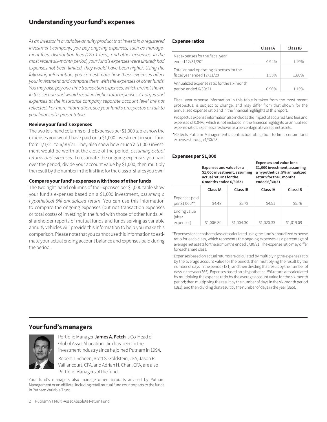# **Understanding your fund's expenses**

*As an investor in a variable annuity product that invests in a registered investment company, you pay ongoing expenses, such as management fees, distribution fees (12b-1 fees), and other expenses. In the most recent six-month period, your fund's expenses were limited; had expenses not been limited, they would have been higher. Using the following information, you can estimate how these expenses affect your investment and compare them with the expenses of other funds. You may also pay one-time transaction expenses, which are not shown in this section and would result in higher total expenses. Charges and expenses at the insurance company separate account level are not reflected. For more information, see your fund's prospectus or talk to your financial representative.*

#### **Review your fund's expenses**

The two left-hand columns of the Expenses per \$1,000 table show the expenses you would have paid on a \$1,000 investment in your fund from  $1/1/21$  to  $6/30/21$ . They also show how much a \$1,000 investment would be worth at the close of the period, *assuming actual returns and expenses*. To estimate the ongoing expenses you paid over the period, divide your account value by \$1,000, then multiply the result by the number in the first line for the class of shares you own.

#### **Compare your fund's expenses with those of other funds**

The two right-hand columns of the Expenses per \$1,000 table show your fund's expenses based on a \$1,000 investment, *assuming a hypothetical 5% annualized return*. You can use this information to compare the ongoing expenses (but not transaction expenses or total costs) of investing in the fund with those of other funds. All shareholder reports of mutual funds and funds serving as variable annuity vehicles will provide this information to help you make this comparison. Please note that you cannot use this information to estimate your actual ending account balance and expenses paid during the period.

#### **Expense ratios**

|                                                                       | Class IA | Class IB |
|-----------------------------------------------------------------------|----------|----------|
| Net expenses for the fiscal year<br>ended 12/31/20*                   | 0.94%    | 119%     |
| Total annual operating expenses for the<br>fiscal year ended 12/31/20 | 1.55%    | 1.80%    |
| Annualized expense ratio for the six-month<br>period ended 6/30/21    | $0.90\%$ | 1.15%    |

Fiscal year expense information in this table is taken from the most recent prospectus, is subject to change, and may differ from that shown for the annualized expense ratio and in the financial highlights of this report.

Prospectus expense information also includes the impact of acquired fund fees and expenses of 0.04%, which is not included in the financial highlights or annualized expense ratios. Expenses are shown as a percentage of average net assets.

 \*Reflects Putnam Management's contractual obligation to limit certain fund expenses through 4/30/23.

#### **Expenses per \$1,000**

|                                     | Expenses and value for a<br>\$1,000 investment, assuming<br>actual returns for the<br>6 months ended 6/30/21 |            | Expenses and value for a<br>\$1,000 investment, assuming<br>return for the 6 months<br>ended 6/30/21 | a hypothetical 5% annualized |
|-------------------------------------|--------------------------------------------------------------------------------------------------------------|------------|------------------------------------------------------------------------------------------------------|------------------------------|
|                                     | Class IA                                                                                                     | Class IB   | Class IA                                                                                             | Class IB                     |
| Expenses paid<br>per \$1,000*†      | \$4.48                                                                                                       | \$5.72     | \$4.51                                                                                               | \$5.76                       |
| Ending value<br>(after<br>expenses) | \$1,006.30                                                                                                   | \$1,004.30 | \$1,020.33                                                                                           | \$1,019.09                   |

\*Expenses for each share class are calculated using the fund's annualized expense ratio for each class, which represents the ongoing expenses as a percentage of average net assets for the six months ended 6/30/21. The expense ratio may differ for each share class.

†Expenses based on actual returns are calculated by multiplying the expense ratio by the average account value for the period; then multiplying the result by the number of days in the period (181); and then dividing that result by the number of days in the year (365). Expenses based on a hypothetical 5% return are calculated by multiplying the expense ratio by the average account value for the six-month period; then multiplying the result by the number of days in the six-month period (181); and then dividing that result by the number of days in the year (365).

### **Your fund's managers**



Portfolio Manager **James A. Fetch** is Co-Head of Global Asset Allocation. Jim has been in the investment industry since he joined Putnam in 1994. Robert J. Schoen, Brett S. Goldstein, CFA, Jason R.

Vaillancourt, CFA, and Adrian H. Chan, CFA, are also Portfolio Managers of the fund.

Your fund's managers also manage other accounts advised by Putnam Management or an affiliate, including retail mutual fund counterparts to the funds in Putnam Variable Trust.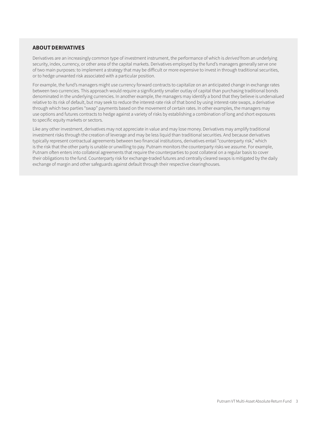#### **ABOUT DERIVATIVES**

Derivatives are an increasingly common type of investment instrument, the performance of which is *derived* from an underlying security, index, currency, or other area of the capital markets. Derivatives employed by the fund's managers generally serve one of two main purposes: to implement a strategy that may be difficult or more expensive to invest in through traditional securities, or to hedge unwanted risk associated with a particular position.

For example, the fund's managers might use currency forward contracts to capitalize on an anticipated change in exchange rates between two currencies. This approach would require a significantly smaller outlay of capital than purchasing traditional bonds denominated in the underlying currencies. In another example, the managers may identify a bond that they believe is undervalued relative to its risk of default, but may seek to reduce the interest-rate risk of that bond by using interest-rate swaps, a derivative through which two parties "swap" payments based on the movement of certain rates. In other examples, the managers may use options and futures contracts to hedge against a variety of risks by establishing a combination of long and short exposures to specific equity markets or sectors.

Like any other investment, derivatives may not appreciate in value and may lose money. Derivatives may amplify traditional investment risks through the creation of leverage and may be less liquid than traditional securities. And because derivatives typically represent contractual agreements between two financial institutions, derivatives entail "counterparty risk," which is the risk that the other party is unable or unwilling to pay. Putnam monitors the counterparty risks we assume. For example, Putnam often enters into collateral agreements that require the counterparties to post collateral on a regular basis to cover their obligations to the fund. Counterparty risk for exchange-traded futures and centrally cleared swaps is mitigated by the daily exchange of margin and other safeguards against default through their respective clearinghouses.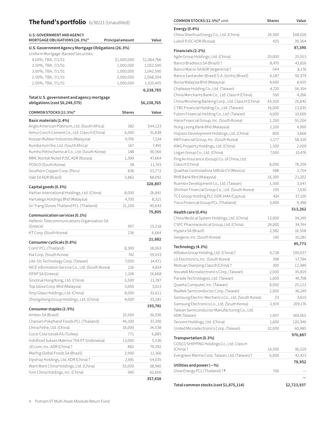# **COMMON STOCKS (11.5%)\*** *common STOCKS* **(11.5%)\*** *cont.* **Shares Value <b>COMMON STOCKS** (11.5%)\* *cont.* Shares Value

| <b>U.S. GOVERNMENT AND AGENCY</b><br>MORTGAGE OBLIGATIONS (26.3%)*          | <b>Principal amount</b> | Value                    |
|-----------------------------------------------------------------------------|-------------------------|--------------------------|
| U.S. Government Agency Mortgage Obligations (26.3%)                         |                         |                          |
| Uniform Mortgage-Backed Securities                                          |                         |                          |
| 4.00%, TBA, 7/1/51                                                          | \$1,000,000             | \$1,064,766              |
| 3.50%, TBA, 7/1/51                                                          | 1,000,000               | 1,052,500                |
| 3.00%, TBA, 7/1/51                                                          | 1,000,000               | 1,042,500                |
| 2.50%, TBA, 7/1/51                                                          | 2,000,000               | 2,068,594                |
| 2.00%, TBA, 7/1/51                                                          | 1,000,000               | 1,010,405                |
| Total U.S. government and agency mortgage<br>obligations (cost \$6,248,575) |                         | 6,238,765<br>\$6,238,765 |
| COMMON STOCKS (11.5%)*                                                      | <b>Shares</b>           | Value                    |
| Basic materials (1.4%)                                                      |                         |                          |
| Anglo American Platinum, Ltd. (South Africa)                                | 382                     | \$44,123                 |
| Anhui Conch Cement Co., Ltd. Class H (China)                                | 6,000                   | 31,838                   |
| Kossan Rubber Industries (Malaysia)                                         | 9,700                   | 7,524                    |
| Kumba Iron Ore, Ltd. (South Africa)                                         | 167                     | 7,491                    |
| Kumho Petrochemical Co., Ltd. (South Korea)                                 | 188                     | 36,560                   |
| MMC Norilsk Nickel PJSC ADR (Russia)                                        | 1,399                   | 47,664                   |
| POSCO (South Korea)                                                         | 38                      | 11,743                   |
| Southern Copper Corp. (Peru)                                                | 836                     | 53,772                   |
| Vale SAADR (Brazil)                                                         | 3,862                   | 88,092                   |
|                                                                             |                         | 328,807                  |
| Capital goods (0.3%)<br>Haitian International Holdings, Ltd. (China)        | 8,000                   | 26,841                   |
| Hartalega Holdings Bhd (Malaysia)                                           | 4,700                   | 8,321                    |
| Sri Trang Gloves Thailand PCL (Thailand)                                    | 31,200                  | 40,643                   |
|                                                                             |                         | 75,805                   |
| Communication services (0.1%)                                               |                         |                          |
| Hellenic Telecommunications Organization SA                                 | 907                     |                          |
| (Greece)<br>KT Corp. (South Korea)                                          | 236                     | 15,218<br>6,664          |
|                                                                             |                         | 21,882                   |
| Consumer cyclicals (0.8%)                                                   |                         |                          |
| Com7 PCL (Thailand)                                                         | 8,300                   | 18,063                   |
| Kia Corp. (South Korea)                                                     | 742                     | 59,033                   |
| Lite-On Technology Corp. (Taiwan)                                           | 7,000                   | 14,471                   |
| NICE Information Service Co., Ltd. (South Korea)                            | 216                     | 4,814                    |
| OPAP SA (Greece)                                                            | 1,106                   | 16,668                   |
| Sinotruk Hong Kong, Ltd. (China)                                            | 5,500                   | 11,787                   |
| Top Glove Corp. Bhd (Malaysia)                                              | 3,000                   | 3,013                    |
| Xinyi Glass Holdings, Ltd. (China)                                          | 8,000                   | 32,611                   |
| Zhongsheng Group Holdings, Ltd. (China)                                     | 4,000                   | 33,281                   |
| Consumer staples (1.5%)                                                     |                         | 193,741                  |
| Ambev SA (Brazil)                                                           | 10,500                  | 36,036                   |
| Charoen Pokphand Foods PCL (Thailand)                                       | 45,100                  | 37,290                   |
| China Feihe, Ltd. (China)                                                   | 16,000                  | 34,538                   |
| Coca-Cola Icecek AS (Turkey)                                                | 771                     | 6,885                    |
| Indofood Sukses Makmur Tbk PT (Indonesia)                                   | 13,000                  | 5,536                    |
| JD.com, Inc. ADR (China) †                                                  | 882                     | 70,392                   |
| Marfrig Global Foods SA (Brazil)                                            | 2,900                   | 11,160                   |
| Vipshop Holdings, Ltd. ADR (China) †                                        | 2,691                   | 54,035                   |
| Want Want China Holdings, Ltd. (China)                                      | 55,000                  | 38,960                   |
| Yum China Holdings, Inc. (China)                                            | 945                     | 62,606                   |
|                                                                             |                         | 357,438                  |

| COMMON STOCKS (11.5%)" CONT.                                                    | <b>Shares</b> | value             |
|---------------------------------------------------------------------------------|---------------|-------------------|
| Energy (0.4%)                                                                   |               |                   |
| China Shenhua Energy Co., Ltd. (China)                                          | 24,500        | \$48,026          |
| Lukoil PJSC ADR (Russia)                                                        | 425           | 39,364            |
| Financials (2.2%)                                                               |               | 87,390            |
| Agile Group Holdings, Ltd. (China)                                              | 20,000        | 25,913            |
| Banco Bradesco SA (Brazil) †                                                    | 8,470         | 43,816            |
| Banco Macro SAADR (Argentina) †                                                 | 544           | 8,176             |
| Banco Santander (Brasil) S.A. (Units) (Brazil)                                  | 6,187         | 50,379            |
| Bursa Malaysia Bhd (Malaysia)                                                   | 4,400         | 8,405             |
| Chailease Holding Co., Ltd. (Taiwan)                                            | 4,720         | 34,304            |
| China Merchants Bank Co., Ltd. Class H (China)                                  | 500           | 4,266             |
| China Minsheng Banking Corp., Ltd. Class H (China)                              | 43,500        | 20,842            |
| CTBC Financial Holding Co., Ltd. (Taiwan)                                       | 16,000        | 13,035            |
| Fubon Financial Holding Co., Ltd. (Taiwan)                                      | 4,000         | 10,609            |
| Hana Financial Group, Inc. (South Korea)                                        | 1,350         | 55,204            |
| Hong Leong Bank Bhd (Malaysia)                                                  | 1,100         | 4,960             |
| Hopson Development Holdings, Ltd. (China)                                       | 800           | 3,668             |
| KB Financial Group, Inc. (South Korea)                                          | 1,177         | 58,320            |
| KWG Property Holdings, Ltd. (China)                                             | 1,500         | 2,009             |
| Logan Group Co., Ltd. (China)                                                   | 7,000         | 10,476            |
| Ping An Insurance (Group) Co. of China, Ltd.                                    |               |                   |
| Class H (China)                                                                 | 8,000         | 78,359            |
| Qualitas Controladora SAB de CV (Mexico)                                        | 588           | 2,754             |
| RHB Bank Bhd (Malaysia)                                                         | 16,300        | 21,202            |
| Ruentex Development Co., Ltd. (Taiwan)                                          | 1,500         | 3,047             |
| Shinhan Financial Group Co., Ltd. (South Korea)                                 | 195           | 7,030             |
| TCS Group Holding PLC GDR 144A (Cyprus)<br>Tisco Financial Group PCL (Thailand) | 424           | 37,100            |
|                                                                                 | 3,400         | 9,388<br>513,262  |
| Health care (0.4%)                                                              |               |                   |
| China Medical System Holdings, Ltd. (China)                                     | 13,000        | 34,240            |
| CSPC Pharmaceutical Group, Ltd. (China)                                         | 24,000        | 34,744            |
| Hypera SA (Brazil)                                                              | 2,382         | 16,508            |
| Seegene, Inc. (South Korea)                                                     | 140           | 10,281            |
| Technology (4.1%)                                                               |               | 95,773            |
| Alibaba Group Holding, Ltd. (China) †                                           | 6,728         | 190,637           |
| LG Electronics, Inc. (South Korea)                                              | 398           | 57,784            |
| Meituan Dianping Class B (China) †                                              | 300           | 12,380            |
| Novatek Microelectronics Corp. (Taiwan)                                         | 2,000         | 35,819            |
|                                                                                 | 1,000         | 49,708            |
| Parade Technologies, Ltd. (Taiwan)                                              |               |                   |
| Quanta Computer, Inc. (Taiwan)                                                  | 8,000         | 25,123            |
| Realtek Semiconductor Corp. (Taiwan)                                            | 2,000         | 36,249            |
| Samsung Electro-Mechanics Co., Ltd. (South Korea)                               | 23            | 3,615             |
| Samsung Electronics Co., Ltd. (South Korea)                                     | 2,919         | 209,176           |
| Taiwan Semiconductor Manufacturing Co., Ltd.                                    |               |                   |
| ADR (Taiwan)                                                                    | 1,407         | 169,065           |
| Tencent Holdings, Ltd. (China)                                                  | 1,600         | 120,346           |
| United Microelectronics Corp. (Taiwan)                                          | 32,000        | 60,985<br>970,887 |
| Transportation (0.3%)                                                           |               |                   |
| COSCO SHIPPING Holdings Co., Ltd. Class H<br>(China)†                           | 14,500        | 36,529            |
| Evergreen Marine Corp. Taiwan, Ltd. (Taiwan) †                                  | 6,000         | 42,423            |
|                                                                                 |               | 78,952            |
| Utilities and power $(-%)$<br>Glow Energy PCL (Thailand)   F                    | 700           |                   |

**Total common stocks (cost \$1,875,114) \$2,723,937**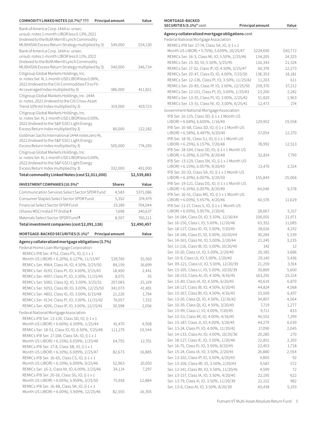| COMMODITY LINKED NOTES (10.7%)* †††                                                           | <b>Principal amount</b> | Value       |
|-----------------------------------------------------------------------------------------------|-------------------------|-------------|
| Bank of America Corp. 144A sr. unsec.                                                         |                         |             |
| unsub. notes 1-month LIBOR less 0.13%, 2021                                                   |                         |             |
| (Indexed to the BofA Merrill Lynch Commodity                                                  |                         |             |
| MLBX4SX6 Excess Return Strategy multiplied by 3)                                              | \$49,000                | \$54,130    |
| Bank of America Corp. 144A sr. unsec.                                                         |                         |             |
| unsub. notes 1-month LIBOR less 0.11%, 2022                                                   |                         |             |
| (Indexed to the BofA Merrill Lynch Commodity                                                  |                         |             |
| MLBX4SX6 Excess Return Strategy multiplied by 3)                                              | 340,000                 | 346,734     |
| Citigroup Global Markets Holdings, Inc.                                                       |                         |             |
| sr. notes Ser. N, 1-month USD LIBOR less 0.06%,                                               |                         |             |
| 2022 (Indexed to the Citi Commodities F3 vs F0 -                                              |                         |             |
| 4x Leveraged Index multiplied by 3)                                                           | 386,000                 | 411,821     |
| Citigroup Global Markets Holdings, Inc. 144A                                                  |                         |             |
| sr. notes, 2021 (Indexed to the Citi Cross-Asset                                              |                         |             |
| Trend 10% Vol Index multiplied by 3)                                                          | 319,000                 | 429,723     |
| Citigroup Global Markets Holdings, Inc.                                                       |                         |             |
| sr. notes Ser. N, 1-month USD LIBOR less 0.05%,<br>2022 (Indexed to the S&P GSCI Light Energy |                         |             |
| Excess Return Index multiplied by 3)                                                          | 80,000                  | 122,182     |
|                                                                                               |                         |             |
| Goldman Sachs International 144A notes zero %,<br>2022 (Indexed to the S&P GSCI Light Energy  |                         |             |
| Excess Return Index multiplied by 3)                                                          | 505,000                 | 774,293     |
| Citigroup Global Markets Holdings, Inc.                                                       |                         |             |
| sr. notes Ser. N, 1-month USD LIBOR less 0.06%,                                               |                         |             |
| 2022 (Indexed to the S&P GSCI Light Energy                                                    |                         |             |
| Excess Return Index multiplied by 3)                                                          | 332,000                 | 401,000     |
| Total commodity Linked Notes (cost \$2,011,000)                                               |                         | \$2,539,883 |
|                                                                                               |                         |             |
| INVESTMENT COMPANIES (10.5%)*                                                                 | <b>Shares</b>           | Value       |
| Communication Services Select Sector SPDR Fund                                                | 4,583                   | \$371,086   |
| Consumer Staples Select Sector SPDR Fund                                                      | 5,352                   | 374,479     |
| Financial Select Sector SPDR Fund                                                             | 19,189                  | 704,044     |
| iShares MSCI India ETF (India) <b>s</b>                                                       | 7,698                   | 340,637     |
| Materials Select Sector SPDR Fund S                                                           | 8,507                   | 700,211     |
| Total investment companies (cost \$2,091,126)                                                 |                         | \$2,490,457 |
|                                                                                               |                         |             |
| MORTGAGE-BACKED SECURITIES (5.1%)*                                                            | <b>Principal amount</b> | Value       |
| Agency collateralized mortgage obligations (3.7%)                                             |                         |             |
| Federal Home Loan Mortgage Corporation                                                        |                         |             |
| REMICs IFB Ser. 4752, Class PS, IO, ((-1 x 1                                                  |                         |             |
| Month US LIBOR) + 6.20%), 6.127%, 11/15/47                                                    | \$39,740                | \$5,910     |
| REMICs Ser. 4964, Class IA, IO, 4.50%, 3/25/50                                                | 84,159                  | 16,699      |
| REMICs Ser. 4193, Class PI, IO, 4.00%, 3/15/43                                                |                         |             |
| REMICs Ser. 4097, Class PI, IO, 3.50%, 11/15/40                                               | 18,400                  | 2,441       |
|                                                                                               | 8,075                   | 35          |
| REMICs Ser. 5082, Class IQ, IO, 3.00%, 3/25/51                                                | 207,083                 | 25,109      |
| REMICs Ser. 5053, Class IB, IO, 3.00%, 12/25/50                                               | 341,073                 | 41,491      |
| REMICs Ser. 4801, Class IG, IO, 3.00%, 6/15/48                                                | 21,226                  | 1,794       |
| REMICs Ser. 4134, Class PI, IO, 3.00%, 11/15/42                                               | 74,057                  | 7,332       |
| REMICs Ser. 4206, Class IP, IO, 3.00%, 12/15/41                                               | 30,598                  | 2,056       |
|                                                                                               |                         |             |
| Federal National Mortgage Association                                                         |                         |             |
| REMICs IFB Ser. 13-130, Class SD, IO, ((-1 x 1                                                |                         | 9,508       |
| Month US LIBOR) + 6.60%), 6.509%, 1/25/44                                                     | 41,470                  |             |
| REMICs Ser. 18-51, Class IO, IO, 6.50%, 7/25/48                                               | 111,179                 | 19,544      |
| REMICs IFB Ser. 17-108, Class SA, IO, ((-1 x 1)<br>Month US LIBOR) + 6.15%), 6.059%, 1/25/48  | 64,755                  | 12,701      |
| REMICs IFB Ser. 17-8, Class SB, IO, ((-1 x 1                                                  |                         |             |
| Month US LIBOR) + 6.10%), 6.009%, 2/25/47                                                     | 82,673                  | 16,885      |
| REMICs IFB Ser. 16-65, Class CS, IO, ((-1 x 1                                                 |                         |             |
| Month US LIBOR) + 6.10%), 6.009%, 9/25/46                                                     | 52,963                  | 10,050      |
| REMICs Ser. 16-3, Class NI, IO, 6.00%, 2/25/46                                                | 34,114                  | 7,297       |
| REMICs IFB Ser. 20-16, Class SG, IO, ((-1 x 1                                                 |                         |             |
| Month US LIBOR) + 6.05%), 5.959%, 3/25/50                                                     | 75,918                  | 12,884      |
| REMICs IFB Ser. 16-88, Class SK, IO, ((-1 x 1<br>Month US LIBOR) + 6.00%), 5.909%, 12/25/46   | 82,555                  | 16,305      |

| MORTGAGE-BACKED<br>SECURITIES (5.1%)* cont.                                         | <b>Principal amount</b> | Value    |
|-------------------------------------------------------------------------------------|-------------------------|----------|
| Agency collateralized mortgage obligations cont.                                    |                         |          |
| Federal National Mortgage Association                                               |                         |          |
| REMICs IFB Ser. 17-74, Class SA, IO, ((-1 x 1                                       |                         |          |
| Month US LIBOR) + 5.75%), 5.659%, 10/25/47                                          | \$224,690               | \$40,772 |
| REMICs Ser. 16-3, Class MI, IO, 5.50%, 2/25/46                                      | 134,205                 | 24,325   |
| REMICs Ser. 15-30, IO, 5.50%, 5/25/45                                               | 116,343                 | 21,524   |
| REMICs Ser. 17-32, Class IP, IO, 4.50%, 5/25/47                                     | 60,376                  | 12,273   |
| REMICs Ser. 20-47, Class ID, IO, 4.00%, 7/25/50                                     | 138,353                 | 18,181   |
| REMICs Ser. 12-136, Class PI, IO, 3.50%, 11/25/42                                   | 11,203                  | 611      |
| REMICs Ser. 20-85, Class IP, IO, 3.00%, 12/25/50                                    | 259,370                 | 37,212   |
| REMICs Ser. 12-151, Class PI, IO, 3.00%, 1/25/43                                    | 23,200                  | 2,242    |
| REMICs Ser. 13-35, Class PI, IO, 3.00%, 2/25/42                                     | 51,820                  | 1,963    |
| REMICs Ser. 13-31, Class NI, IO, 3.00%, 6/25/41                                     | 12,473                  | 274      |
| Government National Mortgage Association                                            |                         |          |
| IFB Ser. 10-125, Class SD, ((-1 x 1 Month US                                        |                         |          |
| LIBOR) + 6.68%), 6.605%, 1/16/40                                                    | 129,952                 | 19,558   |
| IFB Ser. 10-68, Class SD, IO, ((-1 x 1 Month US                                     |                         |          |
| LIBOR) + 6.58%), 6.487%, 6/20/40                                                    | 57,054                  | 12,370   |
| IFB Ser. 18-91, Class SJ, IO, ((-1 x 1 Month US                                     |                         |          |
| LIBOR) + 6.25%), 6.157%, 7/20/48                                                    | 78,992                  | 12,513   |
| IFB Ser. 18-104, Class SD, IO, ((-1 x 1 Month US                                    |                         |          |
| LIBOR) + 6.20%), 6.107%, 8/20/48                                                    | 52,814                  | 7,790    |
| IFB Ser. 13-129, Class SN, IO, ((-1 x 1 Month US                                    |                         |          |
| LIBOR) + 6.15%), 6.057%, 9/20/43<br>IFB Ser. 20-33, Class SA, IO, ((-1 x 1 Month US | 13,470                  | 2,514    |
| LIBOR) + 6.10%), 6.007%, 3/20/50                                                    | 155,843                 | 25,066   |
| IFB Ser. 19-121, Class DS, IO, ((-1 x 1 Month US                                    |                         |          |
| LIBOR) + 6.10%), 6.007%, 8/20/49                                                    | 64,046                  | 9,378    |
| IFB Ser. 16-51, Class MS, IO, ((-1 x 1 Month US                                     |                         |          |
| LIBOR) + 6.05%), 5.957%, 4/20/46                                                    | 60,576                  | 11,629   |
| IFB Ser. 11-17, Class S, IO, ((-1 x 1 Month US                                      |                         |          |
| LIBOR) + 6.05%), 5.957%, 2/20/41                                                    | 28,667                  | 5,317    |
| Ser. 14-184, Class DI, IO, 5.50%, 12/16/44                                          | 106,001                 | 21,971   |
| Ser. 16-150, Class I, IO, 5.00%, 11/20/46                                           | 63,352                  | 11,085   |
| Ser. 18-127, Class ID, IO, 5.00%, 7/20/45                                           | 28,616                  | 4,192    |
| Ser. 14-146, Class EI, IO, 5.00%, 10/20/44                                          | 30,284                  | 5,539    |
| Ser. 14-163, Class NI, IO, 5.00%, 2/20/44                                           | 21,245                  | 3,235    |
| Ser. 11-116, Class IB, IO, 5.00%, 10/20/40                                          | 142                     | 12       |
| Ser. 10-20, Class UI, IO, 5.00%, 2/20/40                                            | 20,185                  | 3,686    |
| Ser. 10-9, Class UI, IO, 5.00%, 1/20/40                                             | 29,140                  | 5,436    |
| Ser. 09-121, Class UI, IO, 5.00%, 12/20/39                                          | 21,259                  | 3,914    |
| Ser. 15-105, Class LI, IO, 5.00%, 10/20/39                                          | 30,869                  | 5,600    |
| Ser. 18-153, Class AI, IO, 4.50%, 9/16/45                                           | 163,291                 | 25,514   |
| Ser. 15-80, Class IA, IO, 4.50%, 6/20/45                                            | 40,619                  | 6,870    |
| Ser. 18-127, Class IB, IO, 4.50%, 6/20/45                                           | 44,824                  | 4,568    |
| Ser. 15-167, Class BI, IO, 4.50%, 4/16/45                                           | 33,509                  | 6,437    |
| Ser. 13-20, Class QI, IO, 4.50%, 12/16/42                                           | 34,807                  | 4,564    |
| Ser. 10-35, Class QI, IO, 4.50%, 3/20/40                                            | 7,719                   | 1,277    |
| Ser. 15-99, Class LI, IO, 4.00%, 7/20/45                                            | 9,711                   | 833      |
| Ser. 15-53, Class MI, IO, 4.00%, 4/16/45                                            | 40,552                  | 7,299    |
| Ser. 15-187, Class JI, IO, 4.00%, 3/20/45                                           | 44,279                  | 6,039    |
| Ser. 13-24, Class PI, IO, 4.00%, 11/20/42                                           | 17,090                  | 2,045    |
| Ser. 14-133, Class AI, IO, 4.00%, 10/20/36                                          | 20,285                  | 270      |
| Ser. 18-127, Class IE, IO, 3.50%, 1/20/46                                           | 22,851                  | 2,203    |
| Ser. 16-75, Class EI, IO, 3.50%, 8/20/45                                            | 22,453                  | 1,718    |
| Ser. 15-24, Class IA, IO, 3.50%, 2/20/45                                            | 26,880                  | 2,554    |
| Ser. 13-102, Class IP, IO, 3.50%, 6/20/43                                           | 4,805                   | 92       |
| Ser. 13-100, Class MI, IO, 3.50%, 2/20/43                                           | 9,587                   | 572      |
| Ser. 12-141, Class WI, IO, 3.50%, 11/20/41                                          | 4,599                   | 72       |
| Ser. 13-157, Class IA, IO, 3.50%, 4/20/40                                           | 22,195                  | 622      |
| Ser. 13-79, Class XI, IO, 3.50%, 11/20/39                                           | 21,152                  | 982      |
| Ser. 13-6, Class AI, IO, 3.50%, 8/20/39                                             | 65,438                  | 5,193    |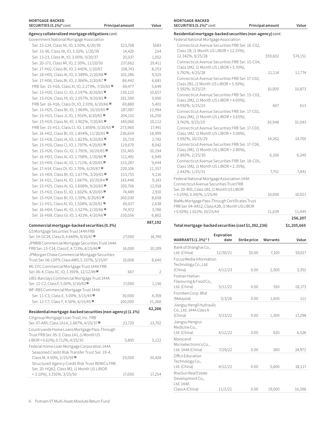| MORTGAGE-BACKED<br>SECURITIES (5.1%)* cont.                                                           | <b>Principal amount</b> | Value   |
|-------------------------------------------------------------------------------------------------------|-------------------------|---------|
| Agency collateralized mortgage obligations cont.                                                      |                         |         |
| Government National Mortgage Association                                                              |                         |         |
| Ser. 15-124, Class NI, IO, 3.50%, 6/20/39                                                             | \$23,708                | \$683   |
| Ser. 15-96, Class NI, IO, 3.50%, 1/20/39                                                              | 14,420                  | 254     |
| Ser. 13-23, Class IK, IO, 3.00%, 9/20/37                                                              | 20,037                  | 1,052   |
| Ser. 20-173, Class MI, IO, 2.50%, 11/20/50                                                            | 237,662                 | 29,411  |
| Ser. 17-H02, Class BI, IO, 2.441%, 1/20/67                                                            | 108,743                 | 8,253   |
| Ser. 18-H05, Class AI, IO, 2.389%, 2/20/68 W                                                          | 102,286                 | 9,525   |
| Ser. 17-H06, Class BI, IO, 2.366%, 2/20/67 W                                                          | 86,442                  | 6,681   |
| FRB Ser. 15-H16, Class XI, IO, 2.273%, 7/20/65 W                                                      | 69,477                  | 5,649   |
| Ser. 15-H20, Class CI, IO, 2.197%, 8/20/65 W                                                          | 130,125                 | 10,657  |
| Ser. 15-H24, Class HI, IO, 2.057%, 9/20/65 W                                                          | 261,590                 | 9,990   |
| FRB Ser. 16-H16, Class DI, IO, 2.01%, 6/20/66 W                                                       | 69,880                  | 5,401   |
| Ser. 15-H25, Class BI, IO, 1.964%, 10/20/65 W                                                         | 187,087                 | 13,994  |
| Ser. 15-H15, Class JI, IO, 1.951%, 6/20/65 W                                                          | 204,151                 | 16,250  |
| Ser. 15-H19, Class NI, IO, 1.902%, 7/20/65 W                                                          | 140,060                 | 10,112  |
| FRB Ser. 15-H11, Class CI, IO, 1.856%, 5/20/65 W                                                      | 273,960                 | 17,491  |
| Ser. 16-H02, Class BI, IO, 1.854%, 11/20/65 W                                                         | 236,604                 | 18,999  |
| Ser. 15-H18, Class IA, IO, 1.823%, 6/20/65 W                                                          | 55,719                  | 2,792   |
| Ser. 15-H10, Class CI, IO, 1.797%, 4/20/65 W                                                          | 119,670                 | 8,042   |
| Ser. 15-H26, Class GI, IO, 1.791%, 10/20/65 W                                                         | 151,465                 | 10,194  |
| Ser. 16-H03, Class AI, IO, 1.758%, 1/20/66 W                                                          | 111,491                 | 6,949   |
| Ser. 15-H09, Class AI, IO, 1.711%, 4/20/65 W                                                          | 153,287                 | 9,444   |
| Ser. 17-H14, Class DI, IO, 1.70%, 6/20/67 W                                                           | 220,106                 | 11,357  |
| Ser. 15-H09, Class BI, IO, 1.677%, 3/20/65 W                                                          | 153,755                 | 9,216   |
| Ser. 14-H21, Class AI, IO, 1.667%, 10/20/64 W                                                         | 143,446                 | 9,143   |
| Ser. 15-H25, Class AI, IO, 1.608%, 9/20/65 W                                                          | 205,706                 | 12,918  |
| Ser. 15-H10, Class EI, IO, 1.602%, 4/20/65 W                                                          | 74,489                  | 2,910   |
| Ser. 15-H24, Class BI, IO, 1.59%, 8/20/65 W                                                           | 260,030                 | 8,658   |
| Ser. 11-H15, Class AI, IO, 1.528%, 6/20/61 W                                                          | 60,017                  | 2,638   |
| Ser. 16-H04, Class KI, IO, 1.527%, 2/20/66 W                                                          | 74,972                  | 3,780   |
| Ser. 16-H08, Class GI, IO, 1.421%, 4/20/66 W                                                          | 150,056                 | 6,802   |
|                                                                                                       |                         | 887,192 |
| Commercial mortgage-backed securities (0.3%)                                                          |                         |         |
| GS Mortgage Securities Trust 144A FRB                                                                 |                         |         |
| Ser. 14-GC24, Class D, 4.669%, 9/10/47 W                                                              | 27,000                  | 16,740  |
| JPMBB Commercial Mortgage Securities Trust 144A                                                       |                         |         |
| FRB Ser. 13-C14, Class E, 4.723%, 8/15/46W                                                            | 16,000                  | 10,109  |
| JPMorgan Chase Commercial Mortgage Securities                                                         |                         |         |
| Trust Ser. 06-LDP9, Class AMS, 5.337%, 5/15/47                                                        | 10,006                  | 8,640   |
| ML-CFC Commercial Mortgage Trust 144A FRB                                                             |                         |         |
| Ser. 06-4, Class XC, IO, 1.391%, 12/12/49 W                                                           | 667                     | 2       |
| UBS-Barclays Commercial Mortgage Trust 144A                                                           |                         |         |
| Ser. 12-C2, Class F, 5.00%, 5/10/63 W                                                                 | 17,000                  | 1,156   |
| WF-RBS Commercial Mortgage Trust 144A                                                                 |                         |         |
| Ser. 11-C3, Class E, 5.00%, 3/15/44 W                                                                 | 30,000                  | 4,359   |
| Ser. 12-C7, Class F, 4.50%, 6/15/45 W                                                                 | 100,000                 | 21,260  |
|                                                                                                       |                         | 62,266  |
| Residential mortgage-backed securities (non-agency) (1.1%)<br>Citigroup Mortgage Loan Trust, Inc. FRB |                         |         |
| Ser. 07-AR5, Class 1A1A, 2.887%, 4/25/37W                                                             | 23,720                  | 23,702  |
| Countrywide Home Loans Mortgage Pass-Through                                                          |                         |         |
| Trust FRB Ser. 05-3, Class 1A1, (1 Month US                                                           |                         |         |
| LIBOR + 0.62%), 0.712%, 4/25/35                                                                       | 5,895                   | 5,122   |
| Federal Home Loan Mortgage Corporation 144A                                                           |                         |         |
| Seasoned Credit Risk Transfer Trust Ser. 19-4,                                                        |                         |         |
| Class M, 4.50%, 2/25/59 W                                                                             | 29,000                  | 30,428  |
| Structured Agency Credit Risk Trust REMICs FRB                                                        |                         |         |
| Ser. 20-HQA2, Class M2, (1 Month US LIBOR                                                             |                         |         |
| + 3.10%), 3.192%, 3/25/50                                                                             | 17,000                  | 17,254  |
|                                                                                                       |                         |         |

| MORTGAGE-BACKED<br>SECURITIES (5.1%)* cont.                                                                  |                    |              | <b>Principal amount</b> | Value                  |
|--------------------------------------------------------------------------------------------------------------|--------------------|--------------|-------------------------|------------------------|
| Residential mortgage-backed securities (non-agency) cont.                                                    |                    |              |                         |                        |
| Federal National Mortgage Association                                                                        |                    |              |                         |                        |
| Connecticut Avenue Securities FRB Ser. 16-C02,<br>Class 1B, (1 Month US LIBOR + 12.25%),                     |                    |              |                         |                        |
| 12.342%, 9/25/28<br>Connecticut Avenue Securities FRB Ser. 15-C04,                                           |                    |              | \$59,602                | \$74,151               |
| Class 1M2, (1 Month US LIBOR + 5.70%),<br>5.792%, 4/25/28                                                    |                    |              | 11,114                  | 11,774                 |
| Connecticut Avenue Securities FRB Ser. 17-C02,<br>Class 2B1, (1 Month US LIBOR + 5.50%),<br>5.592%, 9/25/29  |                    |              | 10,000                  | 10,873                 |
| Connecticut Avenue Securities FRB Ser. 15-C02.<br>Class 2M2, (1 Month US LIBOR + 4.00%),                     |                    |              |                         |                        |
| 4.092%, 5/25/25<br>Connecticut Avenue Securities FRB Ser. 17-C02,                                            |                    |              | 607                     | 613                    |
| Class 2M2, (1 Month US LIBOR + 3.65%),<br>3.742%, 9/25/29                                                    |                    |              | 30,948                  | 32,043                 |
| Connecticut Avenue Securities FRB Ser. 17-C03,<br>Class 1M2, (1 Month US LIBOR + 3.00%),                     |                    |              | 14,262                  |                        |
| 3.092%, 10/25/29<br>Connecticut Avenue Securities FRB Ser. 17-C06,<br>Class 2M2, (1 Month US LIBOR + 2.80%), |                    |              |                         | 14,700                 |
| 2.892%, 2/25/30<br>Connecticut Avenue Securities FRB Ser. 18-C05,                                            |                    |              | 6,106                   | 6,240                  |
| Class 1M2, (1 Month US LIBOR + 2.35%),<br>2.442%, 1/25/31                                                    |                    |              | 7,751                   | 7,841                  |
| Federal National Mortgage Association 144A<br>Connecticut Avenue Securities Trust FRB                        |                    |              |                         |                        |
| Ser. 20-R01, Class 1B1, (1 Month US LIBOR<br>+3.25%), 3.342%, 1/25/40                                        |                    |              | 10,000                  | 10,021                 |
| WaMu Mortgage Pass-Through Certificates Trust                                                                |                    |              |                         |                        |
| FRB Ser. 04-AR12, Class A2B, (1 Month US LIBOR                                                               |                    |              |                         |                        |
| +0.92%), 1.012%, 10/25/44                                                                                    |                    |              | 11,639                  | 11,445                 |
| Total mortgage-backed securities (cost \$1,392,236)                                                          |                    |              |                         | 256,207<br>\$1,205,665 |
|                                                                                                              |                    |              |                         |                        |
| WARRANTS (1.3%)* †                                                                                           | Expiration<br>date | Strike price | Warrants                | Value                  |
| Bank of Shanghai Co.,<br>Ltd. (China)                                                                        | 12/30/21           | \$0.00       | 7,100                   | \$9,017                |
| Focus Media Information<br>Technology Co., Ltd.                                                              |                    |              |                         |                        |
| (China)                                                                                                      | 4/12/23            | 0.00         | 2,300                   | 3,352                  |
| Foshan Haitian<br>Flavouring & Food Co.,                                                                     |                    |              |                         |                        |
| Ltd. (China)                                                                                                 | 5/11/22            | 0.00         | 910                     | 18,173                 |
| Frontken Corp. Bhd<br>(Malaysia)                                                                             | 5/3/26             | 0.00         | 1,650                   | 111                    |
| Jiangsu Hengli Hydraulic<br>Co., Ltd. 144A Class A                                                           |                    |              |                         |                        |
| (China)<br>Jiangsu Hengrui                                                                                   | 3/23/22            | 0.00         | 1,300                   | 17,298                 |
| Medicine Co.,<br>Ltd. (China)                                                                                | 4/12/22            | 0.00         | 620                     | 6,526                  |
| Maxscend                                                                                                     |                    |              |                         |                        |
| Microelectronics Co.,<br>Ltd. 144A (China)                                                                   | 7/29/22            | 0.00         | 300                     | 24,972                 |
| Offcn Education<br>Technology Co.,                                                                           |                    |              |                         |                        |
| Ltd. (China)                                                                                                 | 4/12/22            | 0.00         | 5,600                   | 18,117                 |
| RiseSun Real Estate<br>Development Co.,<br>Ltd. 144A                                                         |                    |              |                         |                        |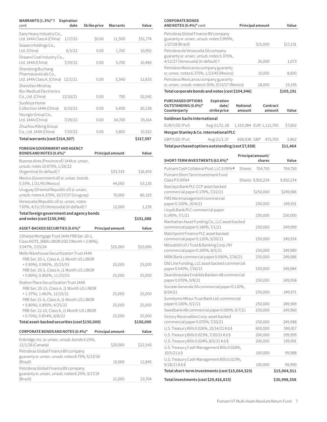| WARRANTS (1.3%)* † | Expiration |
|--------------------|------------|
|--------------------|------------|

| cont.                                                                          | date     | Strike price | Warrants | Value     |
|--------------------------------------------------------------------------------|----------|--------------|----------|-----------|
| Sany Heavy Industry Co.,                                                       |          |              |          |           |
| Ltd. 144A Class A (China)                                                      | 1/17/22  | \$0.00       | 11,500   | \$51,774  |
| Seazen Holdings Co.,<br>Ltd. (China)                                           | 6/3/22   | 0.00         | 1,700    | 10,952    |
| Shaanxi Coal Industry Co.,<br>Ltd. 144A (China)                                | 7/29/22  | 0.00         | 5,700    | 10,460    |
| Shandong Buchang<br>Pharmaceuticals Co.,<br>Ltd. 144A Class A, (China) 12/2/21 |          | 0.00         | 3,340    | 11,633    |
| Shenzhen Mindray<br><b>Bio-Medical Electronics</b>                             |          |              |          |           |
| Co., Ltd. (China)                                                              | 12/10/21 | 0.00         | 700      | 52,042    |
| Suofeiya Home<br>Collection 144A (China)                                       | 6/10/22  | 0.00         | 5,400    | 20,238    |
| Youngor Group Co.,<br>Ltd. 144A (China)                                        | 7/29/22  | 0.00         | 34,700   | 35,414    |
| Zhuzhou Kibing Group<br>Co., Ltd. 144A (China)                                 | 7/29/22  | 0.00         | 3,800    | 10,922    |
| Total warrants (cost \$314,507)                                                |          |              |          | \$317,597 |

| FOREIGN GOVERNMENT AND AGENCY<br>BONDS AND NOTES (0.6%)*                                   | <b>Principal amount</b> | Value     |
|--------------------------------------------------------------------------------------------|-------------------------|-----------|
| Buenos Aires (Province of) 144A sr. unsec.<br>unsub. notes 10.875%, 1/26/22                |                         |           |
| (Argentina) (In default) †                                                                 | \$33,333                | \$16,403  |
| Mexico (Government of) sr. unsec. bonds<br>5.55%, 1/21/45 (Mexico)                         | 44,000                  | 53,130    |
| Uruguay (Oriental Republic of) sr. unsec.<br>unsub. notes 4.375%, 10/27/27 (Uruguay)       | 70,000                  | 80,325    |
| Venezuela (Republic of) sr. unsec. notes<br>7.65%, 4/21/25 (Venezuela) (In default) †      | 12,000                  | 1,230     |
| Total foreign government and agency bonds<br>and notes (cost \$156,946)                    |                         | \$151,088 |
| ASSET-BACKED SECURITIES (0.6%)*                                                            | Principal amount        | Value     |
| 1Sharpe Mortgage Trust 144A FRB Ser. 20-1,<br>Class NOTE, (BBA LIBOR USD 3 Month + 2.90%), |                         |           |
| 3.047%, 7/25/24                                                                            | \$25,000                | \$25,000  |
| Mello Warehouse Securitization Trust 144A<br>FRB Ser. 20-1, Class A, (1 Month US LIBOR     |                         |           |
| + 0.90%), 0.992%, 10/25/53                                                                 | 25,000                  | 25,000    |
| FRB Ser. 20-2, Class A, (1 Month US LIBOR<br>+ 0.80%), 0.892%, 11/25/53                    | 25,000                  | 25,000    |
| Station Place Securitization Trust 144A<br>FRB Ser. 20-15, Class A, (1 Month US LIBOR      |                         |           |
| $+1.37\%$ , 1.461%, 12/10/21<br>FRB Ser. 21-6, Class A, (1 Month US LIBOR                  | 25,000                  | 25,000    |
| + 0.80%), 0.891%, 4/25/22<br>FRB Ser. 21-10, Class A, (1 Month US LIBOR                    | 25,000                  | 25,000    |
| + 0.75%), 0.854%, 8/8/22                                                                   | 25,000                  | 25,000    |
| Total asset-backed securities (cost \$150,000)                                             |                         | \$150,000 |
| CORPORATE BONDS AND NOTES (0.4%)*                                                          | Principal amount        | Value     |
| Enbridge, Inc. sr. unsec. unsub. bonds 4.25%,<br>12/1/26 (Canada)                          | \$20,000                | \$22,543  |
| Petrobras Global Finance BV company                                                        |                         |           |
| guaranty sr. unsec. unsub. notes 8.75%, 5/23/26<br>(Brazil)                                | 10,000                  | 12,845    |
| Petrobras Global Finance BV company                                                        |                         |           |

(Brazil) 21,000 23,704

guaranty sr. unsec. unsub. notes 6.25%, 3/17/24

| <b>CORPORATE BONDS</b><br>AND NOTES (0.4%)* cont.                                           |               | <b>Principal amount</b> |                    |          | Value              |
|---------------------------------------------------------------------------------------------|---------------|-------------------------|--------------------|----------|--------------------|
| Petrobras Global Finance BV company                                                         |               |                         |                    |          |                    |
| guaranty sr. unsec. unsub. notes 5.999%,                                                    |               |                         |                    |          |                    |
| 1/27/28 (Brazil)                                                                            |               |                         | \$15,000           |          | \$17,231           |
| Petroleos de Venezuela SA company                                                           |               |                         |                    |          |                    |
| guaranty sr. unsec. unsub. notes 5.375%,                                                    |               |                         |                    |          |                    |
| 4/12/27 (Venezuela) (In default) †                                                          |               |                         | 26,000             |          | 1,073              |
| Petroleos Mexicanos company guaranty<br>sr. unsec. notes 6.375%, 1/23/45 (Mexico)           |               |                         | 10,000             |          | 8,600              |
| Petroleos Mexicanos company guaranty                                                        |               |                         |                    |          |                    |
| sr. unsec. unsub. notes 6.50%, 3/13/27 (Mexico)                                             |               |                         | 18,000             |          | 19,195             |
| Total corporate bonds and notes (cost \$104,946)                                            |               |                         |                    |          | \$105,191          |
| <b>PURCHASED OPTIONS</b>                                                                    | Expiration    |                         |                    |          |                    |
| OUTSTANDING (0.0%)*                                                                         | date/         | Notional                |                    | Contract |                    |
| Counterparty                                                                                | strike price  | amount                  |                    | amount   | Value              |
| Goldman Sachs International                                                                 |               |                         |                    |          |                    |
| EUR/USD (Put)                                                                               | Aug-21/\$1.18 | 1,319,384 EUR 1,112,700 |                    |          | \$7,602            |
| Morgan Stanley & Co. International PLC                                                      |               |                         |                    |          |                    |
| GBP/USD (Put)                                                                               | Aug-21/1.37   | 658,036 GBP             |                    | 475,700  | 3,862              |
| Total purchased options outstanding (cost \$7,858)                                          |               |                         |                    |          | \$11,464           |
|                                                                                             |               | Principal amount/       |                    |          |                    |
| SHORT-TERM INVESTMENTS (63.6%)*                                                             |               |                         | shares             |          | Value              |
| Putnam Cash Collateral Pool, LLC 0.09% d                                                    |               | Shares                  | 704,750            |          | 704,750            |
| Putnam Short Term Investment Fund                                                           |               |                         |                    |          |                    |
| $ClassP0.09\%$                                                                              |               | Shares 9,910,234        |                    |          | 9,910,234          |
| Barclays Bank PLC CCP asset backed                                                          |               |                         |                    |          |                    |
| commercial paper 0.170%, 7/22/21<br>FMS Wertmanagement commercial                           |               |                         | \$250,000          |          | \$249,986          |
| paper 0.100%, 10/4/21                                                                       |               |                         | 250,000            |          | 249,931            |
| Lloyds Bank PLC commercial paper                                                            |               |                         |                    |          |                    |
| 0.140%, 7/1/21                                                                              |               |                         | 250,000            |          | 250,000            |
| Manhattan Asset Funding Co., LLC asset backed                                               |               |                         |                    |          |                    |
| commercial paper 0.140%, 7/1/21                                                             |               |                         | 250,000            |          | 249,999            |
| Matchpoint Finance PLC asset backed<br>commercial paper 0.110%, 9/20/21                     |               |                         |                    |          | 249,934            |
| Mitsubishi UFJ Trust & Banking Corp./NY                                                     |               |                         | 250,000            |          |                    |
| commercial paper 0.200%, 8/5/21                                                             |               |                         | 250,000            |          | 249,980            |
| NRW.Bank commercial paper 0.090%, 7/26/21                                                   |               |                         | 250,000            |          | 249,986            |
| Old Line Funding, LLC asset backed commercial                                               |               |                         |                    |          |                    |
| paper 0.040%, 7/26/21                                                                       |               |                         | 250,000            |          | 249,984            |
| Skandinaviska Enskilda Banken AB commercial                                                 |               |                         |                    |          |                    |
| paper 0.070%, 9/8/21                                                                        |               |                         | 250,000            |          | 249,958            |
| Societe Generale SA commercial paper 0.110%,<br>8/24/21                                     |               |                         | 250,000            |          | 249,971            |
| Sumitomo Mitsui Trust Bank Ltd. commercial                                                  |               |                         |                    |          |                    |
| paper 0.100%, 9/2/21                                                                        |               |                         | 250,000            |          | 249,969            |
| Swedbank AB commercial paper 0.090%, 9/7/21                                                 |               |                         | 250,000            |          | 249,960            |
| Victory Receivables Corp. asset backed                                                      |               |                         |                    |          |                    |
| commercial paper 0.070%, 7/20/21                                                            |               |                         | 250,000            |          | 249,988            |
| U.S. Treasury Bills 0.026%, 10/14/21 # △§                                                   |               |                         | 600,000            |          | 599,917            |
| U.S. Treasury Bills 0.023%, 7/20/21 # $\Delta$ §<br>U.S. Treasury Bills 0.024%, 8/5/21 # △§ |               |                         | 200,000<br>200,000 |          | 199,995<br>199,991 |
| U.S. Treasury Cash Management Bills 0.028%,                                                 |               |                         |                    |          |                    |
| 10/5/21 $\Delta$ §                                                                          |               |                         | 100,000            |          | 99,988             |
| U.S. Treasury Cash Management Bills 0.023%,                                                 |               |                         |                    |          |                    |

9/28/21 # ∆ § 100,000 99,990 **Total short-term investments (cost \$15,064,525) \$15,064,511 Total investments (cost \$29,416,833) \$30,998,558**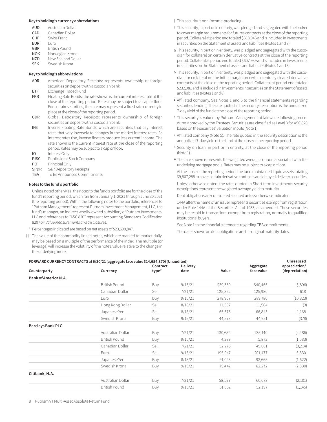#### **Key to holding's currency abbreviations**

- AUD Australian Dollar
- CAD Canadian Dollar
- CHF Swiss Franc
- EUR Euro
- GBP British Pound
- NOK Norwegian Krone
- NZD New Zealand Dollar
- SEK Swedish Krona

#### **Key to holding's abbreviations**

- ADR American Depository Receipts: represents ownership of foreign securities on deposit with a custodian bank
- ETF Exchange Traded Fund
- FRB Floating Rate Bonds: the rate shown is the current interest rate at the close of the reporting period. Rates may be subject to a cap or floor. For certain securities, the rate may represent a fixed rate currently in place at the close of the reporting period.
- GDR Global Depository Receipts: represents ownership of foreign securities on deposit with a custodian bank
- IFB Inverse Floating Rate Bonds, which are securities that pay interest rates that vary inversely to changes in the market interest rates. As interest rates rise, inverse floaters produce less current income. The rate shown is the current interest rate at the close of the reporting period. Rates may be subject to a cap or floor.
- IO Interest Only
- PJSC Public Joint Stock Company
- PO Principal Only
- SPDR S&P Depository Receipts
- TBA To Be Announced Commitments

#### **Notes to the fund's portfolio**

Unless noted otherwise, the notes to the fund's portfolio are for the close of the fund's reporting period, which ran from January 1, 2021 through June 30 2021 (the reporting period). Within the following notes to the portfolio, references to "Putnam Management" represent Putnam Investment Management, LLC, the fund's manager, an indirect wholly-owned subsidiary of Putnam Investments, LLC and references to "ASC 820" represent Accounting Standards Codification 820 *Fair Value Measurements and Disclosures*.

- \* Percentages indicated are based on net assets of \$23,690,847.
- ††† The value of the commodity linked notes, which are marked to market daily, may be based on a multiple of the performance of the index. The multiple (or leverage) will increase the volatility of the note's value relative to the change in the underlying index.
- † This security is non-income-producing.
- # This security, in part or in entirety, was pledged and segregated with the broker to cover margin requirements for futures contracts at the close of the reporting period. Collateral at period end totaled \$313,946 and is included in Investments in securities on the Statement of assets and liabilities (Notes 1 and 8).
- ∆ This security, in part or in entirety, was pledged and segregated with the custodian for collateral on certain derivative contracts at the close of the reporting period. Collateral at period end totaled \$607.939 and is included in Investments in securities on the Statement of assets and liabilities (Notes 1 and 8).
- § This security, in part or in entirety, was pledged and segregated with the custodian for collateral on the initial margin on certain centrally cleared derivative contracts at the close of the reporting period. Collateral at period end totaled \$232,981 and is included in Investments in securities on the Statement of assets and liabilities (Notes 1 and 8).
- **<sup>d</sup>** Affiliated company. See Notes 1 and 5 to the financial statements regarding securities lending. The rate quoted in the security description is the annualized 7-day yield of the fund at the close of the reporting period.
- **<sup>F</sup>** This security is valued by Putnam Management at fair value following procedures approved by the Trustees. Securities are classified as Level 3 for ASC 820 based on the securities' valuation inputs (Note 1).
- **<sup>L</sup>** Affiliated company (Note 5). The rate quoted in the security description is the annualized 7-day yield of the fund at the close of the reporting period.
- **<sup>S</sup>** Security on loan, in part or in entirety, at the close of the reporting period (Note 1).
- **<sup>W</sup>** The rate shown represents the weighted average coupon associated with the underlying mortgage pools. Rates may be subject to a cap or floor.

At the close of the reporting period, the fund maintained liquid assets totaling \$9,867,288 to cover certain derivative contracts and delayed delivery securities.

Unless otherwise noted, the rates quoted in Short-term investments security descriptions represent the weighted average yield to maturity.

Debt obligations are considered secured unless otherwise indicated.

144A after the name of an issuer represents securities exempt from registration under Rule 144A of the Securities Act of 1933, as amended. These securities may be resold in transactions exempt from registration, normally to qualified institutional buyers.

See Note 1 to the financial statements regarding TBA commitments.

The dates shown on debt obligations are the original maturity dates.

| FORWARD CURRENCY CONTRACTS at 6/30/21 (aggregate face value \$14,654,870) (Unaudited) |                      |          | Unrealized |          |            |                |
|---------------------------------------------------------------------------------------|----------------------|----------|------------|----------|------------|----------------|
|                                                                                       |                      | Contract | Delivery   |          | Aggregate  | appreciation/  |
| Counterparty                                                                          | Currency             | type*    | date       | Value    | face value | (depreciation) |
| Bank of America N.A.                                                                  |                      |          |            |          |            |                |
|                                                                                       | <b>British Pound</b> | Buy      | 9/15/21    | \$39,569 | \$40,465   | \$ (896)       |
|                                                                                       | Canadian Dollar      | Sell     | 7/21/21    | 125,362  | 125,980    | 618            |
|                                                                                       | Euro                 | Buy      | 9/15/21    | 278,957  | 289,780    | (10, 823)      |
|                                                                                       | Hong Kong Dollar     | Sell     | 8/18/21    | 11,567   | 11,564     | (3)            |
|                                                                                       | Japanese Yen         | Sell     | 8/18/21    | 65,675   | 66,843     | 1,168          |
|                                                                                       | Swedish Krona        | Buy      | 9/15/21    | 44,573   | 44,951     | (378)          |
| <b>Barclays Bank PLC</b>                                                              |                      |          |            |          |            |                |
|                                                                                       | Australian Dollar    | Buy      | 7/21/21    | 130,654  | 135,140    | (4,486)        |
|                                                                                       | <b>British Pound</b> | Buy      | 9/15/21    | 4,289    | 5,872      | (1, 583)       |
|                                                                                       | Canadian Dollar      | Sell     | 7/21/21    | 52,275   | 49,061     | (3, 214)       |
|                                                                                       | Euro                 | Sell     | 9/15/21    | 195,947  | 201,477    | 5,530          |
|                                                                                       | Japanese Yen         | Buy      | 8/18/21    | 91,043   | 92,665     | (1,622)        |
|                                                                                       | Swedish Krona        | Buy      | 9/15/21    | 79,442   | 82,272     | (2,830)        |
| Citibank, N.A.                                                                        |                      |          |            |          |            |                |
|                                                                                       | Australian Dollar    | Buy      | 7/21/21    | 58,577   | 60,678     | (2,101)        |
|                                                                                       | <b>British Pound</b> | Buy      | 9/15/21    | 51,052   | 52,197     | (1, 145)       |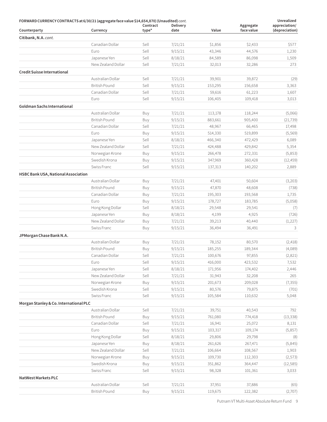| FORWARD CURRENCY CONTRACTS at 6/30/21 (aggregate face value \$14,654,870) (Unaudited) cont. |                      | Contract | <b>Delivery</b> |         | Aggregate  | Unrealized<br>appreciation/ |
|---------------------------------------------------------------------------------------------|----------------------|----------|-----------------|---------|------------|-----------------------------|
| Counterparty                                                                                | Currency             | type*    | date            | Value   | face value | (depreciation)              |
| Citibank, N.A. cont.                                                                        |                      |          |                 |         |            |                             |
|                                                                                             | Canadian Dollar      | Sell     | 7/21/21         | \$1,856 | \$2,433    | \$577                       |
|                                                                                             | Euro                 | Sell     | 9/15/21         | 43,346  | 44,576     | 1,230                       |
|                                                                                             | Japanese Yen         | Sell     | 8/18/21         | 84,589  | 86,098     | 1,509                       |
|                                                                                             | New Zealand Dollar   | Sell     | 7/21/21         | 32,013  | 32,286     | 273                         |
| Credit Suisse International                                                                 |                      |          |                 |         |            |                             |
|                                                                                             | Australian Dollar    | Sell     | 7/21/21         | 39,901  | 39,872     | (29)                        |
|                                                                                             | <b>British Pound</b> | Sell     | 9/15/21         | 153,295 | 156,658    | 3,363                       |
|                                                                                             | Canadian Dollar      | Sell     | 7/21/21         | 59,616  | 61,223     | 1,607                       |
|                                                                                             | Euro                 | Sell     | 9/15/21         | 106,405 | 109,418    | 3,013                       |
| Goldman Sachs International                                                                 |                      |          |                 |         |            |                             |
|                                                                                             | Australian Dollar    | Buy      | 7/21/21         | 113,178 | 118,244    | (5,066)                     |
|                                                                                             | <b>British Pound</b> | Buy      | 9/15/21         | 883,661 | 905,400    | (21, 739)                   |
|                                                                                             | Canadian Dollar      | Sell     | 7/21/21         | 48,967  | 66,465     | 17,498                      |
|                                                                                             | Euro                 | Buy      | 9/15/21         | 514,330 | 519,899    | (5, 569)                    |
|                                                                                             | Japanese Yen         | Sell     | 8/18/21         | 466,340 | 472,429    | 6,089                       |
|                                                                                             | New Zealand Dollar   | Sell     | 7/21/21         | 424,488 | 429,842    | 5,354                       |
|                                                                                             | Norwegian Krone      | Buy      | 9/15/21         | 266,478 | 272,331    | (5,853)                     |
|                                                                                             | Swedish Krona        | Buy      | 9/15/21         | 347,969 | 360,428    | (12, 459)                   |
|                                                                                             | Swiss Franc          | Sell     | 9/15/21         | 137,313 | 140,202    | 2,889                       |
| HSBC Bank USA, National Association                                                         |                      |          |                 |         |            |                             |
|                                                                                             | Australian Dollar    | Buy      | 7/21/21         | 47,401  | 50,604     | (3,203)                     |
|                                                                                             | <b>British Pound</b> | Buy      | 9/15/21         | 47,870  | 48,608     | (738)                       |
|                                                                                             | Canadian Dollar      | Buy      | 7/21/21         | 195,303 | 193,568    | 1,735                       |
|                                                                                             | Euro                 | Buy      | 9/15/21         | 178,727 | 183,785    | (5,058)                     |
|                                                                                             | Hong Kong Dollar     | Sell     | 8/18/21         | 29,548  | 29,541     | (7)                         |
|                                                                                             | Japanese Yen         | Buy      | 8/18/21         | 4,199   | 4,925      | (726)                       |
|                                                                                             | New Zealand Dollar   | Buy      | 7/21/21         | 39,213  | 40,440     | (1,227)                     |
|                                                                                             | Swiss Franc          | Buy      | 9/15/21         | 36,494  | 36,491     | 3                           |
| JPMorgan Chase Bank N.A.                                                                    |                      |          |                 |         |            |                             |
|                                                                                             | Australian Dollar    | Buy      | 7/21/21         | 78,152  | 80,570     | (2,418)                     |
|                                                                                             | <b>British Pound</b> | Buy      | 9/15/21         | 185,255 | 189,344    | (4,089)                     |
|                                                                                             | Canadian Dollar      | Sell     | 7/21/21         | 100,676 | 97,855     | (2,821)                     |
|                                                                                             | Euro                 | Sell     | 9/15/21         | 416,000 | 423,532    | 7,532                       |
|                                                                                             | Japanese Yen         | Sell     | 8/18/21         | 171,956 | 174,402    | 2,446                       |
|                                                                                             | New Zealand Dollar   | Sell     | 7/21/21         | 31,943  | 32,208     | 265                         |
|                                                                                             | Norwegian Krone      | Buy      | 9/15/21         | 201,673 | 209,028    | (7, 355)                    |
|                                                                                             | Swedish Krona        | Sell     | 9/15/21         | 80,576  | 79,875     | (701)                       |
|                                                                                             | Swiss Franc          | Sell     | 9/15/21         | 105,584 | 110,632    | 5,048                       |
| Morgan Stanley & Co. International PLC                                                      |                      |          |                 |         |            |                             |
|                                                                                             | Australian Dollar    | Sell     |                 |         |            | 792                         |
|                                                                                             |                      |          | 7/21/21         | 39,751  | 40,543     |                             |
|                                                                                             | British Pound        | Buy      | 9/15/21         | 761,080 | 774,418    | (13, 338)                   |
|                                                                                             | Canadian Dollar      | Sell     | 7/21/21         | 16,941  | 25,072     | 8,131                       |
|                                                                                             | Euro                 | Buy      | 9/15/21         | 103,317 | 109,174    | (5,857)                     |
|                                                                                             | Hong Kong Dollar     | Sell     | 8/18/21         | 29,806  | 29,798     | (8)                         |
|                                                                                             | Japanese Yen         | Buy      | 8/18/21         | 261,626 | 267,471    | (5,845)                     |
|                                                                                             | New Zealand Dollar   | Sell     | 7/21/21         | 106,664 | 108,567    | 1,903                       |
|                                                                                             | Norwegian Krone      | Buy      | 9/15/21         | 109,730 | 112,303    | (2, 573)                    |
|                                                                                             | Swedish Krona        | Buy      | 9/15/21         | 351,862 | 364,447    | (12, 585)                   |
|                                                                                             | Swiss Franc          | Sell     | 9/15/21         | 98,328  | 101,361    | 3,033                       |
| NatWest Markets PLC                                                                         |                      |          |                 |         |            |                             |
|                                                                                             | Australian Dollar    | Sell     | 7/21/21         | 37,951  | 37,886     | (65)                        |
|                                                                                             | British Pound        | Buy      | 9/15/21         | 119,675 | 122,382    | (2,707)                     |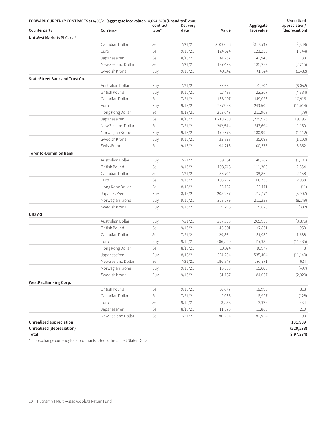| FORWARD CURRENCY CONTRACTS at 6/30/21 (aggregate face value \$14,654,870) (Unaudited) cont. |                      | Contract | Delivery |           | Aggregate  | Unrealized<br>appreciation/ |
|---------------------------------------------------------------------------------------------|----------------------|----------|----------|-----------|------------|-----------------------------|
| Counterparty                                                                                | Currency             | type*    | date     | Value     | face value | (depreciation)              |
| NatWest Markets PLC cont.                                                                   |                      |          |          |           |            |                             |
|                                                                                             | Canadian Dollar      | Sell     | 7/21/21  | \$109,066 | \$108,717  | \$ (349)                    |
|                                                                                             | Euro                 | Sell     | 9/15/21  | 124,574   | 123,230    | (1, 344)                    |
|                                                                                             | Japanese Yen         | Sell     | 8/18/21  | 41,757    | 41,940     | 183                         |
|                                                                                             | New Zealand Dollar   | Sell     | 7/21/21  | 137,488   | 135,273    | (2,215)                     |
|                                                                                             | Swedish Krona        | Buy      | 9/15/21  | 40,142    | 41,574     | (1, 432)                    |
| State Street Bank and Trust Co.                                                             |                      |          |          |           |            |                             |
|                                                                                             | Australian Dollar    | Buy      | 7/21/21  | 76,652    | 82,704     | (6,052)                     |
|                                                                                             | <b>British Pound</b> | Buy      | 9/15/21  | 17,433    | 22,267     | (4,834)                     |
|                                                                                             | Canadian Dollar      | Sell     | 7/21/21  | 138,107   | 149,023    | 10,916                      |
|                                                                                             | Euro                 | Buy      | 9/15/21  | 237,986   | 249,500    | (11, 514)                   |
|                                                                                             | Hong Kong Dollar     | Sell     | 8/18/21  | 252,047   | 251,968    | (79)                        |
|                                                                                             | Japanese Yen         | Sell     | 8/18/21  | 1,210,730 | 1,229,925  | 19,195                      |
|                                                                                             | New Zealand Dollar   | Sell     | 7/21/21  | 242,544   | 243,694    | 1,150                       |
|                                                                                             | Norwegian Krone      | Buy      | 9/15/21  | 179,878   | 180,990    | (1, 112)                    |
|                                                                                             | Swedish Krona        | Buy      | 9/15/21  | 33,898    | 35,098     | (1,200)                     |
|                                                                                             | Swiss Franc          | Sell     | 9/15/21  | 94,213    | 100,575    | 6,362                       |
| <b>Toronto-Dominion Bank</b>                                                                |                      |          |          |           |            |                             |
|                                                                                             | Australian Dollar    | Buy      | 7/21/21  | 39,151    | 40,282     | (1, 131)                    |
|                                                                                             | <b>British Pound</b> | Sell     | 9/15/21  | 108,746   | 111,300    | 2,554                       |
|                                                                                             | Canadian Dollar      | Sell     | 7/21/21  | 36,704    | 38,862     | 2,158                       |
|                                                                                             | Euro                 | Sell     | 9/15/21  | 103,792   | 106,730    | 2,938                       |
|                                                                                             | Hong Kong Dollar     | Sell     | 8/18/21  | 36,182    | 36,171     | (11)                        |
|                                                                                             | Japanese Yen         | Buy      | 8/18/21  | 208,267   | 212,174    | (3,907)                     |
|                                                                                             | Norwegian Krone      | Buy      | 9/15/21  | 203,079   | 211,228    | (8, 149)                    |
|                                                                                             | Swedish Krona        | Buy      | 9/15/21  | 9,296     | 9,628      | (332)                       |
| <b>UBSAG</b>                                                                                |                      |          |          |           |            |                             |
|                                                                                             | Australian Dollar    | Buy      | 7/21/21  | 257,558   | 265,933    | (8, 375)                    |
|                                                                                             | <b>British Pound</b> | Sell     | 9/15/21  | 46,901    | 47,851     | 950                         |
|                                                                                             | Canadian Dollar      | Sell     | 7/21/21  | 29,364    | 31,052     | 1,688                       |
|                                                                                             | Euro                 | Buy      | 9/15/21  | 406,500   | 417,935    | (11, 435)                   |
|                                                                                             | Hong Kong Dollar     | Sell     | 8/18/21  | 10,974    | 10,977     | 3                           |
|                                                                                             | Japanese Yen         | Buy      | 8/18/21  | 524,264   | 535,404    | (11, 140)                   |
|                                                                                             | New Zealand Dollar   | Sell     | 7/21/21  | 186,347   | 186,971    | 624                         |
|                                                                                             | Norwegian Krone      | Buy      | 9/15/21  | 15,103    | 15,600     | (497)                       |
|                                                                                             | Swedish Krona        | Buy      | 9/15/21  | 81,137    | 84,057     | (2,920)                     |
| WestPac Banking Corp.                                                                       |                      |          |          |           |            |                             |
|                                                                                             | <b>British Pound</b> | Sell     | 9/15/21  | 18,677    | 18,995     | 318                         |
|                                                                                             | Canadian Dollar      | Sell     | 7/21/21  | 9,035     | 8,907      | (128)                       |
|                                                                                             | Euro                 | Sell     | 9/15/21  | 13,538    | 13,922     | 384                         |
|                                                                                             | Japanese Yen         | Sell     | 8/18/21  | 11,670    | 11,880     | 210                         |
|                                                                                             | New Zealand Dollar   | Sell     | 7/21/21  | 86,254    | 86,954     | 700                         |
| Unrealized appreciation                                                                     |                      |          |          |           |            | 131,939                     |
| Unrealized (depreciation)                                                                   |                      |          |          |           |            | (229, 273)                  |
| Total                                                                                       |                      |          |          |           |            | \$(97, 334)                 |

\* The exchange currency for all contracts listed is the United States Dollar.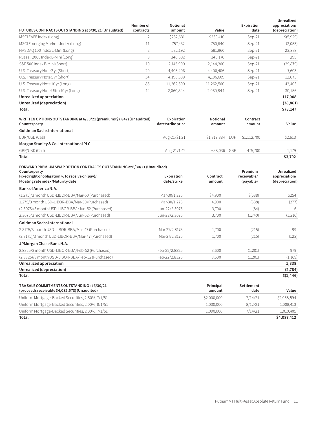| FUTURES CONTRACTS OUTSTANDING at 6/30/21 (Unaudited)                                                                                                                              | Number of<br>contracts | Notional<br>amount              | Value                     | Expiration<br>date                  | Unrealized<br>appreciation/<br>(depreciation) |
|-----------------------------------------------------------------------------------------------------------------------------------------------------------------------------------|------------------------|---------------------------------|---------------------------|-------------------------------------|-----------------------------------------------|
| MSCI EAFE Index (Long)                                                                                                                                                            | $\overline{2}$         | \$232,631                       | \$230,410                 | Sep-21                              | \$ (5,929)                                    |
| MSCI Emerging Markets Index (Long)                                                                                                                                                | 11                     | 757,432                         | 750,640                   | Sep-21                              | (3,053)                                       |
| NASDAQ 100 Index E-Mini (Long)                                                                                                                                                    | $\overline{2}$         | 582,192                         | 581,960                   | Sep-21                              | 23,878                                        |
| Russell 2000 Index E-Mini (Long)                                                                                                                                                  | 3                      | 346,582                         | 346,170                   | Sep-21                              | 295                                           |
| S&P 500 Index E-Mini (Short)                                                                                                                                                      | 10                     | 2,145,900                       | 2,144,300                 | Sep-21                              | (29, 879)                                     |
| U.S. Treasury Note 2 yr (Short)                                                                                                                                                   | 20                     | 4,406,406                       | 4,406,406                 | Sep-21                              | 7,603                                         |
| U.S. Treasury Note 5 yr (Short)                                                                                                                                                   | 34                     | 4,196,609                       | 4,196,609                 | Sep-21                              | 12,673                                        |
| U.S. Treasury Note 10 yr (Long)                                                                                                                                                   | 85                     | 11,262,500                      | 11,262,500                | Sep-21                              | 42,403                                        |
| U.S. Treasury Note Ultra 10 yr (Long)                                                                                                                                             | 14                     | 2,060,844                       | 2,060,844                 | Sep-21                              | 30,156                                        |
| Unrealized appreciation                                                                                                                                                           |                        |                                 |                           |                                     | 117,008                                       |
| Unrealized (depreciation)                                                                                                                                                         |                        |                                 |                           |                                     | (38, 861)                                     |
| Total                                                                                                                                                                             |                        |                                 |                           |                                     | \$78,147                                      |
| WRITTEN OPTIONS OUTSTANDING at 6/30/21 (premiums \$7,847) (Unaudited)<br>Counterparty                                                                                             |                        | Expiration<br>date/strike price | <b>Notional</b><br>amount | Contract<br>amount                  | Value                                         |
| Goldman Sachs International                                                                                                                                                       |                        |                                 |                           |                                     |                                               |
| EUR/USD (Call)                                                                                                                                                                    |                        | Aug-21/\$1.21                   | \$1,319,384               | <b>EUR</b><br>\$1,112,700           | \$2,613                                       |
| Morgan Stanley & Co. International PLC                                                                                                                                            |                        |                                 |                           |                                     |                                               |
| GBP/USD (Call)                                                                                                                                                                    |                        | Aug-21/1.42                     | 658,036                   | GBP<br>475,700                      | 1,179                                         |
| Total                                                                                                                                                                             |                        |                                 |                           |                                     | \$3,792                                       |
| FORWARD PREMIUM SWAP OPTION CONTRACTS OUTSTANDING at 6/30/21 (Unaudited)<br>Counterparty<br>Fixed right or obligation % to receive or (pay)/<br>Floating rate index/Maturity date |                        | Expiration<br>date/strike       | Contract<br>amount        | Premium<br>receivable/<br>(payable) | Unrealized<br>appreciation/<br>(depreciation) |
| Bank of America N.A.                                                                                                                                                              |                        |                                 |                           |                                     |                                               |
| (1.275)/3 month USD-LIBOR-BBA/Mar-50 (Purchased)                                                                                                                                  |                        | Mar-30/1.275                    | \$4,900                   | \$ (638)                            | \$254                                         |
| 1.275/3 month USD-LIBOR-BBA/Mar-50 (Purchased)                                                                                                                                    |                        | Mar-30/1.275                    | 4,900                     | (638)                               | (277)                                         |
| (2.3075)/3 month USD-LIBOR-BBA/Jun-52 (Purchased)                                                                                                                                 |                        | Jun-22/2.3075                   | 3,700                     | (84)                                | 6                                             |
| 2.3075/3 month USD-LIBOR-BBA/Jun-52 (Purchased)                                                                                                                                   |                        | Jun-22/2.3075                   | 3,700                     | (1,740)                             | (1,216)                                       |
| Goldman Sachs International                                                                                                                                                       |                        |                                 |                           |                                     |                                               |
| 2.8175/3 month USD-LIBOR-BBA/Mar-47 (Purchased)                                                                                                                                   |                        | Mar-27/2.8175                   | 1,700                     | (215)                               | 99                                            |
| (2.8175)/3 month USD-LIBOR-BBA/Mar-47 (Purchased)                                                                                                                                 |                        | Mar-27/2.8175                   | 1,700                     | (215)                               | (122)                                         |
| JPMorgan Chase Bank N.A.                                                                                                                                                          |                        |                                 |                           |                                     |                                               |
| 2.8325/3 month USD-LIBOR-BBA/Feb-52 (Purchased)                                                                                                                                   |                        | Feb-22/2.8325                   | 8,600                     | (1,201)                             | 979                                           |
| (2.8325)/3 month USD-LIBOR-BBA/Feb-52 (Purchased)                                                                                                                                 |                        | Feb-22/2.8325                   | 8,600                     | (1,201)                             | (1, 169)                                      |
| Unrealized appreciation                                                                                                                                                           |                        |                                 |                           |                                     | 1,338                                         |
| Unrealized (depreciation)                                                                                                                                                         |                        |                                 |                           |                                     | (2, 784)                                      |
| Total                                                                                                                                                                             |                        |                                 |                           |                                     | \$(1, 446)                                    |
| TBA SALE COMMITMENTS OUTSTANDING at 6/30/21<br>(proceeds receivable \$4,082,578) (Unaudited)                                                                                      |                        |                                 | Principal<br>amount       | Settlement<br>date                  | Value                                         |
| Uniform Mortgage-Backed Securities, 2.50%, 7/1/51                                                                                                                                 |                        |                                 | \$2,000,000               | 7/14/21                             | \$2,068,594                                   |
| Uniform Mortgage-Backed Securities, 2.00%, 8/1/51                                                                                                                                 |                        |                                 | 1,000,000                 | 8/12/21                             | 1,008,413                                     |
| Uniform Mortgage-Backed Securities, 2.00%, 7/1/51                                                                                                                                 |                        |                                 | 1,000,000                 | 7/14/21                             | 1,010,405                                     |
| Total                                                                                                                                                                             |                        |                                 |                           |                                     | \$4,087,412                                   |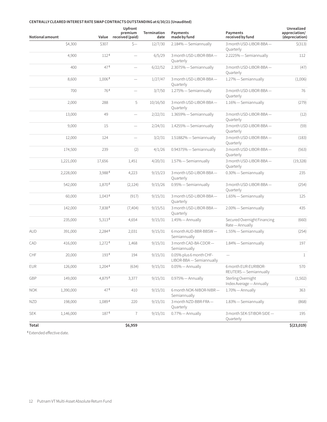#### **CENTRALLY CLEARED INTEREST RATE SWAP CONTRACTS OUTSTANDING at 6/30/21 (Unaudited)**

| Notional amount |           | Value              | Upfront<br>premium<br>received (paid) | Termination<br>date | Payments<br>made by fund                            | Payments<br>received by fund                   | Unrealized<br>appreciation/<br>(depreciation) |
|-----------------|-----------|--------------------|---------------------------------------|---------------------|-----------------------------------------------------|------------------------------------------------|-----------------------------------------------|
|                 | \$4,300   | \$307              | S—                                    | 12/7/30             | 2.184% - Semiannually                               | 3 month USD-LIBOR-BBA-<br>Quarterly            | \$ (313)                                      |
|                 | 4,900     | 112 <sup>E</sup>   |                                       | 6/5/29              | 3 month USD-LIBOR-BBA-<br>Ouarterly                 | 2.2225% - Semiannually                         | 112                                           |
|                 | 400       | 47E                |                                       | 6/22/52             | 2.3075% - Semiannually                              | 3 month USD-LIBOR-BBA-<br>Quarterly            | (47)                                          |
|                 | 8,600     | 1,006E             |                                       | 1/27/47             | 3 month USD-LIBOR-BBA-<br>Quarterly                 | 1.27% - Semiannually                           | (1,006)                                       |
|                 | 700       | 76 <sup>E</sup>    |                                       | 3/7/50              | 1.275% - Semiannually                               | 3 month USD-LIBOR-BBA-<br>Quarterly            | 76                                            |
|                 | 2,000     | 288                | 5                                     | 10/16/50            | 3 month USD-LIBOR-BBA-<br>Quarterly                 | $1.16\%$ - Semiannually                        | (279)                                         |
|                 | 13,000    | 49                 | $\overline{\phantom{m}}$              | 2/22/31             | 1.3659% - Semiannually                              | 3 month USD-LIBOR-BBA-<br>Quarterly            | (12)                                          |
|                 | 9,000     | 15                 |                                       | 2/24/31             | 1.4255% - Semiannually                              | 3 month USD-LIBOR-BBA-<br>Quarterly            | (59)                                          |
|                 | 12,000    | 124                |                                       | 3/2/31              | 1.51882% - Semiannually                             | 3 month USD-LIBOR-BBA-<br>Quarterly            | (183)                                         |
|                 | 174,500   | 239                | (2)                                   | 4/1/26              | 0.94375% - Semiannually                             | 3 month USD-LIBOR-BBA-<br>Quarterly            | (563)                                         |
|                 | 1,221,000 | 17,656             | 1,451                                 | 4/20/31             | 1.57% - Semiannually                                | 3 month USD-LIBOR-BBA-<br>Quarterly            | (19, 328)                                     |
|                 | 2,228,000 | 3,988 <sup>E</sup> | 4,223                                 | 9/15/23             | 3 month USD-LIBOR-BBA-<br>Quarterly                 | $0.30\%$ - Semiannually                        | 235                                           |
|                 | 542,000   | 1,870 <sup>E</sup> | (2,124)                               | 9/15/26             | 0.95% - Semiannually                                | 3 month USD-LIBOR-BBA-<br>Quarterly            | (254)                                         |
|                 | 60,000    | 1,043E             | (917)                                 | 9/15/31             | 3 month USD-LIBOR-BBA-<br>Quarterly                 | 1.65% - Semiannually                           | 125                                           |
|                 | 142,000   | 7,838 <sup>E</sup> | (7,404)                               | 9/15/51             | 3 month USD-LIBOR-BBA-<br>Quarterly                 | 2.00% - Semiannually                           | 435                                           |
|                 | 235,000   | 5,313E             | 4,654                                 | 9/15/31             | 1.45% - Annually                                    | Secured Overnight Financing<br>Rate - Annually | (660)                                         |
| <b>AUD</b>      | 391,000   | 2,284E             | 2,031                                 | 9/15/31             | 6 month AUD-BBR-BBSW-<br>Semiannually               | 1.55% - Semiannually                           | (254)                                         |
| CAD             | 416,000   | 1,272E             | 1,468                                 | 9/15/31             | 3 month CAD-BA-CDOR-<br>Semiannually                | 1.84% - Semiannually                           | 197                                           |
| CHF             | 20,000    | 193 <sup>E</sup>   | 194                                   | 9/15/31             | 0.05% plus 6 month CHF-<br>LIBOR-BBA - Semiannually | $\overline{\phantom{0}}$                       | $\mathbf{1}$                                  |
| <b>EUR</b>      | 126,000   | 1,204E             | (634)                                 | 9/15/31             | 0.05% - Annually                                    | 6 month EUR-EURIBOR-<br>REUTERS - Semiannually | 570                                           |
| GBP             | 149,000   | 4,879 <sup>E</sup> | 3,377                                 | 9/15/31             | $0.975%$ - Annually                                 | Sterling Overnight<br>Index Average - Annually | (1,502)                                       |
| <b>NOK</b>      | 1,390,000 | 47 <sup>E</sup>    | 410                                   | 9/15/31             | 6 month NOK-NIBOR-NIBR-<br>Semiannually             | 1.70% - Annually                               | 363                                           |
| NZD             | 198,000   | 1,089E             | 220                                   | 9/15/31             | 3 month NZD-BBR-FRA-<br>Quarterly                   | 1.83% - Semiannually                           | (868)                                         |
| <b>SEK</b>      | 1,146,000 | 187 <sup>E</sup>   | $\overline{7}$                        | 9/15/31             | 0.77% - Annually                                    | 3 month SEK-STIBOR-SIDE -<br>Quarterly         | 195                                           |
| Total           |           |                    | \$6,959                               |                     |                                                     |                                                | \$(23,019)                                    |

E Extended effective date.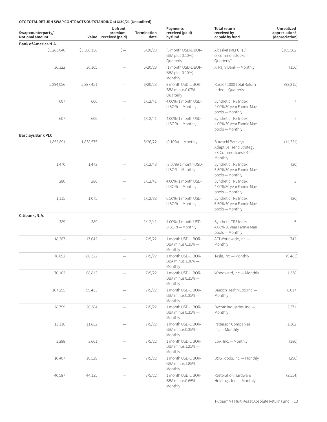| Swap counterparty/<br>Notional amount |             | Upfront<br>premium<br>Value received (paid) | Termination<br>date | Payments<br>received (paid)<br>by fund                | <b>Total return</b><br>received by<br>or paid by fund                         | Unrealized<br>appreciation/<br>(depreciation) |
|---------------------------------------|-------------|---------------------------------------------|---------------------|-------------------------------------------------------|-------------------------------------------------------------------------------|-----------------------------------------------|
| Bank of America N.A.                  |             |                                             |                     |                                                       |                                                                               |                                               |
| \$5,283,040                           | \$5,388,158 | $\zeta-$                                    | 6/20/23             | (3 month USD-LIBOR-<br>BBA plus 0.10%) -<br>Quarterly | A basket (MLFCF15)<br>of common stocks-<br>Quarterly*                         | \$105,562                                     |
| 36,322                                | 36,165      | $\overline{\phantom{0}}$                    | 6/20/23             | (1 month USD-LIBOR-<br>BBA plus 0.10%) -<br>Monthly   | Al Rajhi Bank - Monthly                                                       | (156)                                         |
| 5,294,056                             | 5,387,451   |                                             | 6/20/23             | 3 month USD-LIBOR-<br>BBA minus 0.07% -<br>Quarterly  | Russell 1000 Total Return<br>Index - Quarterly                                | (93, 315)                                     |
| 607                                   | 606         | $\overline{\phantom{0}}$                    | 1/12/41             | 4.00% (1 month USD-<br>$LIBOR$ ) - Monthly            | Synthetic TRS Index<br>4.00% 30 year Fannie Mae<br>pools - Monthly            | $\overline{7}$                                |
| 607                                   | 606         | $\overline{\phantom{0}}$                    | 1/12/41             | 4.00% (1 month USD-<br>LIBOR) - Monthly               | Synthetic TRS Index<br>4.00% 30 year Fannie Mae<br>pools - Monthly            | $\overline{7}$                                |
| <b>Barclays Bank PLC</b>              |             |                                             |                     |                                                       |                                                                               |                                               |
| 1,852,891                             | 1,838,575   |                                             | 5/26/22             | $(0.10\%)$ – Monthly                                  | Buraschi Barclays<br>Adaptive Trend Strategy<br>EX-Commodities ER-<br>Monthly | (14, 321)                                     |
| 1,470                                 | 1,473       |                                             | 1/12/43             | (3.50%) 1 month USD-<br>$LIBOR$ – Monthly             | Synthetic TRS Index<br>3.50% 30 year Fannie Mae<br>pools - Monthly            | (20)                                          |
| 280                                   | 280         |                                             | 1/12/41             | 4.00% (1 month USD-<br>LIBOR) - Monthly               | Synthetic TRS Index<br>4.00% 30 year Fannie Mae<br>pools - Monthly            | 3                                             |
| 1,115                                 | 1,075       | $\overline{\phantom{0}}$                    | 1/12/38             | 6.50% (1 month USD-<br>$LIBOR$ ) — Monthly            | Synthetic TRS Index<br>6.50% 30 year Fannie Mae<br>pools - Monthly            | (26)                                          |
| Citibank, N.A.                        |             |                                             |                     |                                                       |                                                                               |                                               |
| 389                                   | 389         |                                             | 1/12/41             | 4.00% (1 month USD-<br>LIBOR) - Monthly               | Synthetic TRS Index<br>4.00% 30 year Fannie Mae<br>pools - Monthly            | 5                                             |
| 18,387                                | 17,642      |                                             | 7/5/22              | 1 month USD-LIBOR-<br>BBA minus 0.35% -<br>Monthly    | ACI Worldwide, Inc. -<br>Monthly                                              | 742                                           |
| 76,852                                | 86,322      |                                             | 7/5/22              | 1 month USD-LIBOR-<br>BBA minus 1.30% -<br>Monthly    | Tesla, Inc. - Monthly                                                         | (9,483)                                       |
| 70,162                                | 68,813      |                                             | 7/5/22              | 1 month USD-LIBOR-<br>BBA minus 0.35% -<br>Monthly    | Woodward, Inc. - Monthly                                                      | 1,338                                         |
| 107,255                               | 99,453      |                                             | 7/5/22              | 1 month USD-LIBOR-<br>BBA minus 0.35% -<br>Monthly    | Bausch Health Cos, Inc. -<br>Monthly                                          | 8,017                                         |
| 28,759                                | 26,384      |                                             | 7/5/22              | 1 month USD-LIBOR-<br>BBA minus 0.35% -<br>Monthly    | Dycom Industries, Inc. -<br>Monthly                                           | 2,371                                         |
| 13,116                                | 11,852      |                                             | 7/5/22              | 1 month USD-LIBOR-<br>BBA minus 0.35% -<br>Monthly    | Patterson Companies,<br>$Inc. - Monthly$                                      | 1,362                                         |
| 3,288                                 | 3,661       | $\overline{\phantom{0}}$                    | 7/5/22              | 1 month USD-LIBOR-<br>BBA minus 1.25% -<br>Monthly    | Ebix, Inc. - Monthly                                                          | (380)                                         |
| 10,407                                | 10,529      |                                             | 7/5/22              | 1 month USD-LIBOR-<br>BBA minus 1.85% -<br>Monthly    | B&G Foods, Inc. - Monthly                                                     | (290)                                         |
| 40,587                                | 44,135      |                                             | 7/5/22              | 1 month USD-LIBOR-<br>BBA minus 0.65% -<br>Monthly    | Restoration Hardware<br>Holdings, Inc. - Monthly                              | (3, 554)                                      |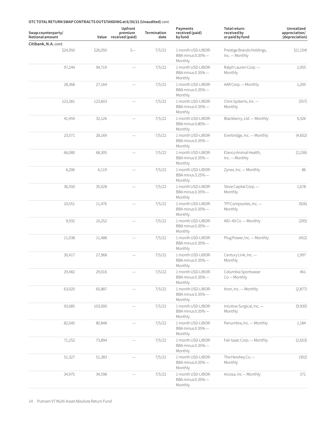| Swap counterparty/<br>Notional amount |          | Upfront<br>premium<br>Value received (paid) | Termination<br>date | Payments<br>received (paid)<br>by fund             | <b>Total return</b><br>received by<br>or paid by fund | Unrealized<br>appreciation/<br>(depreciation) |
|---------------------------------------|----------|---------------------------------------------|---------------------|----------------------------------------------------|-------------------------------------------------------|-----------------------------------------------|
| Citibank, N.A. cont.                  |          |                                             |                     |                                                    |                                                       |                                               |
| \$24,950                              | \$26,050 | $s-$                                        | 7/5/22              | 1 month USD-LIBOR-<br>BBA minus 0.35% -<br>Monthly | Prestige Brands Holdings,<br>Inc. - Monthly           | $\zeta(1,104)$                                |
| 97,244                                | 94,719   | $\equiv$                                    | 7/5/22              | 1 month USD-LIBOR-<br>BBA minus 0.35% -<br>Monthly | Ralph Lauren Corp. -<br>Monthly                       | 1,955                                         |
| 28,368                                | 27,164   |                                             | 7/5/22              | 1 month USD-LIBOR-<br>BBA minus 0.35% -<br>Monthly | AAR Corp. - Monthly                                   | 1,205                                         |
| 123,381                               | 123,603  |                                             | 7/5/22              | 1 month USD-LIBOR-<br>BBA minus 0.35% -<br>Monthly | Citrix Systems, Inc. -<br>Monthly                     | (557)                                         |
| 41,459                                | 32,126   | $\qquad \qquad -$                           | 7/5/22              | 1 month USD-LIBOR-<br>BBA minus 0.80% -<br>Monthly | Blackberry, Ltd. - Monthly                            | 9,326                                         |
| 23,571                                | 28,169   |                                             | 7/5/22              | 1 month USD-LIBOR-<br>BBA minus 0.35% -<br>Monthly | Everbridge, Inc. - Monthly                            | (4,602)                                       |
| 66,080                                | 68,305   |                                             | 7/5/22              | 1 month USD-LIBOR-<br>BBA minus 0.35% -<br>Monthly | Elanco Animal Health,<br>Inc. - Monthly               | (2, 236)                                      |
| 6,206                                 | 6,119    | $\qquad \qquad -$                           | 7/5/22              | 1 month USD-LIBOR-<br>BBA minus 3.25% -<br>Monthly | Zynex, Inc. - Monthly                                 | 86                                            |
| 36,550                                | 35,028   |                                             | 7/5/22              | 1 month USD-LIBOR-<br>BBA minus 0.35% -<br>Monthly | Store Capital Corp.-<br>Monthly                       | 1,678                                         |
| 10,551                                | 11,476   |                                             | 7/5/22              | 1 month USD-LIBOR-<br>BBA minus 0.35% -<br>Monthly | TPI Composites, Inc. -<br>Monthly                     | (926)                                         |
| 9,932                                 | 10,252   | $\overline{\phantom{0}}$                    | 7/5/22              | 1 month USD-LIBOR-<br>BBA minus 0.35% -<br>Monthly | WD-40 Co. - Monthly                                   | (295)                                         |
| 11,038                                | 11,488   | $\overline{\phantom{0}}$                    | 7/5/22              | 1 month USD-LIBOR-<br>BBA minus 0.35% -<br>Monthly | Plug Power, Inc. - Monthly                            | (452)                                         |
| 30,417                                | 27,968   |                                             | 7/5/22              | 1 month USD-LIBOR-<br>BBA minus 0.35% -<br>Monthly | Century Link, Inc. -<br>Monthly                       | 1,997                                         |
| 29,482                                | 29,016   |                                             | 7/5/22              | 1 month USD-LIBOR-<br>BBA minus 0.35% -<br>Monthly | Columbia Sportswear<br>$Co - Monthly$                 | 461                                           |
| 63,020                                | 65,887   |                                             | 7/5/22              | 1 month USD-LIBOR-<br>BBA minus 0.35% -<br>Monthly | Itron, Inc. - Monthly                                 | (2,877)                                       |
| 93,085                                | 103,000  |                                             | 7/5/22              | 1 month USD-LIBOR-<br>BBA minus 0.35% -<br>Monthly | Intuitive Surgical, Inc. -<br>Monthly                 | (9,930)                                       |
| 82,045                                | 80,848   | $\overline{\phantom{0}}$                    | 7/5/22              | 1 month USD-LIBOR-<br>BBA minus 0.35% -<br>Monthly | Penumbra, Inc. - Monthly                              | 1,184                                         |
| 71,252                                | 73,894   |                                             | 7/5/22              | 1 month USD-LIBOR-<br>BBA minus 0.35% -<br>Monthly | Fair Isaac Corp. - Monthly                            | (2,653)                                       |
| 51,327                                | 51,383   |                                             | 7/5/22              | 1 month USD-LIBOR-<br>BBA minus 0.35% -<br>Monthly | The Hershey Co. -<br>Monthly                          | (302)                                         |
| 34,975                                | 34,598   |                                             | 7/5/22              | 1 month USD-LIBOR-<br>BBA minus 0.35% -<br>Monthly | Arcosa, Inc-Monthly                                   | 371                                           |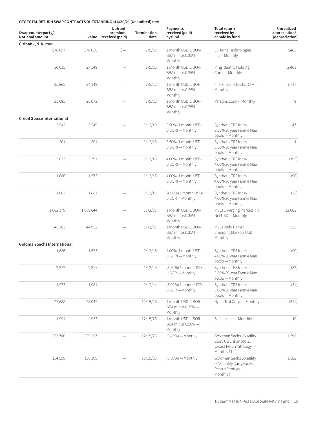| Swap counterparty/<br>Notional amount |           | Upfront<br>premium<br>Value received (paid) | <b>Termination</b><br>date | Payments<br>received (paid)<br>by fund             | <b>Total return</b><br>received by<br>or paid by fund                                               | Unrealized<br>appreciation/<br>(depreciation) |
|---------------------------------------|-----------|---------------------------------------------|----------------------------|----------------------------------------------------|-----------------------------------------------------------------------------------------------------|-----------------------------------------------|
| Citibank, N.A. cont.                  |           |                                             |                            |                                                    |                                                                                                     |                                               |
| \$78,897                              | \$78,030  | $S-$                                        | 7/5/22                     | 1 month USD-LIBOR-<br>BBA minus 0.35% -<br>Monthly | L3Harris Technologies<br>$Inc$ – Monthly                                                            | \$485                                         |
| 30,015                                | 27,549    | $\qquad \qquad$                             | 7/5/22                     | 1 month USD-LIBOR-<br>BBA minus 0.35% -<br>Monthly | Ping Identity Holding<br>Corp. - Monthly                                                            | 2,461                                         |
| 35,865                                | 34,142    |                                             | 7/5/22                     | 1 month USD-LIBOR-<br>BBA minus 0.35% -<br>Monthly | First Citizens Bcshs-ClA-<br>Monthly                                                                | 1,717                                         |
| 25,085                                | 25,072    |                                             | 7/5/22                     | 1 month USD-LIBOR-<br>BBA minus 0.35% -<br>Monthly | Parsons Corp - Monthly                                                                              | 9                                             |
| <b>Credit Suisse International</b>    |           |                                             |                            |                                                    |                                                                                                     |                                               |
| 3,542                                 | 3,549     |                                             | 1/12/43                    | 3.50% (1 month USD-<br>$LIBOR$ ) — Monthly         | Synthetic TRS Index<br>3.50% 30 year Fannie Mae<br>pools - Monthly                                  | 47                                            |
| 301                                   | 301       |                                             | 1/12/43                    | 3.50% (1 month USD-<br>$LIBOR$ ) — Monthly         | Synthetic TRS Index<br>3.50% 30 year Fannie Mae<br>pools - Monthly                                  | $\overline{4}$                                |
| 3,633                                 | 3,391     |                                             | 1/12/45                    | 4.00% (1 month USD-<br>LIBOR) - Monthly            | Synthetic TRS Index<br>4.00% 30 year Fannie Mae<br>pools - Monthly                                  | (195)                                         |
| 1,686                                 | 1,573     |                                             | 1/12/45                    | 4.00% (1 month USD-<br>LIBOR) - Monthly            | Synthetic TRS Index<br>4.00% 30 year Fannie Mae<br>pools - Monthly                                  | (90)                                          |
| 1,883                                 | 1,881     |                                             | 1/12/41                    | (4.00%) 1 month USD-<br>$LIBOR$ – Monthly          | Synthetic TRS Index<br>4.00% 30 year Fannie Mae<br>pools - Monthly                                  | (22)                                          |
| 1,682,179                             | 1,669,844 |                                             | 11/2/21                    | 1 month USD-LIBOR-<br>BBA minus 0.35% -<br>Monthly | MSCI Emerging Markets TR<br>Net USD - Monthly                                                       | 12,002                                        |
| 45,263                                | 44,932    |                                             | 11/2/21                    | 1 month USD-LIBOR-<br>BBA minus 0.35% -<br>Monthly | MSCI Daily TR Net<br>Emerging Markets USD-<br>Monthly                                               | 323                                           |
| Goldman Sachs International           |           |                                             |                            |                                                    |                                                                                                     |                                               |
| 1,686                                 | 1,573     |                                             | 1/12/45                    | 4.00% (1 month USD-<br>LIBOR) - Monthly            | Synthetic TRS Index<br>4.00% 30 year Fannie Mae<br>pools - Monthly                                  | (90)                                          |
| 2,372                                 | 2,377     |                                             | 1/12/43                    | (3.50%) 1 month USD-<br>LIBOR - Monthly            | Synthetic TRS Index<br>3.50% 30 year Fannie Mae<br>pools-Monthly                                    | (32)                                          |
| 1,973                                 | 1,981     |                                             | 1/12/44                    | (3.00%) 1 month USD-<br>$LIBOR$ – Monthly          | Synthetic TRS Index<br>3.00% 30 year Fannie Mae<br>pools - Monthly                                  | (31)                                          |
| 27,688                                | 28,042    |                                             | 12/15/25                   | 1 month USD-LIBOR-<br>BBA minus 0.35% -<br>Monthly | Open Text Corp. - Monthly                                                                           | (371)                                         |
| 4,994                                 | 4,953     |                                             | 12/15/25                   | 1 month USD-LIBOR-<br>BBA minus 0.50% -<br>Monthly | Sillajen Inc. - Monthly                                                                             | 40                                            |
| 233,780                               | 235,217   |                                             | 12/15/25                   | $(0.45\%)$ – Monthly                               | Goldman Sachs Volatility<br>Carry US Enhanced 3x<br>Excess Return Strategy-<br>Monthly <sup>†</sup> | 1,396                                         |
| 154,599                               | 156,199   |                                             | 12/15/25                   | $(0.30\%)$ – Monthly                               | Goldman Sachs Volatility<br>of Volatility Carry Excess<br>Return Strategy-<br>Monthly †             | 1,582                                         |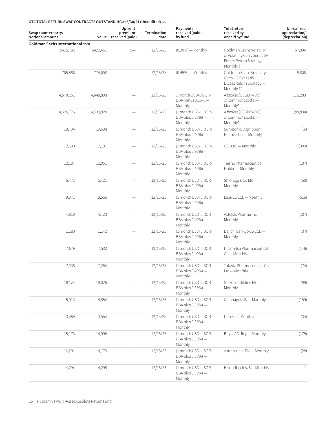| Swap counterparty/<br>Notional amount |           | Upfront<br>premium<br>Value received (paid) | <b>Termination</b><br>date | Payments<br>received (paid)<br>by fund              | <b>Total return</b><br>received by<br>or paid by fund                                              | Unrealized<br>appreciation/<br>(depreciation) |
|---------------------------------------|-----------|---------------------------------------------|----------------------------|-----------------------------------------------------|----------------------------------------------------------------------------------------------------|-----------------------------------------------|
| Goldman Sachs International cont.     |           |                                             |                            |                                                     |                                                                                                    |                                               |
| \$415,782                             | \$422,451 | \$—                                         | 12/15/25                   | $(0.30\%)$ - Monthly                                | Goldman Sachs Volatility<br>of Volatility Carry Series 69<br>Excess Return Strategy-<br>Monthly †  | \$7,834                                       |
| 765,886                               | 774,692   |                                             | 12/15/25                   | $(0.45\%)$ – Monthly                                | Goldman Sachs Volatility<br>Carry US Series 85<br>Excess Return Strategy-<br>Monthly <sup>11</sup> | 8,806                                         |
| 4,570,251                             | 4,448,898 | L.                                          | 12/15/25                   | 1 month USD-LIBOR-<br>BBA minus 0.15% -<br>Monthly  | A basket (GSGLPWDS)<br>of common stocks-<br>Monthly*                                               | 116,283                                       |
| 4,626,726                             | 4,530,820 |                                             | 12/15/25                   | (1 month USD-LIBOR-<br>BBA plus 0.50%) -<br>Monthly | A basket (GSGLPWDL)<br>of common stocks-<br>Monthly*                                               | (88, 894)                                     |
| 19,704                                | 19,698    |                                             | 12/15/25                   | (1 month USD-LIBOR-<br>BBA plus 0.40%) -<br>Monthly | Sumitomo Dajnippon<br>Pharma Co. - Monthly                                                         | (6)                                           |
| 12,500                                | 12,191    |                                             | 12/15/25                   | (1 month USD-LIBOR-<br>BBA plus 0.30%) -<br>Monthly | CSL Ltd. - Monthly                                                                                 | (309)                                         |
| 12,187                                | 12,051    |                                             | 12/15/25                   | (1 month USD-LIBOR-<br>BBA plus 0.40%) -<br>Monthly | Taisho Pharmaceutical<br>Holdin - Monthly                                                          | (137)                                         |
| 5,471                                 | 5,421     |                                             | 12/15/25                   | (1 month USD-LIBOR-<br>BBA plus 0.40%) -<br>Monthly | Shionogi & Co Ltd-<br>Monthly                                                                      | (50)                                          |
| 9,071                                 | 8,556     |                                             | 12/15/25                   | (1 month USD-LIBOR-<br>BBA plus 0.40%) -<br>Monthly | Eisai Co Ltd. - Monthly                                                                            | (516)                                         |
| 4,610                                 | 4,423     |                                             | 12/15/25                   | (1 month USD-LIBOR-<br>BBA plus 0.40%) -<br>Monthly | Astellas Pharma Inc. -<br>Monthly                                                                  | (187)                                         |
| 1,180                                 | 1,142     |                                             | 12/15/25                   | (1 month USD-LIBOR-<br>BBA plus 0.40%) -<br>Monthly | Dajichi Sankyo Co Ltd. -<br>Monthly                                                                | (37)                                          |
| 7,679                                 | 7,533     |                                             | 12/15/25                   | (1 month USD-LIBOR-<br>BBA plus 0.40%) -<br>Monthly | Hisamitsu Pharmaceutical<br>$Co - Monthly$                                                         | (146)                                         |
| 7,338                                 | 7,264     |                                             | 12/15/25                   | (1 month USD-LIBOR-<br>BBA plus 0.40%) -<br>Monthly | Takeda Pharmaceutical Co<br>$Ltd$ – Monthly                                                        | (74)                                          |
| 19,124                                | 19,026    |                                             | 12/15/25                   | (1 month USD-LIBOR-<br>BBA plus 0.35%) -<br>Monthly | Glaxosmithkline Plc-<br>Monthly                                                                    | (99)                                          |
| 5,013                                 | 4,854     |                                             | 12/15/25                   | (1 month USD-LIBOR-<br>BBA plus 0.35%) -<br>Monthly | Galapagos NV - Monthly                                                                             | (159)                                         |
| 3,589                                 | 3,554     |                                             | 12/15/25                   | (1 month USD-LIBOR-<br>BBA plus 0.35%) -<br>Monthly | Ucb Sa - Monthly                                                                                   | (34)                                          |
| 15,173                                | 14,998    |                                             | 12/15/25                   | (1 month USD-LIBOR-<br>BBA plus 0.35%) -<br>Monthly | Bayer AG-Reg-Monthly                                                                               | (175)                                         |
| 14,201                                | 14,173    | —                                           | 12/15/25                   | (1 month USD-LIBOR-<br>BBA plus 0.35%) -<br>Monthly | Astrazeneca Plc - Monthly                                                                          | (28)                                          |
| 4,294                                 | 4,295     |                                             | 12/15/25                   | (1 month USD-LIBOR-<br>BBA plus 0.35%) -<br>Monthly | H Lundbeck A/S - Monthly                                                                           | $\mathbf{1}$                                  |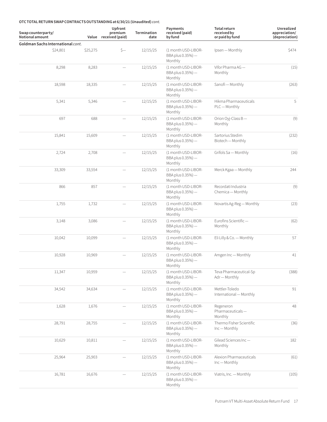| Swap counterparty/<br>Notional amount |          | Upfront<br>premium<br>Value received (paid) | Termination<br>date | Payments<br>received (paid)<br>by fund              | <b>Total return</b><br>received by<br>or paid by fund | Unrealized<br>appreciation/<br>(depreciation) |
|---------------------------------------|----------|---------------------------------------------|---------------------|-----------------------------------------------------|-------------------------------------------------------|-----------------------------------------------|
| Goldman Sachs International cont.     |          |                                             |                     |                                                     |                                                       |                                               |
| \$24,801                              | \$25,275 | $s-$                                        | 12/15/25            | (1 month USD-LIBOR-<br>BBA plus 0.35%) -<br>Monthly | Ipsen - Monthly                                       | \$474                                         |
| 8,298                                 | 8,283    | $\overline{\phantom{m}}$                    | 12/15/25            | (1 month USD-LIBOR-<br>BBA plus 0.35%) -<br>Monthly | Vifor Pharma AG-<br>Monthly                           | (15)                                          |
| 18,598                                | 18,335   |                                             | 12/15/25            | (1 month USD-LIBOR-<br>BBA plus 0.35%) -<br>Monthly | Sanofi-Monthly                                        | (263)                                         |
| 5,341                                 | 5,346    | $\overline{\phantom{0}}$                    | 12/15/25            | (1 month USD-LIBOR-<br>BBA plus 0.35%) -<br>Monthly | Hikma Pharmaceuticals<br>PLC - Monthly                | 5                                             |
| 697                                   | 688      | $\overline{\phantom{m}}$                    | 12/15/25            | (1 month USD-LIBOR-<br>BBA plus 0.35%) -<br>Monthly | Orion Oyj-Class B-<br>Monthly                         | (9)                                           |
| 15,841                                | 15,609   |                                             | 12/15/25            | (1 month USD-LIBOR-<br>BBA plus 0.35%) -<br>Monthly | Sartorius Stedim<br>Biotech - Monthly                 | (232)                                         |
| 2,724                                 | 2,708    |                                             | 12/15/25            | (1 month USD-LIBOR-<br>BBA plus 0.35%) -<br>Monthly | Grifols Sa - Monthly                                  | (16)                                          |
| 33,309                                | 33,554   | $\overline{\phantom{m}}$                    | 12/15/25            | (1 month USD-LIBOR-<br>BBA plus 0.35%) -<br>Monthly | Merck Kgaa - Monthly                                  | 244                                           |
| 866                                   | 857      | $\overline{\phantom{0}}$                    | 12/15/25            | (1 month USD-LIBOR-<br>BBA plus 0.35%) -<br>Monthly | Recordati Industria<br>Chemica - Monthly              | (9)                                           |
| 1,755                                 | 1,732    |                                             | 12/15/25            | (1 month USD-LIBOR-<br>BBA plus 0.35%) -<br>Monthly | Novartis Ag-Reg - Monthly                             | (23)                                          |
| 3,148                                 | 3,086    | $\overline{\phantom{m}}$                    | 12/15/25            | (1 month USD-LIBOR-<br>BBA plus 0.35%) -<br>Monthly | Eurofins Scientific-<br>Monthly                       | (62)                                          |
| 10,042                                | 10,099   | $\overline{\phantom{0}}$                    | 12/15/25            | (1 month USD-LIBOR-<br>BBA plus 0.35%) -<br>Monthly | Eli Lilly & Co. - Monthly                             | 57                                            |
| 10,928                                | 10,969   |                                             | 12/15/25            | (1 month USD-LIBOR-<br>BBA plus 0.35%) -<br>Monthly | Amgen Inc - Monthly                                   | 41                                            |
| 11,347                                | 10,959   |                                             | 12/15/25            | (1 month USD-LIBOR-<br>BBA plus 0.35%) -<br>Monthly | Teva Pharmaceutical-Sp<br>Adr - Monthly               | (388)                                         |
| 34,542                                | 34,634   |                                             | 12/15/25            | (1 month USD-LIBOR-<br>BBA plus 0.35%) -<br>Monthly | Mettler-Toledo<br>International - Monthly             | 91                                            |
| 1,628                                 | 1,676    |                                             | 12/15/25            | (1 month USD-LIBOR-<br>BBA plus 0.35%) -<br>Monthly | Regeneron<br>Pharmaceuticals-<br>Monthly              | 48                                            |
| 28,791                                | 28,755   | $\overline{\phantom{m}}$                    | 12/15/25            | (1 month USD-LIBOR-<br>BBA plus 0.35%) -<br>Monthly | Thermo Fisher Scientific<br>Inc-Monthly               | (36)                                          |
| 10,629                                | 10,811   |                                             | 12/15/25            | (1 month USD-LIBOR-<br>BBA plus 0.35%) -<br>Monthly | Gilead Sciences Inc-<br>Monthly                       | 182                                           |
| 25,964                                | 25,903   |                                             | 12/15/25            | (1 month USD-LIBOR-<br>BBA plus 0.35%) -<br>Monthly | Alexion Pharmaceuticals<br>Inc-Monthly                | (61)                                          |
| 16,781                                | 16,676   | $\overline{\phantom{0}}$                    | 12/15/25            | (1 month USD-LIBOR-<br>BBA plus 0.35%) -<br>Monthly | Viatris, Inc. - Monthly                               | (105)                                         |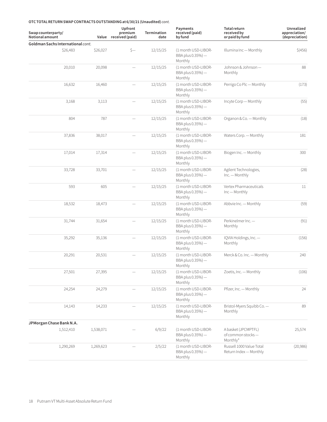| Swap counterparty/<br>Notional amount |           | Upfront<br>premium<br>Value received (paid) | Termination<br>date | Payments<br>received (paid)<br>by fund              | <b>Total return</b><br>received by<br>or paid by fund | Unrealized<br>appreciation/<br>(depreciation) |
|---------------------------------------|-----------|---------------------------------------------|---------------------|-----------------------------------------------------|-------------------------------------------------------|-----------------------------------------------|
| Goldman Sachs International cont.     |           |                                             |                     |                                                     |                                                       |                                               |
| \$26,483                              | \$26,027  | $\zeta-$                                    | 12/15/25            | (1 month USD-LIBOR-<br>BBA plus 0.35%) -<br>Monthly | Illumina Inc - Monthly                                | \$ (456)                                      |
| 20,010                                | 20,098    |                                             | 12/15/25            | (1 month USD-LIBOR-<br>BBA plus 0.35%) -<br>Monthly | Johnson & Johnson-<br>Monthly                         | 88                                            |
| 16,632                                | 16,460    |                                             | 12/15/25            | (1 month USD-LIBOR-<br>BBA plus 0.35%) -<br>Monthly | Perrigo Co Plc - Monthly                              | (173)                                         |
| 3,168                                 | 3,113     |                                             | 12/15/25            | (1 month USD-LIBOR-<br>BBA plus 0.35%) -<br>Monthly | Incyte Corp - Monthly                                 | (55)                                          |
| 804                                   | 787       |                                             | 12/15/25            | (1 month USD-LIBOR-<br>BBA plus 0.35%) -<br>Monthly | Organon & Co. - Monthly                               | (18)                                          |
| 37,836                                | 38,017    |                                             | 12/15/25            | (1 month USD-LIBOR-<br>BBA plus 0.35%) -<br>Monthly | Waters Corp. - Monthly                                | 181                                           |
| 17,014                                | 17,314    |                                             | 12/15/25            | (1 month USD-LIBOR-<br>BBA plus 0.35%) -<br>Monthly | Biogen Inc. - Monthly                                 | 300                                           |
| 33,728                                | 33,701    |                                             | 12/15/25            | (1 month USD-LIBOR-<br>BBA plus 0.35%) -<br>Monthly | Agilent Technologies,<br>Inc. - Monthly               | (28)                                          |
| 593                                   | 605       |                                             | 12/15/25            | (1 month USD-LIBOR-<br>BBA plus 0.35%) -<br>Monthly | Vertex Pharmaceuticals<br>Inc-Monthly                 | 11                                            |
| 18,532                                | 18,473    | $\qquad \qquad -$                           | 12/15/25            | (1 month USD-LIBOR-<br>BBA plus 0.35%) -<br>Monthly | Abbvie Inc. - Monthly                                 | (59)                                          |
| 31,744                                | 31,654    |                                             | 12/15/25            | (1 month USD-LIBOR-<br>BBA plus 0.35%) -<br>Monthly | Perkinelmer Inc. -<br>Monthly                         | (91)                                          |
| 35,292                                | 35,136    |                                             | 12/15/25            | (1 month USD-LIBOR-<br>BBA plus 0.35%) -<br>Monthly | IQVIA Holdings, Inc. -<br>Monthly                     | (156)                                         |
| 20,291                                | 20,531    |                                             | 12/15/25            | (1 month USD-LIBOR-<br>BBA plus 0.35%) -<br>Monthly | Merck & Co. Inc. - Monthly                            | 240                                           |
| 27,501                                | 27,395    |                                             | 12/15/25            | (1 month USD-LIBOR-<br>BBA plus 0.35%) -<br>Monthly | Zoetis, Inc. - Monthly                                | (106)                                         |
| 24,254                                | 24,279    |                                             | 12/15/25            | (1 month USD-LIBOR-<br>BBA plus 0.35%) -<br>Monthly | Pfizer, Inc. - Monthly                                | 24                                            |
| 14,143                                | 14,233    |                                             | 12/15/25            | (1 month USD-LIBOR-<br>BBA plus 0.35%) -<br>Monthly | Bristol-Myers Squibb Co. -<br>Monthly                 | 89                                            |
| JPMorgan Chase Bank N.A.              |           |                                             |                     |                                                     |                                                       |                                               |
| 1,512,410                             | 1,538,071 |                                             | 6/9/22              | (1 month USD-LIBOR-<br>BBA plus 0.35%) -<br>Monthly | A basket (JPCMPTFL)<br>of common stocks-<br>Monthly*  | 25,574                                        |
| 1,290,269                             | 1,269,623 |                                             | 2/5/22              | (1 month USD-LIBOR-<br>BBA plus 0.35%) -<br>Monthly | Russell 1000 Value Total<br>Return Index - Monthly    | (20, 986)                                     |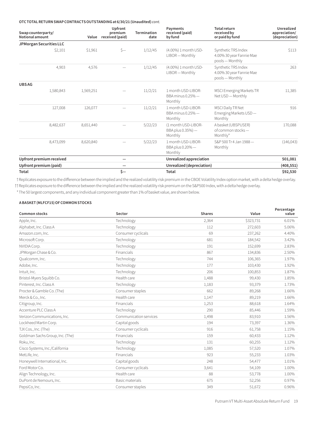| Swap counterparty/<br><b>Notional amount</b> | Value     | Upfront<br>premium<br>received (paid) | <b>Termination</b><br>date | <b>Payments</b><br>received (paid)<br>by fund       | <b>Total return</b><br>received by<br>or paid by fund              | Unrealized<br>appreciation/<br>(depreciation) |
|----------------------------------------------|-----------|---------------------------------------|----------------------------|-----------------------------------------------------|--------------------------------------------------------------------|-----------------------------------------------|
| JPMorgan Securities LLC                      |           |                                       |                            |                                                     |                                                                    |                                               |
| \$2,101                                      | \$1,961   | $s-$                                  | 1/12/45                    | (4.00%) 1 month USD-<br>LIBOR - Monthly             | Synthetic TRS Index<br>4.00% 30 year Fannie Mae<br>pools - Monthly | \$113                                         |
| 4,903                                        | 4,576     |                                       | 1/12/45                    | (4.00%) 1 month USD-<br>LIBOR - Monthly             | Synthetic TRS Index<br>4.00% 30 year Fannie Mae<br>pools - Monthly | 263                                           |
| <b>UBSAG</b>                                 |           |                                       |                            |                                                     |                                                                    |                                               |
| 1,580,843                                    | 1,569,251 |                                       | 11/2/21                    | 1 month USD-LIBOR-<br>BBA minus 0.25% -<br>Monthly  | MSCI Emerging Markets TR<br>Net USD - Monthly                      | 11,385                                        |
| 127,008                                      | 126,077   |                                       | 11/2/21                    | 1 month USD-LIBOR-<br>BBA minus 0.25% -<br>Monthly  | MSCI Daily TR Net<br>Emerging Markets USD-<br>Monthly              | 916                                           |
| 8,482,637                                    | 8,651,440 |                                       | 5/22/23                    | (1 month USD-LIBOR-<br>BBA plus 0.35%) -<br>Monthly | A basket (UBSPUSER)<br>of common stocks-<br>Monthly*               | 170,088                                       |
| 8,473,099                                    | 8,620,840 |                                       | 5/22/23                    | 1 month USD-LIBOR-<br>BBA plus 0.20% -<br>Monthly   | S&P 500 Tr 4 Jan 1988-<br>Monthly                                  | (146, 043)                                    |
| Upfront premium received                     |           |                                       |                            | Unrealized appreciation                             |                                                                    | 501,081                                       |
| Upfront premium (paid)                       |           |                                       |                            | Unrealized (depreciation)                           |                                                                    | (408, 551)                                    |
| Total                                        |           | \$—                                   |                            | Total                                               |                                                                    | \$92,530                                      |

† Replicates exposure to the difference between the implied and the realized volatility risk premium in the CBOE Volatility Index option market, with a delta hedge overlay. †† Replicates exposure to the difference between the implied and the realized volatility risk premium on the S&P500 Index, with a delta hedge overlay.

\* The 50 largest components, and any individual component greater than 1% of basket value, are shown below.

#### **A BASKET (MLFCF15) OF COMMON STOCKS**

| <b>Common stocks</b>            | Sector                 | <b>Shares</b> | Value     | Percentage<br>value |
|---------------------------------|------------------------|---------------|-----------|---------------------|
| Apple, Inc.                     | Technology             | 2,364         | \$323,731 | 6.01%               |
| Alphabet, Inc. Class A          | Technology             | 112           | 272,603   | 5.06%               |
| Amazon.com, Inc.                | Consumer cyclicals     | 69            | 237,262   | 4.40%               |
| Microsoft Corp.                 | Technology             | 681           | 184,542   | 3.42%               |
| NVIDIA Corp.                    | Technology             | 191           | 152,699   | 2.83%               |
| JPMorgan Chase & Co.            | Financials             | 867           | 134,836   | 2.50%               |
| Qualcomm, Inc.                  | Technology             | 744           | 106,365   | 1.97%               |
| Adobe, Inc.                     | Technology             | 177           | 103,430   | 1.92%               |
| Intuit, Inc.                    | Technology             | 206           | 100,853   | 1.87%               |
| Bristol-Myers Squibb Co.        | Health care            | 1,488         | 99,430    | 1.85%               |
| Pinterest, Inc. Class A         | Technology             | 1,183         | 93,379    | 1.73%               |
| Procter & Gamble Co. (The)      | Consumer staples       | 662           | 89,268    | 1.66%               |
| Merck & Co., Inc.               | Health care            | 1,147         | 89,219    | 1.66%               |
| Citigroup, Inc.                 | <b>Financials</b>      | 1,253         | 88,618    | 1.64%               |
| Accenture PLC Class A           | Technology             | 290           | 85,446    | 1.59%               |
| Verizon Communications, Inc.    | Communication services | 1,498         | 83,910    | 1.56%               |
| Lockheed Martin Corp.           | Capital goods          | 194           | 73,397    | 1.36%               |
| TJX Cos., Inc. (The)            | Consumer cyclicals     | 916           | 61,758    | 1.15%               |
| Goldman Sachs Group, Inc. (The) | <b>Financials</b>      | 159           | 60,433    | 1.12%               |
| Roku, Inc.                      | Technology             | 131           | 60,255    | 1.12%               |
| Cisco Systems, Inc./California  | Technology             | 1,085         | 57,520    | 1.07%               |
| MetLife, Inc.                   | Financials             | 923           | 55,233    | 1.03%               |
| Honeywell International, Inc.   | Capital goods          | 248           | 54,477    | 1.01%               |
| Ford Motor Co.                  | Consumer cyclicals     | 3,641         | 54,109    | 1.00%               |
| Align Technology, Inc.          | Health care            | 88            | 53,778    | 1.00%               |
| DuPont de Nemours, Inc.         | <b>Basic materials</b> | 675           | 52,256    | 0.97%               |
| PepsiCo, Inc.                   | Consumer staples       | 349           | 51,672    | 0.96%               |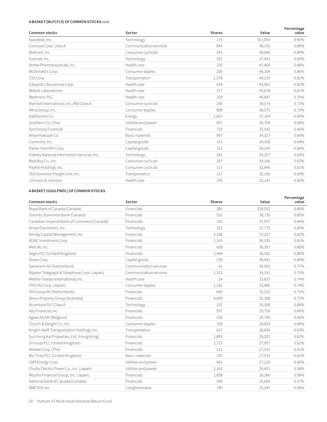#### **A BASKET (MLFCF15) OF COMMON STOCKS** *cont.*

| <b>Common stocks</b>                         | Sector                 | <b>Shares</b> | Value    | Percentage<br>value |
|----------------------------------------------|------------------------|---------------|----------|---------------------|
| Autodesk, Inc.                               | Technology             | 175           | \$51,054 | 0.95%               |
| Comcast Corp. Class A                        | Communication services | 844           | 48,105   | 0.89%               |
| Walmart, Inc.                                | Consumer cyclicals     | 341           | 48,096   | 0.89%               |
| Fortinet, Inc.                               | Technology             | 201           | 47,943   | 0.89%               |
| Vertex Pharmaceuticals, Inc.                 | Health care            | 235           | 47,400   | 0.88%               |
| McDonald's Corp.                             | Consumer staples       | 200           | 46,104   | 0.86%               |
| CSX Corp.                                    | Transportation         | 1,378         | 44,210   | 0.82%               |
| Edwards Lifesciences Corp.                   | Health care            | 424           | 43,901   | 0.81%               |
| Abbott Laboratories                          | Health care            | 377           | 43,678   | 0.81%               |
| Medtronic PLC                                | Health care            | 329           | 40,887   | 0.76%               |
| Marriott International, Inc./MD Class A      | Consumer cyclicals     | 290           | 39,574   | 0.73%               |
| Altria Group, Inc.                           | Consumer staples       | 809           | 38,575   | 0.72%               |
| Halliburton Co.                              | Energy                 | 1,607         | 37,164   | 0.69%               |
| Southern Co. (The)                           | Utilities and power    | 607           | 36,708   | 0.68%               |
| Synchrony Financial                          | Financials             | 733           | 35,542   | 0.66%               |
| Weyerhaeuser Co.                             | Basic materials        | 997           | 34,327   | 0.64%               |
| Cummins, Inc.                                | Capital goods          | 141           | 34,308   | 0.64%               |
| Parker Hannifin Corp.                        | Capital goods          | 111           | 34,240   | 0.64%               |
| Fidelity National Information Services, Inc. | Technology             | 241           | 34,207   | 0.63%               |
| Best Buy Co., Inc.                           | Consumer cyclicals     | 297           | 34,166   | 0.63%               |
| PayPal Holdings, Inc.                        | Consumer cyclicals     | 113           | 32,846   | 0.61%               |
| Old Dominion Freight Line, Inc.              | Transportation         | 127           | 32,160   | 0.60%               |
| Johnson & Johnson                            | Health care            | 195           | 32,141   | 0.60%               |

#### **A BASKET (GSGLPWDL) OF COMMON STOCKS**

| <b>Common stocks</b>                        | Sector                 | <b>Shares</b> | Value    | Percentage<br>value |
|---------------------------------------------|------------------------|---------------|----------|---------------------|
| Royal Bank of Canada (Canada)               | Financials             | 385           | \$39,052 | 0.86%               |
| Toronto-Dominion Bank (Canada)              | Financials             | 552           | 38,736   | 0.85%               |
| Canadian Imperial Bank of Commerce (Canada) | Financials             | 335           | 37,957   | 0.84%               |
| Arrow Electronics, Inc.                     | Technology             | 331           | 37,779   | 0.83%               |
| Annaly Capital Management, Inc.             | Financials             | 4,196         | 37,257   | 0.82%               |
| AGNC Investment Corp.                       | Financials             | 2,163         | 36,535   | 0.81%               |
| MetLife, Inc.                               | Financials             | 608           | 36,397   | 0.80%               |
| Segro PLC (United Kingdom)                  | Financials             | 2,404         | 36,392   | 0.80%               |
| Dover Corp.                                 | Capital goods          | 239           | 36,041   | 0.80%               |
| Swisscom AG (Switzerland)                   | Communication services | 61            | 34,902   | 0.77%               |
| Nippon Telegraph & Telephone Corp. (Japan)  | Communication services | 1,312         | 34,191   | 0.75%               |
| Mettler-Toledo International, Inc.          | Health care            | 24            | 33,657   | 0.74%               |
| ITOCHU Corp. (Japan)                        | Consumer staples       | 1,162         | 33,466   | 0.74%               |
| NN Group NV (Netherlands)                   | Financials             | 690           | 32,525   | 0.72%               |
| Dexus Property Group (Australia)            | Financials             | 4,049         | 32,398   | 0.72%               |
| Accenture PLC Class A                       | Technology             | 102           | 30,008   | 0.66%               |
| Ally Financial, Inc.                        | Financials             | 597           | 29,759   | 0.66%               |
| Ageas SA/NV (Belgium)                       | Financials             | 536           | 29,740   | 0.66%               |
| Church & Dwight Co., Inc.                   | Consumer staples       | 339           | 28,824   | 0.64%               |
| Knight-Swift Transportation Holdings, Inc.  | Transportation         | 627           | 28,694   | 0.63%               |
| Sun Hung Kai Properties, Ltd. (Hong Kong)   | Financials             | 1,893         | 28,207   | 0.62%               |
| 3i Group PLC (United Kingdom)               | Financials             | 1,723         | 27,957   | 0.62%               |
| Allstate Corp. (The)                        | Financials             | 211           | 27,542   | 0.61%               |
| Rio Tinto PLC (United Kingdom)              | <b>Basic materials</b> | 335           | 27,533   | 0.61%               |
| CMS Energy Corp.                            | Utilities and power    | 461           | 27,120   | 0.60%               |
| Chubu Electric Power Co., Inc. (Japan)      | Utilities and power    | 2,162         | 26,431   | 0.58%               |
| Mizuho Financial Group, Inc. (Japan)        | Financials             | 1,838         | 26,260   | 0.58%               |
| National Bank of Canada (Canada)            | Financials             | 340           | 25,654   | 0.57%               |
| AMETEK, Inc.                                | Conglomerates          | 190           | 25,347   | 0.56%               |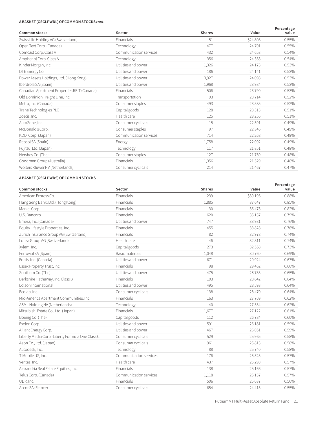#### **A BASKET (GSGLPWDL) OF COMMON STOCKS** *cont.*

| Common stocks                               | Sector                 | <b>Shares</b> | Value    | Percentage<br>value |
|---------------------------------------------|------------------------|---------------|----------|---------------------|
| Swiss Life Holding AG (Switzerland)         | Financials             | 51            | \$24,808 | 0.55%               |
| Open Text Corp. (Canada)                    | Technology             | 477           | 24,701   | 0.55%               |
| Comcast Corp. Class A                       | Communication services | 432           | 24,653   | 0.54%               |
| Amphenol Corp. Class A                      | Technology             | 356           | 24,363   | 0.54%               |
| Kinder Morgan, Inc.                         | Utilities and power    | 1,326         | 24,173   | 0.53%               |
| DTE Energy Co.                              | Utilities and power    | 186           | 24,141   | 0.53%               |
| Power Assets Holdings, Ltd. (Hong Kong)     | Utilities and power    | 3,927         | 24,098   | 0.53%               |
| Iberdrola SA (Spain)                        | Utilities and power    | 1,968         | 23,984   | 0.53%               |
| Canadian Apartment Properties REIT (Canada) | Financials             | 506           | 23,790   | 0.53%               |
| Old Dominion Freight Line, Inc.             | Transportation         | 93            | 23,714   | 0.52%               |
| Metro, Inc. (Canada)                        | Consumer staples       | 493           | 23,585   | 0.52%               |
| Trane Technologies PLC                      | Capital goods          | 128           | 23,313   | 0.51%               |
| Zoetis, Inc.                                | Health care            | 125           | 23,256   | 0.51%               |
| AutoZone, Inc.                              | Consumer cyclicals     | 15            | 22,391   | 0.49%               |
| McDonald's Corp.                            | Consumer staples       | 97            | 22,346   | 0.49%               |
| KDDI Corp. (Japan)                          | Communication services | 714           | 22,268   | 0.49%               |
| Repsol SA (Spain)                           | Energy                 | 1,758         | 22,002   | 0.49%               |
| Fujitsu, Ltd. (Japan)                       | Technology             | 117           | 21,851   | 0.48%               |
| Hershey Co. (The)                           | Consumer staples       | 127           | 21,769   | 0.48%               |
| Goodman Group (Australia)                   | Financials             | 1,356         | 21,529   | 0.48%               |
| Wolters Kluwer NV (Netherlands)             | Consumer cyclicals     | 214           | 21,467   | 0.47%               |
|                                             |                        |               |          |                     |

#### **A BASKET (GSGLPWDS) OF COMMON STOCKS**

| <b>Common stocks</b>                            | Sector                 | <b>Shares</b> | Value    | Percentage<br>value |
|-------------------------------------------------|------------------------|---------------|----------|---------------------|
| American Express Co.                            | Financials             | 239           | \$39,196 | 0.88%               |
| Hang Seng Bank, Ltd. (Hong Kong)                | Financials             | 1,885         | 37,647   | 0.85%               |
| Markel Corp.                                    | Financials             | 30            | 36,473   | 0.82%               |
| U.S. Bancorp                                    | Financials             | 620           | 35,137   | 0.79%               |
| Emera, Inc. (Canada)                            | Utilities and power    | 747           | 33,981   | 0.76%               |
| Equity Lifestyle Properties, Inc.               | Financials             | 455           | 33,828   | 0.76%               |
| Zurich Insurance Group AG (Switzerland)         | Financials             | 82            | 32,978   | 0.74%               |
| Lonza Group AG (Switzerland)                    | Health care            | 46            | 32,811   | 0.74%               |
| Xylem, Inc.                                     | Capital goods          | 273           | 32,558   | 0.73%               |
| Ferrovial SA (Spain)                            | <b>Basic materials</b> | 1,048         | 30,760   | 0.69%               |
| Fortis, Inc. (Canada)                           | Utilities and power    | 671           | 29,924   | 0.67%               |
| Essex Property Trust, Inc.                      | Financials             | 98            | 29,462   | 0.66%               |
| Southern Co. (The)                              | Utilities and power    | 475           | 28,753   | 0.65%               |
| Berkshire Hathaway, Inc. Class B                | Financials             | 103           | 28,642   | 0.64%               |
| Edison International                            | Utilities and power    | 495           | 28,593   | 0.64%               |
| Ecolab, Inc.                                    | Consumer cyclicals     | 138           | 28,470   | 0.64%               |
| Mid-America Apartment Communities, Inc.         | Financials             | 163           | 27,769   | 0.62%               |
| ASML Holding NV (Netherlands)                   | Technology             | 40            | 27,554   | 0.62%               |
| Mitsubishi Estate Co., Ltd. (Japan)             | Financials             | 1,677         | 27,122   | 0.61%               |
| Boeing Co. (The)                                | Capital goods          | 112           | 26,784   | 0.60%               |
| Exelon Corp.                                    | Utilities and power    | 591           | 26,181   | 0.59%               |
| Alliant Energy Corp.                            | Utilities and power    | 467           | 26,051   | 0.59%               |
| Liberty Media Corp.-Liberty Formula One Class C | Consumer cyclicals     | 529           | 25,965   | 0.58%               |
| Aeon Co., Ltd. (Japan)                          | Consumer cyclicals     | 961           | 25,813   | 0.58%               |
| Autodesk, Inc.                                  | Technology             | 88            | 25,740   | 0.58%               |
| T-Mobile US, Inc.                               | Communication services | 176           | 25,525   | 0.57%               |
| Ventas, Inc.                                    | Health care            | 437           | 25,298   | 0.57%               |
| Alexandria Real Estate Equities, Inc.           | Financials             | 138           | 25,166   | 0.57%               |
| Telus Corp. (Canada)                            | Communication services | 1,118         | 25,137   | 0.57%               |
| UDR, Inc.                                       | Financials             | 506           | 25,037   | 0.56%               |
| Accor SA (France)                               | Consumer cyclicals     | 654           | 24,415   | 0.55%               |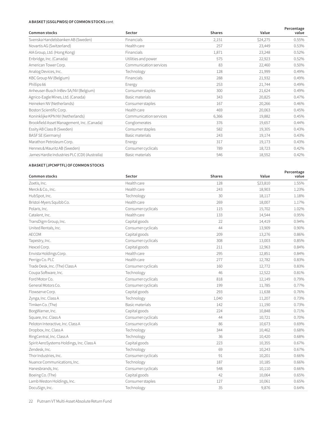#### **A BASKET (GSGLPWDS) OF COMMON STOCKS** *cont.*

| <b>Common stocks</b>                          | Sector                 | <b>Shares</b> | Value    | Percentage<br>value |
|-----------------------------------------------|------------------------|---------------|----------|---------------------|
| Svenska Handelsbanken AB (Sweden)             | Financials             | 2,151         | \$24,275 | 0.55%               |
| Novartis AG (Switzerland)                     | Health care            | 257           | 23,449   | 0.53%               |
| AIA Group, Ltd. (Hong Kong)                   | Financials             | 1,871         | 23,248   | 0.52%               |
| Enbridge, Inc. (Canada)                       | Utilities and power    | 575           | 22,923   | 0.52%               |
| American Tower Corp.                          | Communication services | 83            | 22,460   | 0.50%               |
| Analog Devices, Inc.                          | Technology             | 128           | 21,999   | 0.49%               |
| KBC Group NV (Belgium)                        | Financials             | 288           | 21,932   | 0.49%               |
| Phillips 66                                   | Energy                 | 253           | 21,744   | 0.49%               |
| Anheuser-Busch InBev SA/NV (Belgium)          | Consumer staples       | 300           | 21,624   | 0.49%               |
| Agnico-Eagle Mines, Ltd. (Canada)             | Basic materials        | 343           | 20,825   | 0.47%               |
| Heineken NV (Netherlands)                     | Consumer staples       | 167           | 20,266   | 0.46%               |
| Boston Scientific Corp.                       | Health care            | 469           | 20,063   | 0.45%               |
| Koninklijke KPN NV (Netherlands)              | Communication services | 6,366         | 19,882   | 0.45%               |
| Brookfield Asset Management, Inc. (Canada)    | Conglomerates          | 376           | 19,657   | $0.44\%$            |
| Essity AB Class B (Sweden)                    | Consumer staples       | 582           | 19,305   | 0.43%               |
| <b>BASF SE (Germany)</b>                      | Basic materials        | 243           | 19,174   | 0.43%               |
| Marathon Petroleum Corp.                      | Energy                 | 317           | 19,173   | 0.43%               |
| Hennes & Mauritz AB (Sweden)                  | Consumer cyclicals     | 789           | 18,723   | 0.42%               |
| James Hardie Industries PLC (CDI) (Australia) | <b>Basic materials</b> | 546           | 18,552   | 0.42%               |

#### **A BASKET (JPCMPTFL) OF COMMON STOCKS**

| <b>Common stocks</b>                      | Sector                 | <b>Shares</b> | Value    | Percentage<br>value |
|-------------------------------------------|------------------------|---------------|----------|---------------------|
| Zoetis, Inc.                              | Health care            | 128           | \$23,810 | 1.55%               |
| Merck & Co., Inc.                         | Health care            | 243           | 18,903   | 1.23%               |
| HubSpot, Inc.                             | Technology             | 30            | 18,117   | 1.18%               |
| Bristol-Myers Squibb Co.                  | Health care            | 269           | 18,007   | 1.17%               |
| Polaris, Inc.                             | Consumer cyclicals     | 115           | 15,702   | 1.02%               |
| Catalent, Inc.                            | Health care            | 133           | 14,544   | 0.95%               |
| TransDigm Group, Inc.                     | Capital goods          | 22            | 14,419   | 0.94%               |
| United Rentals, Inc.                      | Consumer cyclicals     | 44            | 13,909   | 0.90%               |
| <b>AECOM</b>                              | Capital goods          | 209           | 13,276   | 0.86%               |
| Tapestry, Inc.                            | Consumer cyclicals     | 308           | 13,003   | 0.85%               |
| Hexcel Corp.                              | Capital goods          | 211           | 12,963   | 0.84%               |
| Envista Holdings Corp.                    | Health care            | 295           | 12,851   | 0.84%               |
| Perrigo Co. PLC                           | Health care            | 277           | 12,782   | 0.83%               |
| Trade Desk, Inc. (The) Class A            | Consumer cyclicals     | 160           | 12,772   | 0.83%               |
| Coupa Software, Inc.                      | Technology             | 46            | 12,522   | 0.81%               |
| Ford Motor Co.                            | Consumer cyclicals     | 818           | 12,149   | 0.79%               |
| General Motors Co.                        | Consumer cyclicals     | 199           | 11,785   | 0.77%               |
| Flowserve Corp.                           | Capital goods          | 293           | 11,638   | 0.76%               |
| Zynga, Inc. Class A                       | Technology             | 1,040         | 11,207   | 0.73%               |
| Timken Co. (The)                          | <b>Basic materials</b> | 142           | 11,190   | 0.73%               |
| BorgWarner, Inc.                          | Capital goods          | 224           | 10,848   | 0.71%               |
| Square, Inc. Class A                      | Consumer cyclicals     | 44            | 10,721   | 0.70%               |
| Peloton Interactive, Inc. Class A         | Consumer cyclicals     | 86            | 10,673   | 0.69%               |
| Dropbox, Inc. Class A                     | Technology             | 344           | 10,462   | 0.68%               |
| RingCentral, Inc. Class A                 | Technology             | 36            | 10,420   | 0.68%               |
| Spirit AeroSystems Holdings, Inc. Class A | Capital goods          | 223           | 10,355   | 0.67%               |
| Zendesk, Inc.                             | Technology             | 69            | 10,243   | 0.67%               |
| Thor Industries, Inc.                     | Consumer cyclicals     | 91            | 10,201   | 0.66%               |
| Nuance Communications, Inc.               | Technology             | 187           | 10,185   | 0.66%               |
| Hanesbrands, Inc.                         | Consumer cyclicals     | 548           | 10,110   | 0.66%               |
| Boeing Co. (The)                          | Capital goods          | 42            | 10,064   | 0.65%               |
| Lamb Weston Holdings, Inc.                | Consumer staples       | 127           | 10,061   | 0.65%               |
| DocuSign, Inc.                            | Technology             | 35            | 9,876    | 0.64%               |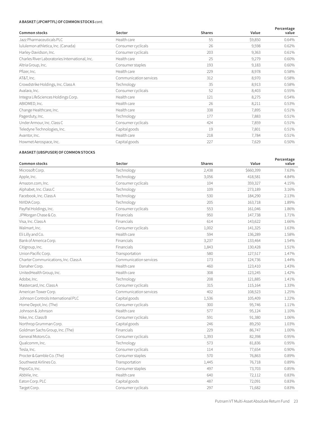#### **A BASKET (JPCMPTFL) OF COMMON STOCKS** *cont.*

| Sector                 | <b>Shares</b> | Value   | Percentage<br>value |
|------------------------|---------------|---------|---------------------|
| Health care            | 55            | \$9,850 | 0.64%               |
| Consumer cyclicals     | 26            | 9,598   | 0.62%               |
| Consumer cyclicals     | 203           | 9,363   | 0.61%               |
| Health care            | 25            | 9,279   | 0.60%               |
| Consumer staples       | 193           | 9,183   | 0.60%               |
| Health care            | 229           | 8,978   | 0.58%               |
| Communication services | 312           | 8,970   | 0.58%               |
| Technology             | 35            | 8,913   | 0.58%               |
| Consumer cyclicals     | 52            | 8,403   | 0.55%               |
| Health care            | 121           | 8,275   | 0.54%               |
| Health care            | 26            | 8,211   | 0.53%               |
| Health care            | 338           | 7,895   | 0.51%               |
| Technology             | 177           | 7,883   | 0.51%               |
| Consumer cyclicals     | 424           | 7,859   | 0.51%               |
| Capital goods          | 19            | 7,801   | 0.51%               |
| Health care            | 218           | 7,784   | 0.51%               |
| Capital goods          | 227           | 7,629   | 0.50%               |
|                        |               |         |                     |

#### **A BASKET (UBSPUSER) OF COMMON STOCKS**

| <b>Common stocks</b>                 | Sector                 | <b>Shares</b> | Value     | Percentage<br>value |
|--------------------------------------|------------------------|---------------|-----------|---------------------|
| Microsoft Corp.                      | Technology             | 2,438         | \$660,399 | 7.63%               |
| Apple, Inc.                          | Technology             | 3,056         | 418,581   | 4.84%               |
| Amazon.com, Inc.                     | Consumer cyclicals     | 104           | 359,327   | 4.15%               |
| Alphabet, Inc. Class C               | Technology             | 109           | 273,189   | 3.16%               |
| Facebook, Inc. Class A               | Technology             | 530           | 184,290   | 2.13%               |
| NVIDIA Corp.                         | Technology             | 205           | 163,718   | 1.89%               |
| PayPal Holdings, Inc.                | Consumer cyclicals     | 553           | 161,046   | 1.86%               |
| JPMorgan Chase & Co.                 | Financials             | 950           | 147,738   | 1.71%               |
| Visa, Inc. Class A                   | Financials             | 614           | 143,622   | 1.66%               |
| Walmart, Inc.                        | Consumer cyclicals     | 1,002         | 141,325   | 1.63%               |
| Eli Lilly and Co.                    | Health care            | 594           | 136,289   | 1.58%               |
| Bank of America Corp.                | Financials             | 3,237         | 133,464   | 1.54%               |
| Citigroup, Inc.                      | Financials             | 1,843         | 130,428   | 1.51%               |
| Union Pacific Corp.                  | Transportation         | 580           | 127,517   | 1.47%               |
| Charter Communications, Inc. Class A | Communication services | 173           | 124,736   | 1.44%               |
| Danaher Corp.                        | Health care            | 460           | 123,410   | 1.43%               |
| UnitedHealth Group, Inc.             | Health care            | 308           | 123,245   | 1.42%               |
| Adobe, Inc.                          | Technology             | 208           | 121,885   | 1.41%               |
| Mastercard, Inc. Class A             | Consumer cyclicals     | 315           | 115,164   | 1.33%               |
| American Tower Corp.                 | Communication services | 402           | 108,523   | 1.25%               |
| Johnson Controls International PLC   | Capital goods          | 1,536         | 105,409   | 1.22%               |
| Home Depot, Inc. (The)               | Consumer cyclicals     | 300           | 95,746    | 1.11%               |
| Johnson & Johnson                    | Health care            | 577           | 95,124    | 1.10%               |
| Nike, Inc. Class B                   | Consumer cyclicals     | 591           | 91,380    | 1.06%               |
| Northrop Grumman Corp.               | Capital goods          | 246           | 89,250    | 1.03%               |
| Goldman Sachs Group, Inc. (The)      | Financials             | 229           | 86,747    | 1.00%               |
| General Motors Co.                   | Consumer cyclicals     | 1,393         | 82,398    | 0.95%               |
| Qualcomm, Inc.                       | Technology             | 573           | 81,836    | 0.95%               |
| Tesla, Inc.                          | Consumer cyclicals     | 114           | 77,654    | 0.90%               |
| Procter & Gamble Co. (The)           | Consumer staples       | 570           | 76,863    | 0.89%               |
| Southwest Airlines Co.               | Transportation         | 1,445         | 76,718    | 0.89%               |
| PepsiCo, Inc.                        | Consumer staples       | 497           | 73,703    | 0.85%               |
| AbbVie, Inc.                         | Health care            | 640           | 72,112    | 0.83%               |
| Eaton Corp. PLC                      | Capital goods          | 487           | 72,091    | 0.83%               |
| Target Corp.                         | Consumer cyclicals     | 297           | 71,682    | 0.83%               |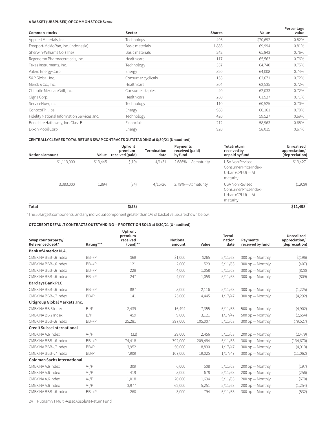#### **A BASKET (UBSPUSER) OF COMMON STOCKS** *cont.*

| <b>Common stocks</b>                         | Sector             | <b>Shares</b> | Value    | Percentage<br>value |
|----------------------------------------------|--------------------|---------------|----------|---------------------|
| Applied Materials, Inc.                      | Technology         | 496           | \$70,692 | 0.82%               |
| Freeport-McMoRan, Inc. (Indonesia)           | Basic materials    | 1,886         | 69,994   | 0.81%               |
| Sherwin-Williams Co. (The)                   | Basic materials    | 242           | 65,843   | 0.76%               |
| Regeneron Pharmaceuticals, Inc.              | Health care        | 117           | 65,563   | 0.76%               |
| Texas Instruments, Inc.                      | Technology         | 337           | 64,740   | 0.75%               |
| Valero Energy Corp.                          | Energy             | 820           | 64,008   | 0.74%               |
| S&P Global, Inc.                             | Consumer cyclicals | 153           | 62,671   | 0.72%               |
| Merck & Co., Inc.                            | Health care        | 804           | 62,535   | 0.72%               |
| Chipotle Mexican Grill, Inc.                 | Consumer staples   | 40            | 62,033   | 0.72%               |
| Cigna Corp.                                  | Health care        | 260           | 61,527   | 0.71%               |
| ServiceNow, Inc.                             | Technology         | 110           | 60,525   | 0.70%               |
| ConocoPhillips                               | Energy             | 988           | 60,161   | 0.70%               |
| Fidelity National Information Services, Inc. | Technology         | 420           | 59,527   | 0.69%               |
| Berkshire Hathaway, Inc. Class B             | <b>Financials</b>  | 212           | 58,963   | 0.68%               |
| Exxon Mobil Corp.                            | Energy             | 920           | 58,015   | 0.67%               |

#### **CENTRALLY CLEARED TOTAL RETURN SWAP CONTRACTS OUTSTANDING at 6/30/21 (Unaudited)**

| <b>Notional amount</b> | Value    | Upfront<br>premium<br>received (paid) | <b>Termination</b><br>date | Payments<br>received (paid)<br>by fund | <b>Total return</b><br>received by<br>or paid by fund                        | Unrealized<br>appreciation/<br>(depreciation) |
|------------------------|----------|---------------------------------------|----------------------------|----------------------------------------|------------------------------------------------------------------------------|-----------------------------------------------|
| \$1,113,000            | \$13,445 | S(19)                                 | 4/1/31                     | $2.686\%$ - At maturity                | USA Non Revised<br>Consumer Price Index-<br>Urban (CPI-U) $-$ At<br>maturity | \$13,427                                      |
| 3,383,000              | 1,894    | (34)                                  | 4/15/26                    | 2.79% - At maturity                    | USA Non Revised<br>Consumer Price Index-<br>Urban (CPI-U) $-$ At<br>maturity | (1,929)                                       |
| Total                  |          | \$(53)                                |                            |                                        |                                                                              | \$11,498                                      |

\* The 50 largest components, and any individual component greater than 1% of basket value, are shown below.

#### **OTC CREDIT DEFAULT CONTRACTS OUTSTANDING — PROTECTION SOLD at 6/30/21 (Unaudited)**

| Swap counterparty/<br>Referenced debt* | Rating***  | Upfront<br>premium<br>received<br>$(paid)**$ | Notional<br>amount | Value   | Termi-<br>nation<br>date | Payments<br>received by fund | Unrealized<br>appreciation/<br>(depreciation) |
|----------------------------------------|------------|----------------------------------------------|--------------------|---------|--------------------------|------------------------------|-----------------------------------------------|
| Bank of America N.A.                   |            |                                              |                    |         |                          |                              |                                               |
| CMBX NA BBB-.6 Index                   | $BB-/P$    | \$68                                         | \$1,000            | \$265   | 5/11/63                  | 300 bp - Monthly             | \$(196)                                       |
| CMBX NA BBB-.6 Index                   | $BB-/P$    | 121                                          | 2,000              | 529     | 5/11/63                  | 300 bp - Monthly             | (407)                                         |
| CMBX NA BBB-.6 Index                   | $BB-/P$    | 228                                          | 4,000              | 1,058   | 5/11/63                  | 300 bp - Monthly             | (828)                                         |
| CMBX NA BBB-.6 Index                   | $BB-/P$    | 247                                          | 4,000              | 1,058   | 5/11/63                  | 300 bp - Monthly             | (809)                                         |
| <b>Barclays Bank PLC</b>               |            |                                              |                    |         |                          |                              |                                               |
| CMBX NA BBB-.6 Index                   | $BB-/P$    | 887                                          | 8,000              | 2,116   | 5/11/63                  | 300 bp - Monthly             | (1,225)                                       |
| CMBX NA BBB-.7 Index                   | BB/P       | 141                                          | 25,000             | 4,445   | 1/17/47                  | 300 bp - Monthly             | (4,292)                                       |
| Citigroup Global Markets, Inc.         |            |                                              |                    |         |                          |                              |                                               |
| CMBX NA BB.6 Index                     | $B$ -/ $P$ | 2,439                                        | 16,494             | 7,355   | 5/11/63                  | 500 bp - Monthly             | (4,902)                                       |
| CMBX NA BB.7 Index                     | B/P        | 459                                          | 9,000              | 3,121   | 1/17/47                  | 500 bp - Monthly             | (2,654)                                       |
| CMBX NA BBB-.6 Index                   | $BB-/P$    | 25,281                                       | 397,000            | 105,007 | 5/11/63                  | 300 bp - Monthly             | (79, 527)                                     |
| <b>Credit Suisse International</b>     |            |                                              |                    |         |                          |                              |                                               |
| CMBX NA A.6 Index                      | $A$ -/P    | (32)                                         | 29,000             | 2,456   | 5/11/63                  | $200$ bp $-$ Monthly         | (2,479)                                       |
| CMBX NA BBB-.6 Index                   | $BB-/P$    | 74,418                                       | 792,000            | 209,484 | 5/11/63                  | 300 bp - Monthly             | (134, 670)                                    |
| CMBX NA BBB-.7 Index                   | BB/P       | 3,952                                        | 50,000             | 8,890   | 1/17/47                  | 300 bp - Monthly             | (4, 913)                                      |
| CMBX NA BBB-.7 Index                   | BB/P       | 7,909                                        | 107,000            | 19,025  | 1/17/47                  | 300 bp - Monthly             | (11,062)                                      |
| <b>Goldman Sachs International</b>     |            |                                              |                    |         |                          |                              |                                               |
| CMBX NA A.6 Index                      | $A$ -/P    | 309                                          | 6,000              | 508     | 5/11/63                  | 200 bp - Monthly             | (197)                                         |
| CMBX NA A.6 Index                      | $A - /P$   | 419                                          | 8,000              | 678     | 5/11/63                  | $200$ bp $-$ Monthly         | (256)                                         |
| CMBX NA A.6 Index                      | $A - /P$   | 1,018                                        | 20,000             | 1,694   | 5/11/63                  | $200$ bp $-$ Monthly         | (670)                                         |
| CMBX NA A.6 Index                      | $A$ -/P    | 3,977                                        | 62,000             | 5,251   | 5/11/63                  | $200$ bp $-$ Monthly         | (1,254)                                       |
| CMBX NA BBB-.6 Index                   | $BB-/P$    | 260                                          | 3,000              | 794     | 5/11/63                  | 300 bp - Monthly             | (532)                                         |
|                                        |            |                                              |                    |         |                          |                              |                                               |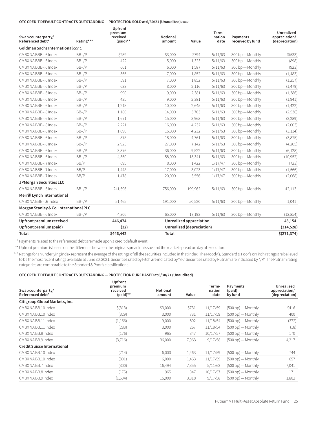#### **OTC CREDIT DEFAULT CONTRACTS OUTSTANDING — PROTECTION SOLD at 6/30/21 (Unaudited)** *cont.*

| Swap counterparty/<br>Referenced debt* | $\mathsf{Rating}^{\star\star\star}$ | Upfront<br>premium<br>received<br>(paid)** | Notional<br>amount | Value                     | Termi-<br>nation<br>date | Payments<br>received by fund | Unrealized<br>appreciation/<br>(depreciation) |
|----------------------------------------|-------------------------------------|--------------------------------------------|--------------------|---------------------------|--------------------------|------------------------------|-----------------------------------------------|
| Goldman Sachs International cont.      |                                     |                                            |                    |                           |                          |                              |                                               |
| CMBX NA BBB-.6 Index                   | $BB - /P$                           | \$259                                      | \$3,000            | \$794                     | 5/11/63                  | 300 bp - Monthly             | \$ (533)                                      |
| CMBX NA BBB-.6 Index                   | $BB-/P$                             | 422                                        | 5,000              | 1,323                     | 5/11/63                  | 300 bp - Monthly             | (898)                                         |
| CMBX NA BBB-.6 Index                   | $BB-/P$                             | 661                                        | 6,000              | 1,587                     | 5/11/63                  | 300 bp - Monthly             | (923)                                         |
| CMBX NA BBB-.6 Index                   | $BB-/P$                             | 365                                        | 7,000              | 1,852                     | 5/11/63                  | 300 bp - Monthly             | (1,483)                                       |
| CMBX NA BBB-.6 Index                   | $BB-/P$                             | 591                                        | 7,000              | 1,852                     | 5/11/63                  | 300 bp - Monthly             | (1,257)                                       |
| CMBX NA BBB-.6 Index                   | $BB-/P$                             | 633                                        | 8,000              | 2,116                     | 5/11/63                  | 300 bp - Monthly             | (1, 479)                                      |
| CMBX NA BBB-.6 Index                   | $BB - /P$                           | 990                                        | 9,000              | 2,381                     | 5/11/63                  | 300 bp - Monthly             | (1,386)                                       |
| CMBX NA BBB-.6 Index                   | $BB-/P$                             | 435                                        | 9,000              | 2,381                     | 5/11/63                  | 300 bp - Monthly             | (1,941)                                       |
| CMBX NA BBB-.6 Index                   | $BB-/P$                             | 1,218                                      | 10,000             | 2,645                     | 5/11/63                  | 300 bp - Monthly             | (1, 422)                                      |
| CMBX NA BBB-.6 Index                   | $BB-/P$                             | 1,160                                      | 14,000             | 3,703                     | 5/11/63                  | 300 bp - Monthly             | (2,536)                                       |
| CMBX NA BBB-.6 Index                   | $BB-/P$                             | 1,671                                      | 15,000             | 3,968                     | 5/11/63                  | 300 bp - Monthly             | (2,289)                                       |
| CMBX NA BBB-.6 Index                   | $BB-/P$                             | 2,221                                      | 16,000             | 4,232                     | 5/11/63                  | 300 bp - Monthly             | (2,003)                                       |
| CMBX NA BBB-.6 Index                   | $BB-/P$                             | 1,090                                      | 16,000             | 4,232                     | 5/11/63                  | 300 bp - Monthly             | (3, 134)                                      |
| CMBX NA BBB-.6 Index                   | $BB-/P$                             | 878                                        | 18,000             | 4,761                     | 5/11/63                  | 300 bp - Monthly             | (3,875)                                       |
| CMBX NA BBB-.6 Index                   | $BB-/P$                             | 2,923                                      | 27,000             | 7,142                     | 5/11/63                  | 300 bp - Monthly             | (4,205)                                       |
| CMBX NA BBB-.6 Index                   | $BB-/P$                             | 3,376                                      | 36,000             | 9,522                     | 5/11/63                  | 300 bp - Monthly             | (6,128)                                       |
| CMBX NA BBB-.6 Index                   | $BB-/P$                             | 4,360                                      | 58,000             | 15,341                    | 5/11/63                  | 300 bp - Monthly             | (10, 952)                                     |
| CMBX NA BBB-.7 Index                   | BB/P                                | 695                                        | 8,000              | 1,422                     | 1/17/47                  | 300 bp - Monthly             | (723)                                         |
| CMBX NA BBB-.7 Index                   | BB/P                                | 1,448                                      | 17,000             | 3,023                     | 1/17/47                  | 300 bp - Monthly             | (1, 566)                                      |
| CMBX NA BBB-.7 Index                   | BB/P                                | 1,478                                      | 20,000             | 3,556                     | 1/17/47                  | 300 bp - Monthly             | (2,068)                                       |
| JPMorgan Securities LLC                |                                     |                                            |                    |                           |                          |                              |                                               |
| CMBX NA BBB-.6 Index                   | $BB-/P$                             | 241,696                                    | 756,000            | 199,962                   | 5/11/63                  | 300 bp - Monthly             | 42,113                                        |
| Merrill Lynch International            |                                     |                                            |                    |                           |                          |                              |                                               |
| CMBX NA BBB-.6 Index                   | $BB-/P$                             | 51,465                                     | 191,000            | 50,520                    | 5/11/63                  | 300 bp - Monthly             | 1,041                                         |
| Morgan Stanley & Co. International PLC |                                     |                                            |                    |                           |                          |                              |                                               |
| CMBX NA BBB-.6 Index                   | $BB-/P$                             | 4,306                                      | 65,000             | 17,193                    | 5/11/63                  | 300 bp - Monthly             | (12,854)                                      |
| Upfront premium received               |                                     | 446,474                                    |                    | Unrealized appreciation   |                          |                              | 43,154                                        |
| Upfront premium (paid)                 |                                     | (32)                                       |                    | Unrealized (depreciation) |                          |                              | (314, 528)                                    |
| Total                                  |                                     | \$446,442                                  | Total              |                           |                          |                              | \$(271, 374)                                  |

\* Payments related to the referenced debt are made upon a credit default event.

\*\* Upfront premium is based on the difference between the original spread on issue and the market spread on day of execution.

\*\*\* Ratings for an underlying index represent the average of the ratings of all the securities included in that index. The Moody's, Standard & Poor's or Fitch ratings are believed to be the most recent ratings available at June 30, 2021. Securities rated by Fitch are indicated by "/F." Securities rated by Putnam are indicated by "/P." The Putnam rating categories are comparable to the Standard & Poor's classifications.

#### **OTC CREDIT DEFAULT CONTRACTS OUTSTANDING — PROTECTION PURCHASED at 6/30/21 (Unaudited)**

| Swap counterparty/<br>Referenced debt* | Upfront<br>premium<br>received<br>(paid)** | Notional<br>amount | Value | Termi-<br>nation<br>date | Payments<br>(paid)<br>by fund | Unrealized<br>appreciation/<br>(depreciation) |
|----------------------------------------|--------------------------------------------|--------------------|-------|--------------------------|-------------------------------|-----------------------------------------------|
| Citigroup Global Markets, Inc.         |                                            |                    |       |                          |                               |                                               |
| CMBX NA BB.10 Index                    | \$ (313)                                   | \$3,000            | \$731 | 11/17/59                 | (500 bp) — Monthly            | \$416                                         |
| CMBX NA BB.10 Index                    | (329)                                      | 3,000              | 731   | 11/17/59                 | (500 bp) — Monthly            | 400                                           |
| CMBX NA BB.11 Index                    | (1,166)                                    | 9,000              | 802   | 11/18/54                 | (500 bp) — Monthly            | (372)                                         |
| CMBX NA BB.11 Index                    | (283)                                      | 3,000              | 267   | 11/18/54                 | (500 bp) — Monthly            | (18)                                          |
| CMBX NA BB.8 Index                     | (176)                                      | 965                | 347   | 10/17/57                 | (500 bp) — Monthly            | 170                                           |
| CMBX NA BB.9 Index                     | (3,716)                                    | 36,000             | 7,963 | 9/17/58                  | (500 bp) — Monthly            | 4,217                                         |
| <b>Credit Suisse International</b>     |                                            |                    |       |                          |                               |                                               |
| CMBX NA BB.10 Index                    | (714)                                      | 6,000              | 1,463 | 11/17/59                 | (500 bp) — Monthly            | 744                                           |
| CMBX NA BB.10 Index                    | (801)                                      | 6,000              | 1,463 | 11/17/59                 | (500 bp) — Monthly            | 657                                           |
| CMBX NA BB.7 Index                     | (300)                                      | 16,494             | 7,355 | 5/11/63                  | (500 bp) — Monthly            | 7,041                                         |
| CMBX NA BB.8 Index                     | (175)                                      | 965                | 347   | 10/17/57                 | (500 bp) — Monthly            | 171                                           |
| CMBX NA BB.9 Index                     | (1,504)                                    | 15,000             | 3,318 | 9/17/58                  | (500 bp) — Monthly            | 1,802                                         |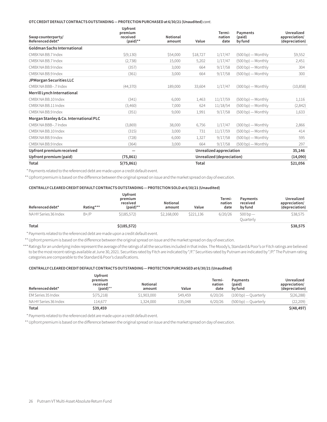#### **OTC CREDIT DEFAULT CONTRACTS OUTSTANDING — PROTECTION PURCHASED at 6/30/21 (Unaudited)** *cont.*

| Swap counterparty/<br>Referenced debt* | Upfront<br>premium<br>received<br>$(paid)$ ** | <b>Notional</b><br>amount | Value    | Termi-<br>nation<br>date  | Payments<br>(paid)<br>by fund | Unrealized<br>appreciation/<br>(depreciation) |
|----------------------------------------|-----------------------------------------------|---------------------------|----------|---------------------------|-------------------------------|-----------------------------------------------|
| <b>Goldman Sachs International</b>     |                                               |                           |          |                           |                               |                                               |
| CMBX NA BB.7 Index                     | $\zeta(9,130)$                                | \$54,000                  | \$18,727 | 1/17/47                   | $(500 b p)$ – Monthly         | \$9,552                                       |
| CMBX NA BB.7 Index                     | (2,738)                                       | 15,000                    | 5,202    | 1/17/47                   | $(500 b p)$ – Monthly         | 2,451                                         |
| CMBX NA BB.9 Index                     | (357)                                         | 3,000                     | 664      | 9/17/58                   | $(500 b p)$ – Monthly         | 304                                           |
| CMBX NA BB.9 Index                     | (361)                                         | 3,000                     | 664      | 9/17/58                   | $(500 bp)$ - Monthly          | 300                                           |
| JPMorgan Securities LLC                |                                               |                           |          |                           |                               |                                               |
| CMBX NA BBB-.7 Index                   | (44,370)                                      | 189,000                   | 33,604   | 1/17/47                   | $(300 bp)$ – Monthly          | (10, 858)                                     |
| Merrill Lynch International            |                                               |                           |          |                           |                               |                                               |
| CMBX NA BB.10 Index                    | (341)                                         | 6,000                     | 1.463    | 11/17/59                  | $(500 b p)$ – Monthly         | 1,116                                         |
| CMBX NA BB.11 Index                    | (3,460)                                       | 7,000                     | 624      | 11/18/54                  | $(500 b p)$ – Monthly         | (2,842)                                       |
| CMBX NA BB.9 Index                     | (351)                                         | 9,000                     | 1,991    | 9/17/58                   | $(500 b p)$ – Monthly         | 1,633                                         |
| Morgan Stanley & Co. International PLC |                                               |                           |          |                           |                               |                                               |
| CMBX NA BBB-7 Index                    | (3,869)                                       | 38,000                    | 6,756    | 1/17/47                   | (300 bp) — Monthly            | 2,866                                         |
| CMBX NA BB.10 Index                    | (315)                                         | 3,000                     | 731      | 11/17/59                  | $(500 bp)$ - Monthly          | 414                                           |
| CMBX NA BB.9 Index                     | (728)                                         | 6,000                     | 1,327    | 9/17/58                   | $(500 bp)$ - Monthly          | 595                                           |
| CMBX NA BB.9 Index                     | (364)                                         | 3,000                     | 664      | 9/17/58                   | (500 bp) — Monthly            | 297                                           |
| Upfront premium received               | —                                             |                           |          | Unrealized appreciation   |                               | 35,146                                        |
| Upfront premium (paid)                 | (75, 861)                                     |                           |          | Unrealized (depreciation) |                               | (14,090)                                      |
| Total                                  | \$ (75, 861)                                  |                           | Total    |                           |                               | \$21,056                                      |

\* Payments related to the referenced debt are made upon a credit default event.

\*\* Upfront premium is based on the difference between the original spread on issue and the market spread on day of execution.

#### **CENTRALLY CLEARED CREDIT DEFAULT CONTRACTS OUTSTANDING — PROTECTION SOLD at 6/30/21 (Unaudited)**

| Referenced debt*     | Rating*** | Upfront<br>premium<br>received<br>$(paid)**$ | Notional<br>amount | Value     | Termi-<br>nation<br>date | Payments<br>received<br>by fund | Unrealized<br>appreciation/<br>(depreciation) |
|----------------------|-----------|----------------------------------------------|--------------------|-----------|--------------------------|---------------------------------|-----------------------------------------------|
| NAHY Series 36 Index | $B+/P$    | \$(185,572)                                  | \$2,168,000        | \$221,136 | 6/20/26                  | $500bp -$<br>Ouarterly          | \$38,575                                      |
| Total                |           | \$(185, 572)                                 |                    |           |                          |                                 | \$38,575                                      |

\* Payments related to the referenced debt are made upon a credit default event.

\*\* Upfront premium is based on the difference between the original spread on issue and the market spread on day of execution.

\*\*\* Ratings for an underlying index represent the average of the ratings of all the securities included in that index. The Moody's, Standard & Poor's or Fitch ratings are believed to be the most recent ratings available at June 30, 2021. Securities rated by Fitch are indicated by "/F." Securities rated by Putnam are indicated by "/P." The Putnam rating categories are comparable to the Standard & Poor's classifications.

#### **CENTRALLY CLEARED CREDIT DEFAULT CONTRACTS OUTSTANDING — PROTECTION PURCHASED at 6/30/21 (Unaudited)**

| Referenced debt*     | Upfront<br>premium<br>received<br>$(paid)**$ | Notional<br>amount | Value    | Termi-<br>nation<br>date | Payments<br>(paid)<br>by fund | Unrealized<br>appreciation/<br>(depreciation) |
|----------------------|----------------------------------------------|--------------------|----------|--------------------------|-------------------------------|-----------------------------------------------|
| EM Series 35 Index   | S(75,218)                                    | \$1,903,000        | \$49,459 | 6/20/26                  | $(100 bp) -$ Quarterly        | \$ (26, 288)                                  |
| NAHY Series 36 Index | 114,677                                      | 1,324,000          | 135,048  | 6/20/26                  | $(500 bp) - Quarterly$        | (22, 209)                                     |
| Total                | \$39,459                                     |                    |          |                          |                               | \$ (48, 497)                                  |

\* Payments related to the referenced debt are made upon a credit default event.

\*\* Upfront premium is based on the difference between the original spread on issue and the market spread on day of execution.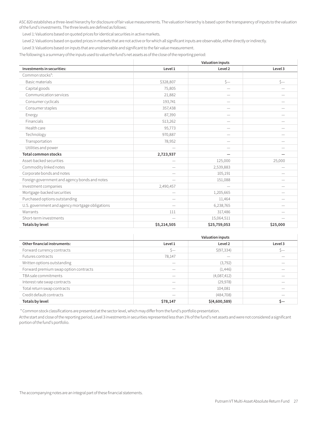ASC 820 establishes a three-level hierarchy for disclosure of fair value measurements. The valuation hierarchy is based upon the transparency of inputs to the valuation of the fund's investments. The three levels are defined as follows:

Level 1: Valuations based on quoted prices for identical securities in active markets.

Level 2: Valuations based on quoted prices in markets that are not active or for which all significant inputs are observable, either directly or indirectly.

Level 3: Valuations based on inputs that are unobservable and significant to the fair value measurement.

The following is a summary of the inputs used to value the fund's net assets as of the close of the reporting period:

|                                                 | <b>Valuation inputs</b>  |                          |               |  |  |
|-------------------------------------------------|--------------------------|--------------------------|---------------|--|--|
| Investments in securities:                      | Level 1                  | Level 2                  | Level 3       |  |  |
| Common stocks*:                                 |                          |                          |               |  |  |
| <b>Basic materials</b>                          | \$328,807                | $s-$                     | $\mathsf{S}-$ |  |  |
| Capital goods                                   | 75,805                   |                          |               |  |  |
| Communication services                          | 21,882                   | $\overline{\phantom{0}}$ |               |  |  |
| Consumer cyclicals                              | 193,741                  | $\qquad \qquad$          |               |  |  |
| Consumer staples                                | 357,438                  | $\overline{\phantom{0}}$ |               |  |  |
| Energy                                          | 87,390                   | $\overline{\phantom{0}}$ |               |  |  |
| Financials                                      | 513,262                  | $\overline{\phantom{0}}$ |               |  |  |
| Health care                                     | 95,773                   |                          |               |  |  |
| Technology                                      | 970,887                  | -                        |               |  |  |
| Transportation                                  | 78,952                   |                          |               |  |  |
| Utilities and power                             |                          |                          |               |  |  |
| <b>Total common stocks</b>                      | 2,723,937                | —                        |               |  |  |
| Asset-backed securities                         | $\overline{\phantom{0}}$ | 125,000                  | 25,000        |  |  |
| Commodity linked notes                          |                          | 2,539,883                |               |  |  |
| Corporate bonds and notes                       | $\overline{\phantom{0}}$ | 105,191                  |               |  |  |
| Foreign government and agency bonds and notes   |                          | 151,088                  |               |  |  |
| Investment companies                            | 2,490,457                |                          |               |  |  |
| Mortgage-backed securities                      |                          | 1,205,665                |               |  |  |
| Purchased options outstanding                   |                          | 11,464                   |               |  |  |
| U.S. government and agency mortgage obligations | $\overline{\phantom{m}}$ | 6,238,765                |               |  |  |
| Warrants                                        | 111                      | 317,486                  |               |  |  |
| Short-term investments                          | $\frac{1}{2}$            | 15,064,511               |               |  |  |
| <b>Totals by level</b>                          | \$5,214,505              | \$25,759,053             | \$25,000      |  |  |

|                                       | Valuation inputs |               |         |  |  |
|---------------------------------------|------------------|---------------|---------|--|--|
| Other financial instruments:          | Level 1          | Level 2       | Level 3 |  |  |
| Forward currency contracts            | $S-$             | \$ (97, 334)  | $s-$    |  |  |
| Futures contracts                     | 78,147           |               |         |  |  |
| Written options outstanding           |                  | (3,792)       |         |  |  |
| Forward premium swap option contracts |                  | (1, 446)      |         |  |  |
| TBA sale commitments                  |                  | (4,087,412)   |         |  |  |
| Interest rate swap contracts          |                  | (29, 978)     |         |  |  |
| Total return swap contracts           |                  | 104,081       |         |  |  |
| Credit default contracts              |                  | (484, 708)    |         |  |  |
| <b>Totals by level</b>                | \$78,147         | \$(4,600,589) | s—      |  |  |

\* Common stock classifications are presented at the sector level, which may differ from the fund's portfolio presentation.

At the start and close of the reporting period, Level 3 investments in securities represented less than 1% of the fund's net assets and were not considered a significant portion of the fund's portfolio.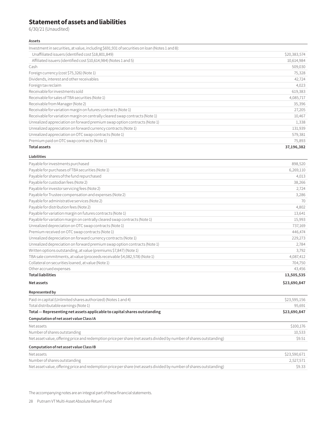# **Statement of assets and liabilities**

6/30/21 (Unaudited)

#### **Assets**

| Investment in securities, at value, including \$691,931 of securities on loan (Notes 1 and 8): |              |
|------------------------------------------------------------------------------------------------|--------------|
| Unaffiliated issuers (identified cost \$18,801,849)                                            | \$20,383,574 |
| Affiliated issuers (identified cost \$10,614,984) (Notes 1 and 5)                              | 10,614,984   |
| Cash                                                                                           | 509,030      |
| Foreign currency (cost \$75,326) (Note 1)                                                      | 75,328       |
| Dividends, interest and other receivables                                                      | 42,724       |
| Foreign tax reclaim                                                                            | 4,023        |
| Receivable for investments sold                                                                | 619,383      |
| Receivable for sales of TBA securities (Note 1)                                                | 4,085,717    |
| Receivable from Manager (Note 2)                                                               | 35,396       |
| Receivable for variation margin on futures contracts (Note 1)                                  | 27,205       |
| Receivable for variation margin on centrally cleared swap contracts (Note 1)                   | 10,467       |
| Unrealized appreciation on forward premium swap option contracts (Note 1)                      | 1,338        |
| Unrealized appreciation on forward currency contracts (Note 1)                                 | 131,939      |
| Unrealized appreciation on OTC swap contracts (Note 1)                                         | 579,381      |
| Premium paid on OTC swap contracts (Note 1)                                                    | 75,893       |
| <b>Total assets</b>                                                                            | 37,196,382   |

# **Liabilities**

| Payable for investments purchased                                         | 898,520      |
|---------------------------------------------------------------------------|--------------|
| Payable for purchases of TBA securities (Note 1)                          | 6,269,110    |
| Payable for shares of the fund repurchased                                | 4,013        |
| Payable for custodian fees (Note 2)                                       | 38,266       |
| Payable for investor servicing fees (Note 2)                              | 2,724        |
| Payable for Trustee compensation and expenses (Note 2)                    | 3,286        |
| Payable for administrative services (Note 2)                              | 70           |
| Payable for distribution fees (Note 2)                                    | 4,802        |
| Payable for variation margin on futures contracts (Note 1)                | 13,641       |
| Payable for variation margin on centrally cleared swap contracts (Note 1) | 15,993       |
| Unrealized depreciation on OTC swap contracts (Note 1)                    | 737,169      |
| Premium received on OTC swap contracts (Note 1)                           | 446,474      |
| Unrealized depreciation on forward currency contracts (Note 1)            | 229,273      |
| Unrealized depreciation on forward premium swap option contracts (Note 1) | 2,784        |
| Written options outstanding, at value (premiums \$7,847) (Note 1)         | 3,792        |
| TBA sale commitments, at value (proceeds receivable \$4,082,578) (Note 1) | 4,087,412    |
| Collateral on securities loaned, at value (Note 1)                        | 704,750      |
| Other accrued expenses                                                    | 43,456       |
| <b>Total liabilities</b>                                                  | 13,505,535   |
| <b>Net assets</b>                                                         | \$23,690,847 |

#### **Represented by**

| Paid-in capital (Unlimited shares authorized) (Notes 1 and 4)                                                       | \$23,595,156 |
|---------------------------------------------------------------------------------------------------------------------|--------------|
| Total distributable earnings (Note 1)                                                                               | 95,691       |
| Total - Representing net assets applicable to capital shares outstanding                                            | \$23,690,847 |
| Computation of net asset value Class IA                                                                             |              |
| Net assets                                                                                                          | \$100,176    |
| Number of shares outstanding                                                                                        | 10,533       |
| Net asset value, offering price and redemption price per share (net assets divided by number of shares outstanding) | \$9.51       |
| Computation of net asset value Class IB                                                                             |              |
| Net assets                                                                                                          | \$23,590,671 |
| Number of shares outstanding                                                                                        | 2,527,571    |
| Net asset value, offering price and redemption price per share (net assets divided by number of shares outstanding) | \$9.33       |

The accompanying notes are an integral part of these financial statements.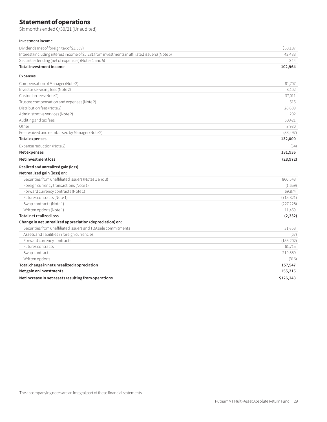# **Statement of operations**

Six months ended 6/30/21 (Unaudited)

#### **Investment income**

| Dividends (net of foreign tax of \$3,559)                                                                                                               | \$60,137      |
|---------------------------------------------------------------------------------------------------------------------------------------------------------|---------------|
| (Note 5) Interest (including interest income of \$5,281 from investments in affiliated issuers)<br>Securities lending (net of expenses) (Notes 1 and 5) | 42.483<br>344 |
| Total investment income                                                                                                                                 | 102.964       |

#### **Expenses** Compensation of Manager (Note 2) 81,707 Investor servicing fees (Note 2) 8,102 Custodian fees (Note 2) 37,011 Trustee compensation and expenses (Note 2) 515 Distribution fees (Note 2) 28,609 Administrative services (Note 2) 202 Auditing and tax fees 50,421 Other 8,930 Fees waived and reimbursed by Manager (Note 2) (83,497) **Total expenses 132,000**  Expense reduction (Note 2) (64) **Net expenses 131,936 Net investment loss (28,972)**

#### **Realized and unrealized gain (loss)**

| Net realized gain (loss) on:                                  |            |
|---------------------------------------------------------------|------------|
| Securities from unaffiliated issuers (Notes 1 and 3)          | 860,543    |
| Foreign currency transactions (Note 1)                        | (1,659)    |
| Forward currency contracts (Note 1)                           | 69,874     |
| Futures contracts (Note 1)                                    | (715, 321) |
| Swap contracts (Note 1)                                       | (227, 228) |
| Written options (Note 1)                                      | 11,459     |
| Total net realized loss                                       | (2, 332)   |
| Change in net unrealized appreciation (depreciation) on:      |            |
| Securities from unaffiliated issuers and TBA sale commitments | 31,858     |
| Assets and liabilities in foreign currencies                  | (67)       |
| Forward currency contracts                                    | (155, 202) |
| Futures contracts                                             | 61,715     |
| Swap contracts                                                | 219,559    |
| Written options                                               | (316)      |
| Total change in net unrealized appreciation                   | 157,547    |
| Net gain on investments                                       | 155,215    |
| Net increase in net assets resulting from operations          | \$126,243  |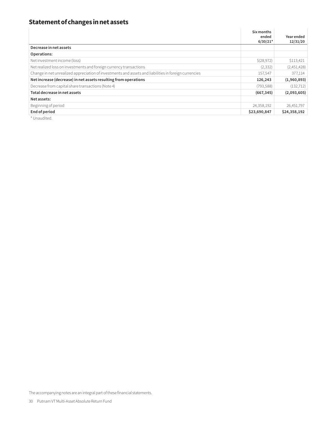# **Statement of changes in net assets**

|                                                                                                                                                                                                                                                 | Six months<br>ended<br>$6/30/21*$ | Year ended<br>12/31/20 |
|-------------------------------------------------------------------------------------------------------------------------------------------------------------------------------------------------------------------------------------------------|-----------------------------------|------------------------|
| Decrease in net assets                                                                                                                                                                                                                          |                                   |                        |
| Operations:                                                                                                                                                                                                                                     |                                   |                        |
| Net investment income (loss)                                                                                                                                                                                                                    | \$(28, 972)                       | \$113,421              |
| Net realized loss on investments and foreign currency transactions                                                                                                                                                                              | (2, 332)                          | (2,451,428)            |
| Change in net unrealized appreciation of investments and assets and liabilities in foreign currencies                                                                                                                                           | 157,547                           | 377,114                |
| Net increase (decrease) in net assets resulting from operations                                                                                                                                                                                 | 126,243                           | (1,960,893)            |
| Decrease from capital share transactions (Note 4)                                                                                                                                                                                               | (793, 588)                        | (132, 712)             |
| Total decrease in net assets                                                                                                                                                                                                                    | (667, 345)                        | (2,093,605)            |
| Net assets:                                                                                                                                                                                                                                     |                                   |                        |
| Beginning of period                                                                                                                                                                                                                             | 24,358,192                        | 26,451,797             |
| End of period<br>the contract of the contract of the contract of the contract of the contract of the contract of the contract of the contract of the contract of the contract of the contract of the contract of the contract of the contract o | \$23,690,847                      | \$24,358,192           |

\* Unaudited.

The accompanying notes are an integral part of these financial statements.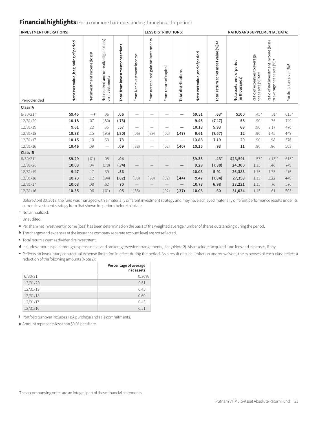### **Financial highlights** (For a common share outstanding throughout the period)

| <b>INVESTMENT OPERATIONS:</b> |                                      |                                           |                                                                   |                                  |                                 | <b>LESS DISTRIBUTIONS:</b>               |                              |                                  |                               | <b>RATIOS AND SUPPLEMENTAL DATA:</b>   |                                             |                                                       |                                                                        |                                    |
|-------------------------------|--------------------------------------|-------------------------------------------|-------------------------------------------------------------------|----------------------------------|---------------------------------|------------------------------------------|------------------------------|----------------------------------|-------------------------------|----------------------------------------|---------------------------------------------|-------------------------------------------------------|------------------------------------------------------------------------|------------------------------------|
| Period ended                  | Net asset value, beginning of period | Net investment income (loss) <sup>a</sup> | gain (loss)<br>unrealized<br>and<br>on investments<br>Netrealized | Total from investment operations | From Net investment income      | gain on investments<br>From net realized | From return of capital       | <b>Total distributions</b>       | Netasset value, end of period | Total return at net asset value (%)b,c | Net assets, end of period<br>(in thousands) | of expenses to average<br>netassets (%)b,d,e<br>Ratio | of net investment income (loss)<br>to average net assets (%)e<br>Ratio | Portfolioturnover (%) <sup>f</sup> |
| Class IA                      |                                      |                                           |                                                                   |                                  |                                 |                                          |                              |                                  |                               |                                        |                                             |                                                       |                                                                        |                                    |
| $6/30/21$ †                   | \$9.45                               | $-\mathsf{g}$                             | .06                                                               | .06                              |                                 | $\qquad \qquad -$                        | $\overline{\phantom{m}}$     |                                  | \$9.51                        | $.63*$                                 | \$100                                       | $.45*$                                                | $.01*$                                                                 | $615*$                             |
| 12/31/20                      | 10.18                                | .07                                       | (.80)                                                             | (.73)                            | $\overline{\phantom{m}}$        |                                          | $\qquad \qquad$              |                                  | 9.45                          | (7.17)                                 | 58                                          | .90                                                   | .75                                                                    | 749                                |
| 12/31/19                      | 9.61                                 | .22                                       | .35                                                               | .57                              | $\overline{\phantom{m}}$        | $\overline{\phantom{m}}$                 | $\overbrace{\qquad \qquad }$ | $\overline{\phantom{m}}$         | 10.18                         | 5.93                                   | 69                                          | .90                                                   | 2.17                                                                   | 476                                |
| 12/31/18                      | 10.88                                | .15                                       | (.95)                                                             | (.80)                            | (.06)                           | (.39)                                    | (.02)                        | (.47)                            | 9.61                          | (7.57)                                 | 12                                          | .90                                                   | 1.45                                                                   | 449                                |
| 12/31/17                      | 10.15                                | .10                                       | .63                                                               | .73                              |                                 | $\hspace{0.1mm}-\hspace{0.1mm}$          |                              | $\overbrace{\phantom{12322111}}$ | 10.88                         | 7.19                                   | 20                                          | .90                                                   | .98                                                                    | 576                                |
| 12/31/16                      | 10.46                                | .09                                       | $\overline{\phantom{m}}$                                          | .09                              | (.38)                           | $\overline{\phantom{m}}$                 | (.02)                        | (.40)                            | 10.15                         | .93                                    | 11                                          | .90                                                   | .86                                                                    | 503                                |
| Class IB                      |                                      |                                           |                                                                   |                                  |                                 |                                          |                              |                                  |                               |                                        |                                             |                                                       |                                                                        |                                    |
| 6/30/21                       | \$9.29                               | (.01)                                     | .05                                                               | .04                              | $\qquad \qquad -$               |                                          |                              |                                  | \$9.33                        | $.43*$                                 | \$23,591                                    | $.57*$                                                | $(.13)^*$                                                              | $615*$                             |
| 12/31/20                      | 10.03                                | .04                                       | (.78)                                                             | (.74)                            | $\overline{\phantom{m}}$        | $\qquad \qquad -$                        |                              | —                                | 9.29                          | (7.38)                                 | 24,300                                      | 1.15                                                  | .46                                                                    | 749                                |
| 12/31/19                      | 9.47                                 | .17                                       | .39                                                               | .56                              | $\overline{\phantom{m}}$        | $\overline{\phantom{m}}$                 | $\qquad \qquad -$            | $\qquad \qquad -$                | 10.03                         | 5.91                                   | 26,383                                      | 1.15                                                  | 1.73                                                                   | 476                                |
| 12/31/18                      | 10.73                                | .12                                       | (.94)                                                             | (.82)                            | (.03)                           | (.39)                                    | (.02)                        | (.44)                            | 9.47                          | (7.84)                                 | 27,359                                      | 1.15                                                  | 1.22                                                                   | 449                                |
| 12/31/17                      | 10.03                                | .08                                       | .62                                                               | .70                              | $\hspace{0.1mm}-\hspace{0.1mm}$ | $\hspace{0.1mm}-\hspace{0.1mm}$          |                              | —                                | 10.73                         | 6.98                                   | 33,221                                      | 1.15                                                  | .76                                                                    | 576                                |
| 12/31/16                      | 10.35                                | .06                                       | (.01)                                                             | .05                              | (.35)                           | $\overline{\phantom{0}}$                 | (.02)                        | (.37)                            | 10.03                         | .60                                    | 31,034                                      | 1.15                                                  | .61                                                                    | 503                                |

Before April 30, 2018, the fund was managed with a materially different investment strategy and may have achieved materially different performance results under its current investment strategy from that shown for periods before this date.

\* Not annualized.

† Unaudited.

**<sup>a</sup>** Per share net investment income (loss) has been determined on the basis of the weighted average number of shares outstanding during the period.

**b** The charges and expenses at the insurance company separate account level are not reflected.

**<sup>c</sup>** Total return assumes dividend reinvestment.

**<sup>d</sup>** Includes amounts paid through expense offset and brokerage/service arrangements, if any (Note 2). Also excludes acquired fund fees and expenses, if any.

**<sup>e</sup>** Reflects an involuntary contractual expense limitation in effect during the period. As a result of such limitation and/or waivers, the expenses of each class reflect a reduction of the following amounts (Note 2):

|          | Percentage of average<br>net assets |
|----------|-------------------------------------|
| 6/30/21  | 0.36%                               |
| 12/31/20 | 0.61                                |
| 12/31/19 | 0.45                                |
| 12/31/18 | 0.60                                |
| 12/31/17 | 0.45                                |
| 12/31/16 | 0.51                                |

**<sup>f</sup>** Portfolio turnover includes TBA purchase and sale commitments.

**<sup>g</sup>** Amount represents less than \$0.01 per share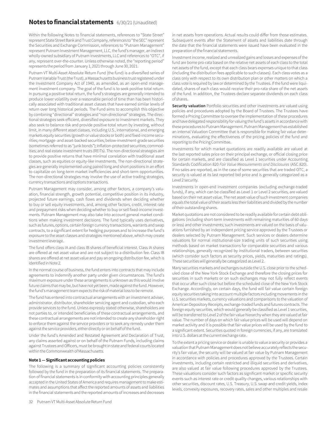### **Notes to financial statements** 6/30/21 (Unaudited)

Within the following Notes to financial statements, references to "State Street" represent State Street Bank and Trust Company, references to "the SEC" represent the Securities and Exchange Commission, references to "Putnam Management" represent Putnam Investment Management, LLC, the fund's manager, an indirect wholly-owned subsidiary of Putnam Investments, LLC and references to "OTC", if any, represent over-the-counter. Unless otherwise noted, the "reporting period" represents the period from January 1, 2021 through June 30, 2021.

Putnam VT Multi-Asset Absolute Return Fund (the fund) is a diversified series of Putnam Variable Trust (the Trust), a Massachusetts business trust registered under the Investment Company Act of 1940, as amended, as an open-end management investment company. The goal of the fund is to seek positive total return. In pursuing a positive total return, the fund's strategies are generally intended to produce lower volatility over a reasonable period of time than has been historically associated with traditional asset classes that have earned similar levels of return over long historical periods. The Fund aims to accomplish this objective by combining "directional" strategies and "non-directional" strategies. The directional strategies seek efficient, diversified exposure to investment markets. They also seek to balance risk and provide positive total return by investing, without limit, in many different asset classes, including U.S., international, and emerging markets equity securities (growth or value stocks or both) and fixed-income securities; mortgage- and asset-backed securities; below-investment-grade securities (sometimes referred to as "junk bonds"); inflation-protected securities; commodities; and real estate investment trusts (REITs). The non-directional strategies aim to provide positive returns that have minimal correlation with traditional asset classes, such as equities or equity-like investments. The non-directional strategies are generally implemented using paired long and short positions in an effort to capitalize on long-term market inefficiencies and short-term opportunities. The non-directional strategies may involve the use of active trading strategies, currency transactions and options transactions.

Putnam Management may consider, among other factors, a company's valuation, financial strength, growth potential, competitive position in its industry, projected future earnings, cash flows and dividends when deciding whether to buy or sell equity investments, and, among other factors, credit, interest rate and prepayment risks when deciding whether to buy or sell fixed-income investments. Putnam Management may also take into account general market conditions when making investment decisions. The fund typically uses derivatives, such as futures, options, certain foreign currency transactions, warrants and swap contracts, to a significant extent for hedging purposes and to increase the fund's exposure to the asset classes and strategies mentioned above, which may create investment leverage.

The fund offers class IA and class IB shares of beneficial interest. Class IA shares are offered at net asset value and are not subject to a distribution fee. Class IB shares are offered at net asset value and pay an ongoing distribution fee, which is identified in Note 2.

In the normal course of business, the fund enters into contracts that may include agreements to indemnify another party under given circumstances. The fund's maximum exposure under these arrangements is unknown as this would involve future claims that may be, but have not yet been, made against the fund. However, the fund's management team expects the risk of material loss to be remote.

The fund has entered into contractual arrangements with an investment adviser, administrator, distributor, shareholder servicing agent and custodian, who each provide services to the fund. Unless expressly stated otherwise, shareholders are not parties to, or intended beneficiaries of these contractual arrangements, and these contractual arrangements are not intended to create any shareholder right to enforce them against the service providers or to seek any remedy under them against the service providers, either directly or on behalf of the fund.

Under the fund's Amended and Restated Agreement and Declaration of Trust, any claims asserted against or on behalf of the Putnam Funds, including claims against Trustees and Officers, must be brought in state and federal courts located within the Commonwealth of Massachusetts.

#### **Note 1 — Significant accounting policies**

The following is a summary of significant accounting policies consistently followed by the fund in the preparation of its financial statements. The preparation of financial statements is in conformity with accounting principles generally accepted in the United States of America and requires management to make estimates and assumptions that affect the reported amounts of assets and liabilities in the financial statements and the reported amounts of increases and decreases

32 Putnam VT Multi-Asset Absolute Return Fund

in net assets from operations. Actual results could differ from those estimates. Subsequent events after the Statement of assets and liabilities date through the date that the financial statements were issued have been evaluated in the preparation of the financial statements.

Investment income, realized and unrealized gains and losses and expenses of the fund are borne pro-rata based on the relative net assets of each class to the total net assets of the fund, except that each class bears expenses unique to that class (including the distribution fees applicable to such classes). Each class votes as a class only with respect to its own distribution plan or other matters on which a class vote is required by law or determined by the Trustees. If the fund were liquidated, shares of each class would receive their pro-rata share of the net assets of the fund. In addition, the Trustees declare separate dividends on each class of shares.

**Security valuation** Portfolio securities and other investments are valued using policies and procedures adopted by the Board of Trustees. The Trustees have formed a Pricing Committee to oversee the implementation of these procedures and have delegated responsibility for valuing the fund's assets in accordance with these procedures to Putnam Management. Putnam Management has established an internal Valuation Committee that is responsible for making fair value determinations, evaluating the effectiveness of the pricing policies of the fund and reporting to the Pricing Committee.

Investments for which market quotations are readily available are valued at the last reported sales price on their principal exchange, or official closing price for certain markets, and are classified as Level 1 securities under Accounting Standards Codification 820 *Fair Value Measurements and Disclosures* (ASC 820). If no sales are reported, as in the case of some securities that are traded OTC, a security is valued at its last reported bid price and is generally categorized as a Level 2 security.

Investments in open-end investment companies (excluding exchange-traded funds), if any, which can be classified as Level 1 or Level 2 securities, are valued based on their net asset value. The net asset value of such investment companies equals the total value of their assets less their liabilities and divided by the number of their outstanding shares.

Market quotations are not considered to be readily available for certain debt obligations (including short-term investments with remaining maturities of 60 days or less) and other investments; such investments are valued on the basis of valuations furnished by an independent pricing service approved by the Trustees or dealers selected by Putnam Management. Such services or dealers determine valuations for normal institutional-size trading units of such securities using methods based on market transactions for comparable securities and various relationships, generally recognized by institutional traders, between securities (which consider such factors as security prices, yields, maturities and ratings). These securities will generally be categorized as Level 2.

Many securities markets and exchanges outside the U.S. close prior to the scheduled close of the New York Stock Exchange and therefore the closing prices for securities in such markets or on such exchanges may not fully reflect events that occur after such close but before the scheduled close of the New York Stock Exchange. Accordingly, on certain days, the fund will fair value certain foreign equity securities taking into account multiple factors including movements in the U.S. securities markets, currency valuations and comparisons to the valuation of American Depository Receipts, exchange-traded funds and futures contracts. The foreign equity securities, which would generally be classified as Level 1 securities, will be transferred to Level 2 of the fair value hierarchy when they are valued at fair value. The number of days on which fair value prices will be used will depend on market activity and it is possible that fair value prices will be used by the fund to a significant extent. Securities quoted in foreign currencies, if any, are translated into U.S. dollars at the current exchange rate.

To the extent a pricing service or dealer is unable to value a security or provides a valuation that Putnam Management does not believe accurately reflects the security's fair value, the security will be valued at fair value by Putnam Management in accordance with policies and procedures approved by the Trustees. Certain investments, including certain restricted and illiquid securities and derivatives, are also valued at fair value following procedures approved by the Trustees. These valuations consider such factors as significant market or specific security events such as interest rate or credit quality changes, various relationships with other securities, discount rates, U.S. Treasury, U.S. swap and credit yields, index levels, convexity exposures, recovery rates, sales and other multiples and resale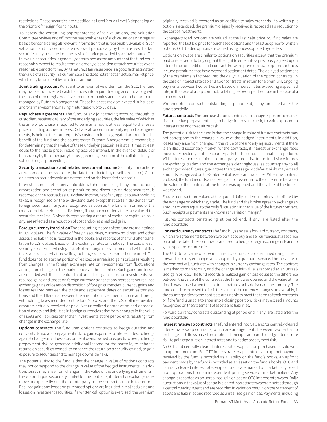restrictions. These securities are classified as Level 2 or as Level 3 depending on the priority of the significant inputs.

To assess the continuing appropriateness of fair valuations, the Valuation Committee reviews and affirms the reasonableness of such valuations on a regular basis after considering all relevant information that is reasonably available. Such valuations and procedures are reviewed periodically by the Trustees. Certain securities may be valued on the basis of a price provided by a single source. The fair value of securities is generally determined as the amount that the fund could reasonably expect to realize from an orderly disposition of such securities over a reasonable period of time. By its nature, a fair value price is a good faith estimate of the value of a security in a current sale and does not reflect an actual market price, which may be different by a material amount.

**Joint trading account** Pursuant to an exemptive order from the SEC, the fund may transfer uninvested cash balances into a joint trading account along with the cash of other registered investment companies and certain other accounts managed by Putnam Management. These balances may be invested in issues of short-term investments having maturities of up to 90 days.

**Repurchase agreements** The fund, or any joint trading account, through its custodian, receives delivery of the underlying securities, the fair value of which at the time of purchase is required to be in an amount at least equal to the resale price, including accrued interest. Collateral for certain tri-party repurchase agreements, is held at the counterparty's custodian in a segregated account for the benefit of the fund and the counterparty. Putnam Management is responsible for determining that the value of these underlying securities is at all times at least equal to the resale price, including accrued interest. In the event of default or bankruptcy by the other party to the agreement, retention of the collateral may be subject to legal proceedings.

**Security transactions and related investment income** Security transactions are recorded on the trade date (the date the order to buy or sell is executed). Gains or losses on securities sold are determined on the identified cost basis.

Interest income, net of any applicable withholding taxes, if any, and including amortization and accretion of premiums and discounts on debt securities, is recorded on the accrual basis. Dividend income, net of any applicable withholding taxes, is recognized on the ex-dividend date except that certain dividends from foreign securities, if any, are recognized as soon as the fund is informed of the ex-dividend date. Non-cash dividends, if any, are recorded at the fair value of the securities received. Dividends representing a return of capital or capital gains, if any, are reflected as a reduction of cost and/or as a realized gain.

**Foreign currency translation** The accounting records of the fund are maintained in U.S. dollars. The fair value of foreign securities, currency holdings, and other assets and liabilities is recorded in the books and records of the fund after translation to U.S. dollars based on the exchange rates on that day. The cost of each security is determined using historical exchange rates. Income and withholding taxes are translated at prevailing exchange rates when earned or incurred. The fund does not isolate that portion of realized or unrealized gains or losses resulting from changes in the foreign exchange rate on investments from fluctuations arising from changes in the market prices of the securities. Such gains and losses are included with the net realized and unrealized gain or loss on investments. Net realized gains and losses on foreign currency transactions represent net realized exchange gains or losses on disposition of foreign currencies, currency gains and losses realized between the trade and settlement dates on securities transactions and the difference between the amount of investment income and foreign withholding taxes recorded on the fund's books and the U.S. dollar equivalent amounts actually received or paid. Net unrealized appreciation and depreciation of assets and liabilities in foreign currencies arise from changes in the value of assets and liabilities other than investments at the period end, resulting from changes in the exchange rate.

**Options contracts** The fund uses options contracts to hedge duration and convexity, to isolate prepayment risk, to gain exposure to interest rates, to hedge against changes in values of securities it owns, owned or expects to own, to hedge prepayment risk, to generate additional income for the portfolio, to enhance returns on securities owned, to enhance the return on a security owned, to gain exposure to securities and to manage downside risks.

The potential risk to the fund is that the change in value of options contracts may not correspond to the change in value of the hedged instruments. In addition, losses may arise from changes in the value of the underlying instruments if there is an illiquid secondary market for the contracts, if interest or exchange rates move unexpectedly or if the counterparty to the contract is unable to perform. Realized gains and losses on purchased options are included in realized gains and losses on investment securities. If a written call option is exercised, the premium

originally received is recorded as an addition to sales proceeds. If a written put option is exercised, the premium originally received is recorded as a reduction to the cost of investments.

Exchange-traded options are valued at the last sale price or, if no sales are reported, the last bid price for purchased options and the last ask price for written options. OTC traded options are valued using prices supplied by dealers.

Options on swaps are similar to options on securities except that the premium paid or received is to buy or grant the right to enter into a previously agreed upon interest rate or credit default contract. Forward premium swap option contracts include premiums that have extended settlement dates. The delayed settlement of the premiums is factored into the daily valuation of the option contracts. In the case of interest rate cap and floor contracts, in return for a premium, ongoing payments between two parties are based on interest rates exceeding a specified rate, in the case of a cap contract, or falling below a specified rate in the case of a floor contract.

Written option contracts outstanding at period end, if any, are listed after the fund's portfolio**.**

**Futures contracts** The fund uses futures contracts to manage exposure to market risk, to hedge prepayment risk, to hedge interest rate risk, to gain exposure to interest rates and to equitize cash.

The potential risk to the fund is that the change in value of futures contracts may not correspond to the change in value of the hedged instruments. In addition, losses may arise from changes in the value of the underlying instruments, if there is an illiquid secondary market for the contracts, if interest or exchange rates move unexpectedly or if the counterparty to the contract is unable to perform. With futures, there is minimal counterparty credit risk to the fund since futures are exchange traded and the exchange's clearinghouse, as counterparty to all exchange traded futures, guarantees the futures against default. Risks may exceed amounts recognized on the Statement of assets and liabilities. When the contract is closed, the fund records a realized gain or loss equal to the difference between the value of the contract at the time it was opened and the value at the time it was closed.

Futures contracts are valued at the quoted daily settlement prices established by the exchange on which they trade. The fund and the broker agree to exchange an amount of cash equal to the daily fluctuation in the value of the futures contract. Such receipts or payments are known as "variation margin."

Futures contracts outstanding at period end, if any, are listed after the fund's portfolio.

**Forward currency contracts** The fund buys and sells forward currency contracts, which are agreements between two parties to buy and sell currencies at a set price on a future date. These contracts are used to hedge foreign exchange risk and to gain exposure to currencies.

The U.S. dollar value of forward currency contracts is determined using current forward currency exchange rates supplied by a quotation service. The fair value of the contract will fluctuate with changes in currency exchange rates. The contract is marked to market daily and the change in fair value is recorded as an unrealized gain or loss. The fund records a realized gain or loss equal to the difference between the value of the contract at the time it was opened and the value at the time it was closed when the contract matures or by delivery of the currency. The fund could be exposed to risk if the value of the currency changes unfavorably, if the counterparties to the contracts are unable to meet the terms of their contracts or if the fund is unable to enter into a closing position. Risks may exceed amounts recognized on the Statement of assets and liabilities.

Forward currency contracts outstanding at period end, if any, are listed after the fund's portfolio.

**Interest rate swap contracts** The fund entered into OTC and/or centrally cleared interest rate swap contracts, which are arrangements between two parties to exchange cash flows based on a notional principal amount, to hedge interest rate risk, to gain exposure on interest rates and to hedge prepayment risk.

An OTC and centrally cleared interest rate swap can be purchased or sold with an upfront premium. For OTC interest rate swap contracts, an upfront payment received by the fund is recorded as a liability on the fund's books. An upfront payment made by the fund is recorded as an asset on the fund's books. OTC and centrally cleared interest rate swap contracts are marked to market daily based upon quotations from an independent pricing service or market makers. Any change is recorded as an unrealized gain or loss on OTC interest rate swaps. Daily fluctuations in the value of centrally cleared interest rate swaps are settled through a central clearing agent and are recorded in variation margin on the Statement of assets and liabilities and recorded as unrealized gain or loss. Payments, including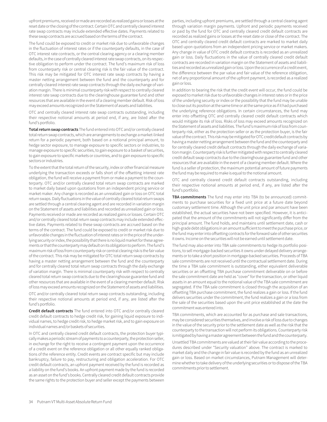upfront premiums, received or made are recorded as realized gains or losses at the reset date or the closing of the contract. Certain OTC and centrally cleared interest rate swap contracts may include extended effective dates. Payments related to these swap contracts are accrued based on the terms of the contract.

The fund could be exposed to credit or market risk due to unfavorable changes in the fluctuation of interest rates or if the counterparty defaults, in the case of OTC interest rate contracts, or the central clearing agency or a clearing member defaults, in the case of centrally cleared interest rate swap contracts, on its respective obligation to perform under the contract. The fund's maximum risk of loss from counterparty risk or central clearing risk is the fair value of the contract. This risk may be mitigated for OTC interest rate swap contracts by having a master netting arrangement between the fund and the counterparty and for centrally cleared interest rate swap contracts through the daily exchange of variation margin. There is minimal counterparty risk with respect to centrally cleared interest rate swap contracts due to the clearinghouse guarantee fund and other resources that are available in the event of a clearing member default. Risk of loss may exceed amounts recognized on the Statement of assets and liabilities.

OTC and centrally cleared interest rate swap contracts outstanding, including their respective notional amounts at period end, if any, are listed after the fund's portfolio.

**Total return swap contracts** The fund entered into OTC and/or centrally cleared total return swap contracts, which are arrangements to exchange a market-linked return for a periodic payment, both based on a notional principal amount, to hedge sector exposure, to manage exposure to specific sectors or industries, to manage exposure to specific securities, to gain exposure to a basket of securities, to gain exposure to specific markets or countries, and to gain exposure to specific sectors or industries.

To the extent that the total return of the security, index or other financial measure underlying the transaction exceeds or falls short of the offsetting interest rate obligation, the fund will receive a payment from or make a payment to the counterparty. OTC and/or centrally cleared total return swap contracts are marked to market daily based upon quotations from an independent pricing service or market maker. Any change is recorded as an unrealized gain or loss on OTC total return swaps. Daily fluctuations in the value of centrally cleared total return swaps are settled through a central clearing agent and are recorded in variation margin on the Statement of assets and liabilities and recorded as unrealized gain or loss. Payments received or made are recorded as realized gains or losses. Certain OTC and/or centrally cleared total return swap contracts may include extended effective dates. Payments related to these swap contracts are accrued based on the terms of the contract. The fund could be exposed to credit or market risk due to unfavorable changes in the fluctuation of interest rates or in the price of the underlying security or index, the possibility that there is no liquid market for these agreements or that the counterparty may default on its obligation to perform. The fund's maximum risk of loss from counterparty risk or central clearing risk is the fair value of the contract. This risk may be mitigated for OTC total return swap contracts by having a master netting arrangement between the fund and the counterparty and for centrally cleared total return swap contracts through the daily exchange of variation margin. There is minimal counterparty risk with respect to centrally cleared total return swap contracts due to the clearinghouse guarantee fund and other resources that are available in the event of a clearing member default. Risk of loss may exceed amounts recognized on the Statement of assets and liabilities.

OTC and/or centrally cleared total return swap contracts outstanding, including their respective notional amounts at period end, if any, are listed after the fund's portfolio.

**Credit default contracts** The fund entered into OTC and/or centrally cleared credit default contracts to hedge credit risk, for gaining liquid exposure to individual names, to hedge credit risk, to hedge market risk, and to gain exposure on individual names and/or baskets of securities.

In OTC and centrally cleared credit default contracts, the protection buyer typically makes a periodic stream of payments to a counterparty, the protection seller, in exchange for the right to receive a contingent payment upon the occurrence of a credit event on the reference obligation or all other equally ranked obligations of the reference entity. Credit events are contract specific but may include bankruptcy, failure to pay, restructuring and obligation acceleration. For OTC credit default contracts, an upfront payment received by the fund is recorded as a liability on the fund's books. An upfront payment made by the fund is recorded as an asset on the fund's books. Centrally cleared credit default contracts provide the same rights to the protection buyer and seller except the payments between parties, including upfront premiums, are settled through a central clearing agent through variation margin payments. Upfront and periodic payments received or paid by the fund for OTC and centrally cleared credit default contracts are recorded as realized gains or losses at the reset date or close of the contract. The OTC and centrally cleared credit default contracts are marked to market daily based upon quotations from an independent pricing service or market makers. Any change in value of OTC credit default contracts is recorded as an unrealized gain or loss. Daily fluctuations in the value of centrally cleared credit default contracts are recorded in variation margin on the Statement of assets and liabilities and recorded as unrealized gain or loss. Upon the occurrence of a credit event, the difference between the par value and fair value of the reference obligation, net of any proportional amount of the upfront payment, is recorded as a realized gain or loss.

In addition to bearing the risk that the credit event will occur, the fund could be exposed to market risk due to unfavorable changes in interest rates or in the price of the underlying security or index or the possibility that the fund may be unable to close out its position at the same time or at the same price as if it had purchased the underlying reference obligations. In certain circumstances, the fund may enter into offsetting OTC and centrally cleared credit default contracts which would mitigate its risk of loss. Risks of loss may exceed amounts recognized on the Statement of assets and liabilities. The fund's maximum risk of loss from counterparty risk, either as the protection seller or as the protection buyer, is the fair value of the contract. This risk may be mitigated for OTC credit default contracts by having a master netting arrangement between the fund and the counterparty and for centrally cleared credit default contracts through the daily exchange of variation margin. Counterparty risk is further mitigated with respect to centrally cleared credit default swap contracts due to the clearinghouse guarantee fund and other resources that are available in the event of a clearing member default. Where the fund is a seller of protection, the maximum potential amount of future payments the fund may be required to make is equal to the notional amount.

OTC and centrally cleared credit default contracts outstanding, including their respective notional amounts at period end, if any, are listed after the fund's portfolio.

**TBA commitments** The fund may enter into TBA (to be announced) commitments to purchase securities for a fixed unit price at a future date beyond customary settlement time. Although the unit price and par amount have been established, the actual securities have not been specified. However, it is anticipated that the amount of the commitments will not significantly differ from the principal amount. The fund holds, and maintains until settlement date, cash or high-grade debt obligations in an amount sufficient to meet the purchase price, or the fund may enter into offsetting contracts for the forward sale of other securities it owns. Income on the securities will not be earned until settlement date.

The fund may also enter into TBA sale commitments to hedge its portfolio positions, to sell mortgage-backed securities it owns under delayed delivery arrangements or to take a short position in mortgage-backed securities. Proceeds of TBA sale commitments are not received until the contractual settlement date. During the time a TBA sale commitment is outstanding, either equivalent deliverable securities or an offsetting TBA purchase commitment deliverable on or before the sale commitment date are held as "cover" for the transaction, or other liquid assets in an amount equal to the notional value of the TBA sale commitment are segregated. If the TBA sale commitment is closed through the acquisition of an offsetting TBA purchase commitment, the fund realizes a gain or loss. If the fund delivers securities under the commitment, the fund realizes a gain or a loss from the sale of the securities based upon the unit price established at the date the commitment was entered into.

TBA commitments, which are accounted for as purchase and sale transactions, may be considered securities themselves, and involve a risk of loss due to changes in the value of the security prior to the settlement date as well as the risk that the counterparty to the transaction will not perform its obligations. Counterparty risk is mitigated by having a master agreement between the fund and the counterparty.

Unsettled TBA commitments are valued at their fair value according to the procedures described under "Security valuation" above. The contract is marked to market daily and the change in fair value is recorded by the fund as an unrealized gain or loss. Based on market circumstances, Putnam Management will determine whether to take delivery of the underlying securities or to dispose of the TBA commitments prior to settlement.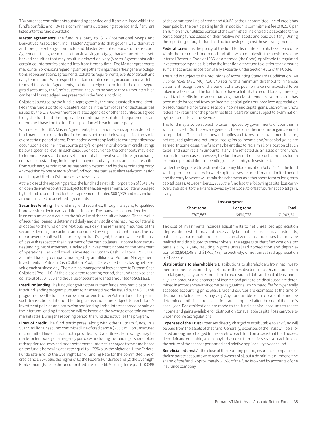TBA purchase commitments outstanding at period end, if any, are listed within the fund's portfolio and TBA sale commitments outstanding at period end, if any, are listed after the fund's portfolio.

**Master agreements** The fund is a party to ISDA (International Swaps and Derivatives Association, Inc.) Master Agreements that govern OTC derivative and foreign exchange contracts and Master Securities Forward Transaction Agreements that govern transactions involving mortgage-backed and other assetbacked securities that may result in delayed delivery (Master Agreements) with certain counterparties entered into from time to time. The Master Agreements may contain provisions regarding, among other things, the parties' general obligations, representations, agreements, collateral requirements, events of default and early termination. With respect to certain counterparties, in accordance with the terms of the Master Agreements, collateral pledged to the fund is held in a segregated account by the fund's custodian and, with respect to those amounts which can be sold or repledged, are presented in the fund's portfolio.

Collateral pledged by the fund is segregated by the fund's custodian and identified in the fund's portfolio. Collateral can be in the form of cash or debt securities issued by the U.S. Government or related agencies or other securities as agreed to by the fund and the applicable counterparty. Collateral requirements are determined based on the fund's net position with each counterparty.

With respect to ISDA Master Agreements, termination events applicable to the fund may occur upon a decline in the fund's net assets below a specified threshold over a certain period of time. Termination events applicable to counterparties may occur upon a decline in the counterparty's long-term or short-term credit ratings below a specified level. In each case, upon occurrence, the other party may elect to terminate early and cause settlement of all derivative and foreign exchange contracts outstanding, including the payment of any losses and costs resulting from such early termination, as reasonably determined by the terminating party. Any decision by one or more of the fund's counterparties to elect early termination could impact the fund's future derivative activity.

At the close of the reporting period, the fund had a net liability position of \$641,342 on open derivative contracts subject to the Master Agreements**.** Collateral pledged by the fund at period end for these agreements totaled \$607,939 and may include amounts related to unsettled agreements.

**Securities lending** The fund may lend securities, through its agent, to qualified borrowers in order to earn additional income. The loans are collateralized by cash in an amount at least equal to the fair value of the securities loaned. The fair value of securities loaned is determined daily and any additional required collateral is allocated to the fund on the next business day. The remaining maturities of the securities lending transactions are considered overnight and continuous. The risk of borrower default will be borne by the fund's agent; the fund will bear the risk of loss with respect to the investment of the cash collateral. Income from securities lending, net of expenses, is included in investment income on the Statement of operations. Cash collateral is invested in Putnam Cash Collateral Pool, LLC, a limited liability company managed by an affiliate of Putnam Management. Investments in Putnam Cash Collateral Pool, LLC are valued at its closing net asset value each business day. There are no management fees charged to Putnam Cash Collateral Pool, LLC. At the close of the reporting period, the fund received cash collateral of \$704,750 and the value of securities loaned amounted to \$691,931.

**Interfund lending** The fund, along with other Putnam funds, may participate in an interfund lending program pursuant to an exemptive order issued by the SEC. This program allows the fund to borrow from or lend to other Putnam funds that permit such transactions. Interfund lending transactions are subject to each fund's investment policies and borrowing and lending limits. Interest earned or paid on the interfund lending transaction will be based on the average of certain current market rates. During the reporting period, the fund did not utilize the program.

**Lines of credit** The fund participates, along with other Putnam funds, in a \$317.5 million unsecured committed line of credit and a \$235.5 million unsecured uncommitted line of credit, both provided by State Street. Borrowings may be made for temporary or emergency purposes, including the funding of shareholder redemption requests and trade settlements. Interest is charged to the fund based on the fund's borrowing at a rate equal to 1.25% plus the higher of (1) the Federal Funds rate and (2) the Overnight Bank Funding Rate for the committed line of credit and 1.30% plus the higher of (1) the Federal Funds rate and (2) the Overnight Bank Funding Rate for the uncommitted line of credit. A closing fee equal to 0.04% of the committed line of credit and 0.04% of the uncommitted line of credit has been paid by the participating funds. In addition, a commitment fee of 0.21% per annum on any unutilized portion of the committed line of credit is allocated to the participating funds based on their relative net assets and paid quarterly. During the reporting period, the fund had no borrowings against these arrangements.

**Federal taxes** It is the policy of the fund to distribute all of its taxable income within the prescribed time period and otherwise comply with the provisions of the Internal Revenue Code of 1986, as amended (the Code), applicable to regulated investment companies. It is also the intention of the fund to distribute an amount sufficient to avoid imposition of any excise tax under Section 4982 of the Code.

The fund is subject to the provisions of Accounting Standards Codification 740 *Income Taxes* (ASC 740). ASC 740 sets forth a minimum threshold for financial statement recognition of the benefit of a tax position taken or expected to be taken in a tax return. The fund did not have a liability to record for any unrecognized tax benefits in the accompanying financial statements. No provision has been made for federal taxes on income, capital gains or unrealized appreciation on securities held nor for excise tax on income and capital gains. Each of the fund's federal tax returns for the prior three fiscal years remains subject to examination by the Internal Revenue Service.

The fund may also be subject to taxes imposed by governments of countries in which it invests. Such taxes are generally based on either income or gains earned or repatriated. The fund accrues and applies such taxes to net investment income, net realized gains and net unrealized gains as income and/or capital gains are earned. In some cases, the fund may be entitled to reclaim all or a portion of such taxes, and such reclaim amounts, if any, are reflected as an asset on the fund's books. In many cases, however, the fund may not receive such amounts for an extended period of time, depending on the country of investment.

Under the Regulated Investment Company Modernization Act of 2010, the fund will be permitted to carry forward capital losses incurred for an unlimited period and the carry forwards will retain their character as either short-term or long-term capital losses. At December 31, 2020, the fund had the following capital loss carryovers available, to the extent allowed by the Code, to offset future net capital gain, if any:

| Loss carryover |           |             |  |  |  |  |  |
|----------------|-----------|-------------|--|--|--|--|--|
| Short-term     | Long-term | Total       |  |  |  |  |  |
| \$707.563      | \$494,778 | \$1,202,341 |  |  |  |  |  |

Tax cost of investments includes adjustments to net unrealized appreciation (depreciation) which may not necessarily be final tax cost basis adjustments, but closely approximate the tax basis unrealized gains and losses that may be realized and distributed to shareholders. The aggregate identified cost on a tax basis is \$25,137,046, resulting in gross unrealized appreciation and depreciation of \$2,804,548 and \$1,465,478, respectively, or net unrealized appreciation of \$1,339,070.

**Distributions to shareholders** Distributions to shareholders from net investment income are recorded by the fund on the ex-dividend date. Distributions from capital gains, if any, are recorded on the ex-dividend date and paid at least annually. The amount and character of income and gains to be distributed are determined in accordance with income tax regulations, which may differ from generally accepted accounting principles. Dividend sources are estimated at the time of declaration. Actual results may vary. Any non-taxable return of capital cannot be determined until final tax calculations are completed after the end of the fund's fiscal year. Reclassifications are made to the fund's capital accounts to reflect income and gains available for distribution (or available capital loss carryovers) under income tax regulations.

**Expenses of the Trust** Expenses directly charged or attributable to any fund will be paid from the assets of that fund. Generally, expenses of the Trust will be allocated among and charged to the assets of each fund on a basis that the Trustees deem fair and equitable, which may be based on the relative assets of each fund or the nature of the services performed and relative applicability to each fund.

**Beneficial interest** At the close of the reporting period, insurance companies or their separate accounts were record owners of all but a de minimis number of the shares of the fund. Approximately 51.5% of the fund is owned by accounts of one insurance company.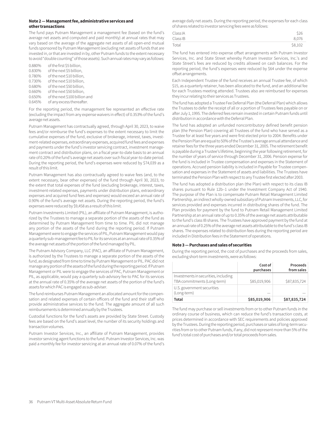#### **Note 2 — Management fee, administrative services and other transactions**

The fund pays Putnam Management a management fee (based on the fund's average net assets and computed and paid monthly) at annual rates that may vary based on the average of the aggregate net assets of all open-end mutual funds sponsored by Putnam Management (excluding net assets of funds that are invested in, or that are invested in by, other Putnam funds to the extent necessary to avoid "double counting" of those assets). Such annual rates may vary as follows:

| 0.880% | of the first \$5 billion,     |
|--------|-------------------------------|
| 0.830% | of the next \$5 billion,      |
| 0.780% | of the next \$10 billion,     |
| 0.730% | of the next \$10 billion,     |
| 0.680% | of the next \$50 billion,     |
| 0.660% | of the next \$50 billion,     |
| 0.650% | of the next \$100 billion and |
| 0.645% | of any excess thereafter.     |

For the reporting period, the management fee represented an effective rate (excluding the impact from any expense waivers in effect) of 0.353% of the fund's average net assets.

Putnam Management has contractually agreed, through April 30, 2023, to waive fees and/or reimburse the fund's expenses to the extent necessary to limit the cumulative expenses of the fund, exclusive of brokerage, interest, taxes, investment-related expenses, extraordinary expenses, acquired fund fees and expenses and payments under the fund's investor servicing contract, investment management contract and distribution plans, on a fiscal year-to-date basis to an annual rate of 0.20% of the fund's average net assets over such fiscal year-to-date period. During the reporting period, the fund's expenses were reduced by \$74,039 as a result of this limit.

Putnam Management has also contractually agreed to waive fees (and, to the extent necessary, bear other expenses) of the fund through April 30, 2023, to the extent that total expenses of the fund (excluding brokerage, interest, taxes, investment-related expenses, payments under distribution plans, extraordinary expenses and acquired fund fees and expenses) would exceed an annual rate of 0.90% of the fund's average net assets. During the reporting period, the fund's expenses were reduced by \$9,458 as a result of this limit.

Putnam Investments Limited (PIL), an affiliate of Putnam Management, is authorized by the Trustees to manage a separate portion of the assets of the fund as determined by Putnam Management from time to time. PIL did not manage any portion of the assets of the fund during the reporting period. If Putnam Management were to engage the services of PIL, Putnam Management would pay a quarterly sub-management fee to PIL for its services at an annual rate of 0.35% of the average net assets of the portion of the fund managed by PIL.

The Putnam Advisory Company, LLC (PAC), an affiliate of Putnam Management, is authorized by the Trustees to manage a separate portion of the assets of the fund, as designated from time to time by Putnam Management or PIL. PAC did not manage any portion of the assets of the fund during the reporting period. If Putnam Management or PIL were to engage the services of PAC, Putnam Management or PIL, as applicable, would pay a quarterly sub-advisory fee to PAC for its services at the annual rate of 0.35% of the average net assets of the portion of the fund's assets for which PAC is engaged as sub-adviser.

The fund reimburses Putnam Management an allocated amount for the compensation and related expenses of certain officers of the fund and their staff who provide administrative services to the fund. The aggregate amount of all such reimbursements is determined annually by the Trustees.

Custodial functions for the fund's assets are provided by State Street. Custody fees are based on the fund's asset level, the number of its security holdings and transaction volumes.

Putnam Investor Services, Inc., an affiliate of Putnam Management, provides investor servicing agent functions to the fund. Putnam Investor Services, Inc. was paid a monthly fee for investor servicing at an annual rate of 0.07% of the fund's average daily net assets. During the reporting period, the expenses for each class of shares related to investor servicing fees were as follows:

| Class IA          | \$26             |
|-------------------|------------------|
| Class IB<br>Total | 8,076<br>\$8,102 |
|                   |                  |

The fund has entered into expense offset arrangements with Putnam Investor Services, Inc. and State Street whereby Putnam Investor Services, Inc.'s and State Street's fees are reduced by credits allowed on cash balances. For the reporting period, the fund's expenses were reduced by \$64 under the expense offset arrangements.

Each Independent Trustee of the fund receives an annual Trustee fee, of which \$15, as a quarterly retainer, has been allocated to the fund, and an additional fee for each Trustees meeting attended. Trustees also are reimbursed for expenses they incur relating to their services as Trustees.

The fund has adopted a Trustee Fee Deferral Plan (the Deferral Plan) which allows the Trustees to defer the receipt of all or a portion of Trustees fees payable on or after July 1, 1995. The deferred fees remain invested in certain Putnam funds until distribution in accordance with the Deferral Plan.

The fund has adopted an unfunded noncontributory defined benefit pension plan (the Pension Plan) covering all Trustees of the fund who have served as a Trustee for at least five years and were first elected prior to 2004. Benefits under the Pension Plan are equal to 50% of the Trustee's average annual attendance and retainer fees for the three years ended December 31, 2005. The retirement benefit is payable during a Trustee's lifetime, beginning the year following retirement, for the number of years of service through December 31, 2006. Pension expense for the fund is included in Trustee compensation and expenses in the Statement of operations. Accrued pension liability is included in Payable for Trustee compensation and expenses in the Statement of assets and liabilities. The Trustees have terminated the Pension Plan with respect to any Trustee first elected after 2003.

The fund has adopted a distribution plan (the Plan) with respect to its class IB shares pursuant to Rule 12b–1 under the Investment Company Act of 1940. The purpose of the Plan is to compensate Putnam Retail Management Limited Partnership, an indirect wholly-owned subsidiary of Putnam Investments, LLC, for services provided and expenses incurred in distributing shares of the fund. The Plan provides for payment by the fund to Putnam Retail Management Limited Partnership at an annual rate of up to 0.35% of the average net assets attributable to the fund's class IB shares. The Trustees have approved payment by the fund at an annual rate of 0.25% of the average net assets attributable to the fund's class IB shares. The expenses related to distribution fees during the reporting period are included in Distribution fees in the Statement of operations.

#### **Note 3 — Purchases and sales of securities**

During the reporting period, the cost of purchases and the proceeds from sales, excluding short-term investments, were as follows:

|                                                                     | Cost of<br>purchases | Proceeds<br>from sales |
|---------------------------------------------------------------------|----------------------|------------------------|
| Investments in securities, including<br>TBA commitments (Long-term) | \$85,019,906         | \$87,835,724           |
| U.S. government securities<br>(Long-term)                           |                      |                        |
| Total                                                               | \$85,019,906         | \$87,835,724           |

The fund may purchase or sell investments from or to other Putnam funds in the ordinary course of business, which can reduce the fund's transaction costs, at prices determined in accordance with SEC requirements and policies approved by the Trustees. During the reporting period, purchases or sales of long-term securities from or to other Putnam funds, if any, did not represent more than 5% of the fund's total cost of purchases and/or total proceeds from sales.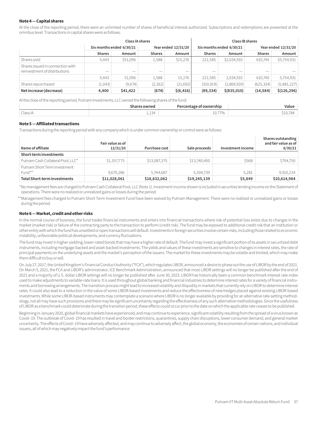#### **Note 4 — Capital shares**

At the close of the reporting period, there were an unlimited number of shares of beneficial interest authorized. Subscriptions and redemptions are presented at the omnibus level. Transactions in capital shares were as follows:

|                                                                   |                          | Class IA shares          |                     | Class IB shares |                          |                          |                          |              |
|-------------------------------------------------------------------|--------------------------|--------------------------|---------------------|-----------------|--------------------------|--------------------------|--------------------------|--------------|
|                                                                   | Six months ended 6/30/21 |                          | Year ended 12/31/20 |                 |                          | Six months ended 6/30/21 | Year ended 12/31/20      |              |
|                                                                   | <b>Shares</b>            | Amount                   | <b>Shares</b>       | Amount          | <b>Shares</b>            | Amount                   | <b>Shares</b>            | Amount       |
| Shares sold                                                       | 5,443                    | \$51,096                 | 1,588               | \$15,276        | 221,585                  | \$2,034,910              | 610,740                  | \$5,754,931  |
| Shares issued in connection with<br>reinvestment of distributions |                          | $\overline{\phantom{a}}$ |                     | __              | $\overline{\phantom{a}}$ |                          | $\overline{\phantom{a}}$ |              |
|                                                                   | 5.443                    | 51,096                   | 1,588               | 15,276          | 221,585                  | 2,034,910                | 610,740                  | 5,754,931    |
| Shares repurchased                                                | (1,043)                  | (9,674)                  | (2, 262)            | (21, 692)       | (310, 919)               | (2,869,920)              | (625, 324)               | (5,881,227)  |
| Net increase (decrease)                                           | 4,400                    | \$41,422                 | (674)               | \$(6, 416)      | (89, 334)                | \$ (835,010)             | (14, 584)                | \$(126, 296) |

At the close of the reporting period, Putnam Investments, LLC owned the following shares of the fund:

|          | vneo.<br>____      | ownership<br>ז ה<br>. | value |
|----------|--------------------|-----------------------|-------|
| Flass i. | . .<br>ت جا و جا ب |                       |       |

#### **Note 5 — Affiliated transactions**

Transactions during the reporting period with any company which is under common ownership or control were as follows:

| Name of affiliate                        | Fair value as of<br>12/31/20 | Purchase cost | Sale proceeds | Investment income | Shares outstanding<br>and fair value as of<br>6/30/21 |
|------------------------------------------|------------------------------|---------------|---------------|-------------------|-------------------------------------------------------|
| Short-term investments                   |                              |               |               |                   |                                                       |
| Putnam Cash Collateral Pool, LLC*        | \$1,357,775                  | \$13,087,375  | \$13,740,400  | \$568             | \$704,750                                             |
| Putnam Short Term Investment<br>$Fund**$ | 9,670,286                    | 5,744,687     | 5,504,739     | 5,281             | 9,910,234                                             |
| <b>Total Short-term investments</b>      | \$11,028,061                 | \$18,832,062  | \$19,245,139  | \$5,849           | \$10,614,984                                          |

\*No management fees are charged to Putnam Cash Collateral Pool, LLC (Note 1). Investment income shown is included in securities lending income on the Statement of operations. There were no realized or unrealized gains or losses during the period.

\*\*Management fees charged to Putnam Short Term Investment Fund have been waived by Putnam Management. There were no realized or unrealized gains or losses during the period.

#### **Note 6 — Market, credit and other risks**

In the normal course of business, the fund trades financial instruments and enters into financial transactions where risk of potential loss exists due to changes in the market (market risk) or failure of the contracting party to the transaction to perform (credit risk). The fund may be exposed to additional credit risk that an institution or other entity with which the fund has unsettled or open transactions will default. Investments in foreign securities involve certain risks, including those related to economic instability, unfavorable political developments, and currency fluctuations.

The fund may invest in higher-yielding, lower-rated bonds that may have a higher rate of default. The fund may invest a significant portion of its assets in securitized debt instruments, including mortgage-backed and asset-backed investments. The yields and values of these investments are sensitive to changes in interest rates, the rate of principal payments on the underlying assets and the market's perception of the issuers. The market for these investments may be volatile and limited, which may make them difficult to buy or sell.

On July 27, 2017, the United Kingdom's Financial Conduct Authority ("FCA"), which regulates LIBOR, announced a desire to phase out the use of LIBOR by the end of 2021. On March 5, 2021, the FCA and LIBOR's administrator, ICE Benchmark Administration, announced that most LIBOR settings will no longer be published after the end of 2021 and a majority of U.S. dollar LIBOR settings will no longer be published after June 30, 2023. LIBOR has historically been a common benchmark interest rate index used to make adjustments to variable-rate loans. It is used throughout global banking and financial industries to determine interest rates for a variety of financial instruments and borrowing arrangements. The transition process might lead to increased volatility and illiquidity in markets that currently rely on LIBOR to determine interest rates. It could also lead to a reduction in the value of some LIBOR-based investments and reduce the effectiveness of new hedges placed against existing LIBOR-based investments. While some LIBOR-based instruments may contemplate a scenario where LIBOR is no longer available by providing for an alternative rate-setting methodology, not all may have such provisions and there may be significant uncertainty regarding the effectiveness of any such alternative methodologies. Since the usefulness of LIBOR as a benchmark could deteriorate during the transition period, these effects could occur prior to the date on which the applicable rate ceases to be published.

Beginning in January 2020, global financial markets have experienced, and may continue to experience, significant volatility resulting from the spread of a virus known as Covid–19. The outbreak of Covid–19 has resulted in travel and border restrictions, quarantines, supply chain disruptions, lower consumer demand, and general market uncertainty. The effects of Covid–19 have adversely affected, and may continue to adversely affect, the global economy, the economies of certain nations, and individual issuers, all of which may negatively impact the fund's performance.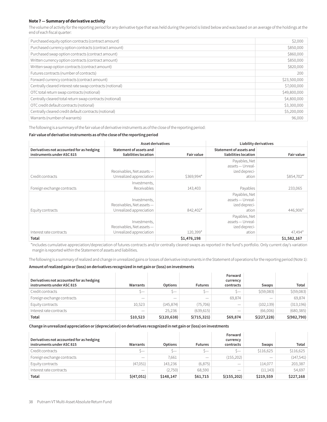#### **Note 7 — Summary of derivative activity**

The volume of activity for the reporting period for any derivative type that was held during the period is listed below and was based on an average of the holdings at the end of each fiscal quarter:

| Purchased equity option contracts (contract amount)       | \$2,000      |
|-----------------------------------------------------------|--------------|
| Purchased currency option contracts (contract amount)     | \$850,000    |
| Purchased swap option contracts (contract amount)         | \$860,000    |
| Written currency option contracts (contract amount)       | \$850,000    |
| Written swap option contracts (contract amount)           | \$820,000    |
| Futures contracts (number of contracts)                   | 200          |
| Forward currency contracts (contract amount)              | \$23,500,000 |
| Centrally cleared interest rate swap contracts (notional) | \$7,000,000  |
| OTC total return swap contracts (notional)                | \$49,800,000 |
| Centrally cleared total return swap contracts (notional)  | \$4,800,000  |
| OTC credit default contracts (notional)                   | \$3,300,000  |
| Centrally cleared credit default contracts (notional)     | \$5,200,000  |
| Warrants (number of warrants)                             | 96,000       |

The following is a summary of the fair value of derivative instruments as of the close of the reporting period:

#### **Fair value of derivative instruments as of the close of the reporting period**

|                                                                       | <b>Asset derivatives</b>                                             |                   | <b>Liability derivatives</b>                                |                   |
|-----------------------------------------------------------------------|----------------------------------------------------------------------|-------------------|-------------------------------------------------------------|-------------------|
| Derivatives not accounted for as hedging<br>instruments under ASC 815 | Statement of assets and<br>liabilities location                      | <b>Fair value</b> | Statement of assets and<br>liabilities location             | <b>Fair value</b> |
|                                                                       | Receivables, Net assets -                                            |                   | Payables, Net<br>assets - Unreal-<br>ized depreci-          |                   |
| Credit contracts                                                      | Unrealized appreciation                                              | \$369,994*        | ation                                                       | \$854,702*        |
| Foreign exchange contracts                                            | Investments,<br>Receivables                                          | 143,403           | Payables                                                    | 233,065           |
| Equity contracts                                                      | Investments.<br>Receivables, Net assets -<br>Unrealized appreciation | 842,402*          | Payables, Net<br>assets - Unreal-<br>ized depreci-<br>ation | 446,906*          |
| Interest rate contracts                                               | Investments,<br>Receivables, Net assets -<br>Unrealized appreciation | 120,399*          | Payables, Net<br>assets - Unreal-<br>ized depreci-<br>ation | 47,494*           |
| <b>Total</b>                                                          |                                                                      | \$1,476,198       |                                                             | \$1,582,167       |

\*Includes cumulative appreciation/depreciation of futures contracts and/or centrally cleared swaps as reported in the fund's portfolio. Only current day's variation margin is reported within the Statement of assets and liabilities.

The following is a summary of realized and change in unrealized gains or losses of derivative instruments in the Statement of operations for the reporting period (Note 1):

#### **Amount of realized gain or (loss) on derivatives recognized in net gain or (loss) on investments**

| Derivatives not accounted for as hedging<br>instruments under ASC 815 | Warrants                 | <b>Options</b> | <b>Futures</b> | Forward<br>currency<br>contracts | Swaps        | Total         |
|-----------------------------------------------------------------------|--------------------------|----------------|----------------|----------------------------------|--------------|---------------|
| Credit contracts                                                      | Ś—                       | $\sim$         | $\sim$         | $S-$                             | \$ (59,083)  | \$ (59,083)   |
| Foreign exchange contracts                                            | $\overline{\phantom{a}}$ | __             |                | 69,874                           | $-$          | 69,874        |
| Equity contracts                                                      | 10,523                   | (145, 874)     | (75, 706)      |                                  | (102, 139)   | (313, 196)    |
| Interest rate contracts                                               | $\overline{\phantom{a}}$ | 25.236         | (639, 615)     |                                  | (66,006)     | (680, 385)    |
| Total                                                                 | \$10,523                 | \$(120, 638)   | \$(715,321)    | \$69,874                         | \$(227, 228) | \$ (982, 790) |

**Change in unrealized appreciation or (depreciation) on derivatives recognized in net gain or (loss) on investments**

| Derivatives not accounted for as hedging<br>instruments under ASC 815 | Warrants                 | <b>Options</b> | <b>Futures</b>           | Forward<br>currency<br>contracts | Swaps     | Total      |
|-----------------------------------------------------------------------|--------------------------|----------------|--------------------------|----------------------------------|-----------|------------|
| Credit contracts                                                      | Ś—                       | \$—            | $\sim$                   | Ś—                               | \$116,625 | \$116,625  |
| Foreign exchange contracts                                            |                          | 7,661          | $\overline{\phantom{m}}$ | (155, 202)                       |           | (147, 541) |
| Equity contracts                                                      | (47,051)                 | 143,236        | (6,875)                  | $\overline{\phantom{m}}$         | 114,077   | 203,387    |
| Interest rate contracts                                               | $\overline{\phantom{m}}$ | (2,750)        | 68.590                   |                                  | (11, 143) | 54,697     |
| <b>Total</b>                                                          | \$(47,051)               | \$148,147      | \$61,715                 | \$(155, 202)                     | \$219,559 | \$227,168  |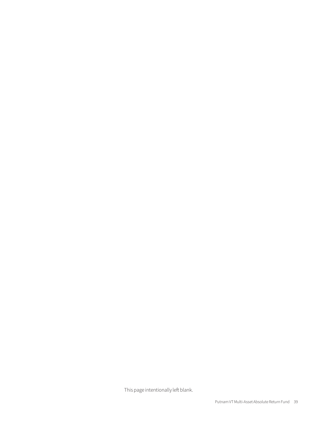This page intentionally left blank.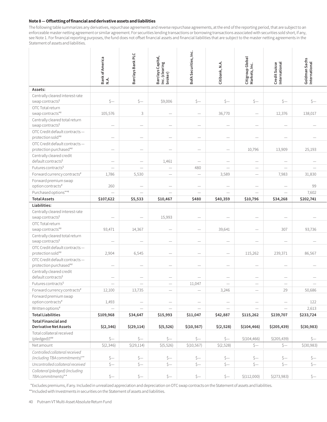#### **Note 8 — Offsetting of financial and derivative assets and liabilities**

The following table summarizes any derivatives, repurchase agreements and reverse repurchase agreements, at the end of the reporting period, that are subject to an enforceable master netting agreement or similar agreement. For securities lending transactions or borrowing transactions associated with securities sold short, if any, see Note 1. For financial reporting purposes, the fund does not offset financial assets and financial liabilities that are subject to the master netting agreements in the Statement of assets and liabilities.

|                                                                | erica<br>Ę<br>ৢ৳<br>Bank<br>N.A. | PLC<br><b>Bank</b><br>$\frac{a}{b}$ | Barclays Capital,<br>Inc. (clearing<br>broker) | ecurities, Inc<br>Ū<br>≤<br>န္တ | ık, N.<br>Citib                 | Citigroup Global<br>Markets, Inc. | Credit Suisse<br>International  | Goldman Sachs<br>International  |
|----------------------------------------------------------------|----------------------------------|-------------------------------------|------------------------------------------------|---------------------------------|---------------------------------|-----------------------------------|---------------------------------|---------------------------------|
| Assets:                                                        |                                  |                                     |                                                |                                 |                                 |                                   |                                 |                                 |
| Centrally cleared interest rate<br>swap contracts <sup>§</sup> | $\zeta-$                         | $\zeta-$                            | \$9,006                                        | $S-$                            | $\zeta-$                        | $\zeta-$                          | $\zeta-$                        | $S-$                            |
| OTC Total return<br>swap contracts*#                           | 105,576                          | $\mathbf{3}$                        | $\hspace{0.1mm}-\hspace{0.1mm}$                | $\hspace{0.1mm}-\hspace{0.1mm}$ | 36,770                          | $\hspace{0.1mm}-\hspace{0.1mm}$   | 12,376                          | 138,017                         |
| Centrally cleared total return                                 |                                  |                                     |                                                |                                 |                                 |                                   |                                 |                                 |
| swap contracts <sup>§</sup><br>OTC Credit default contracts-   | $\overline{\phantom{m}}$         | $\hspace{0.1mm}-\hspace{0.1mm}$     | $\overline{\phantom{m}}$                       | $\hspace{0.1mm}-\hspace{0.1mm}$ | $\hspace{0.1mm}-\hspace{0.1mm}$ | $\hspace{0.1mm}$                  | $\overline{\phantom{a}}$        | $\hspace{0.1mm}-\hspace{0.1mm}$ |
| protection sold*#<br>OTC Credit default contracts-             | $\hspace{0.1mm}$                 | $\overline{\phantom{a}}$            | $\overline{\phantom{m}}$                       | $\overline{\phantom{a}}$        | $\overline{\phantom{a}}$        | $\overline{\phantom{a}}$          | $\hspace{0.1mm}-\hspace{0.1mm}$ | $\sim$                          |
| protection purchased*#                                         | $\overline{\phantom{m}}$         | $\overline{\phantom{m}}$            | $\hspace{0.1mm}-\hspace{0.1mm}$                | $\hspace{0.1mm}-\hspace{0.1mm}$ | $\overline{\phantom{m}}$        | 10,796                            | 13,909                          | 25,193                          |
| Centrally cleared credit<br>default contracts <sup>§</sup>     |                                  |                                     | 1,461                                          |                                 |                                 |                                   |                                 |                                 |
|                                                                | $\hspace{0.1mm}$                 | $\overline{\phantom{m}}$            |                                                | $\hspace{0.1mm}-\hspace{0.1mm}$ | $\overline{\phantom{m}}$        | $\hspace{0.1mm}-\hspace{0.1mm}$   | $\overline{\phantom{m}}$        | $\hspace{0.1mm}$                |
| Futures contracts <sup>§</sup>                                 | $\overline{\phantom{m}}$         | $\overline{\phantom{a}}$            | $\overline{\phantom{m}}$                       | 480                             | $\overline{\phantom{m}}$        | $\hspace{0.1mm}$                  | $\overline{\phantom{m}}$        | $\hspace{0.1mm}$                |
| Forward currency contracts <sup>#</sup>                        | 1,786                            | 5,530                               | $\overline{\phantom{m}}$                       | $\overline{\phantom{m}}$        | 3,589                           | $\overline{\phantom{m}}$          | 7,983                           | 31,830                          |
| Forward premium swap<br>option contracts <sup>#</sup>          | 260                              | $\hspace{0.1mm}-\hspace{0.1mm}$     | $\hspace{0.1mm}-\hspace{0.1mm}$                | $\hspace{0.1mm}-\hspace{0.1mm}$ | $\hspace{0.1mm}-\hspace{0.1mm}$ | $\hspace{0.1mm}-\hspace{0.1mm}$   | $\hspace{0.1mm}-\hspace{0.1mm}$ | 99                              |
| Purchased options**#                                           | $\hspace{0.1mm}$                 | $\overline{\phantom{a}}$            | $\hspace{0.1mm}-\hspace{0.1mm}$                | $\overline{\phantom{m}}$        | $\overline{\phantom{m}}$        | $\hspace{0.1mm}-\hspace{0.1mm}$   | $\overline{\phantom{m}}$        | 7,602                           |
| <b>Total Assets</b>                                            | \$107,622                        | \$5,533                             | \$10,467                                       | \$480                           | \$40,359                        | \$10,796                          | \$34,268                        | \$202,741                       |
| Liabilities:                                                   |                                  |                                     |                                                |                                 |                                 |                                   |                                 |                                 |
| Centrally cleared interest rate                                |                                  |                                     |                                                |                                 |                                 |                                   |                                 |                                 |
| swap contracts <sup>§</sup>                                    | $\hspace{0.1mm}$                 | $\hspace{0.1mm}-\hspace{0.1mm}$     | 15,993                                         | $\hspace{0.1mm}-\hspace{0.1mm}$ | $\overline{\phantom{a}}$        | $\hspace{0.1mm}-\hspace{0.1mm}$   | $\hspace{0.1mm}-\hspace{0.1mm}$ | $\overline{\phantom{a}}$        |
| OTC Total return                                               |                                  |                                     |                                                |                                 |                                 |                                   |                                 |                                 |
| swap contracts*#                                               | 93,471                           | 14,367                              | $\overline{\phantom{m}}$                       | $\overline{\phantom{m}}$        | 39,641                          | $\hspace{0.1mm}$                  | 307                             | 93,736                          |
| Centrally cleared total return<br>swap contracts <sup>§</sup>  | $\hspace{0.1mm}$                 | $\hspace{0.1mm}-\hspace{0.1mm}$     | $\overline{\phantom{m}}$                       | $\overline{\phantom{a}}$        | $\overline{\phantom{a}}$        | $\overline{\phantom{a}}$          | $\hspace{0.1mm}-\hspace{0.1mm}$ | $\hspace{0.1mm}$                |
| OTC Credit default contracts-                                  |                                  |                                     |                                                |                                 |                                 |                                   |                                 |                                 |
| protection sold*#                                              | 2,904                            | 6,545                               | $\overline{\phantom{m}}$                       | $\hspace{0.1mm}-\hspace{0.1mm}$ | $\overline{\phantom{m}}$        | 115,262                           | 239,371                         | 86,567                          |
| OTC Credit default contracts-                                  |                                  |                                     |                                                |                                 |                                 |                                   |                                 |                                 |
| protection purchased*#                                         | $\hspace{0.1mm}-\hspace{0.1mm}$  | $\hspace{0.1mm}-\hspace{0.1mm}$     | $\hspace{0.1mm}-\hspace{0.1mm}$                | $\hspace{0.1mm}-\hspace{0.1mm}$ | $\overline{\phantom{a}}$        | $\hspace{0.1mm}-\hspace{0.1mm}$   | $\hspace{0.1mm}-\hspace{0.1mm}$ | $\hspace{0.1mm}-\hspace{0.1mm}$ |
| Centrally cleared credit                                       |                                  |                                     |                                                |                                 |                                 |                                   |                                 |                                 |
| default contracts <sup>§</sup>                                 | $\hspace{0.1mm}-\hspace{0.1mm}$  | $\hspace{0.1mm}-\hspace{0.1mm}$     | $\hspace{0.1mm}-\hspace{0.1mm}$                | $\hspace{0.1mm}-\hspace{0.1mm}$ | $\hspace{0.1mm}-\hspace{0.1mm}$ | $\hspace{0.1mm}-\hspace{0.1mm}$   | $\hspace{0.1mm}-\hspace{0.1mm}$ | $\hspace{0.1mm}-\hspace{0.1mm}$ |
| Futures contracts <sup>§</sup>                                 | $\overline{\phantom{m}}$         | $\hspace{0.1mm}-\hspace{0.1mm}$     | $\overline{\phantom{m}}$                       | 11,047                          | $\overline{\phantom{m}}$        | $\hspace{0.1mm}$                  | $\overline{\phantom{a}}$        | $\hspace{0.1mm}-\hspace{0.1mm}$ |
| Forward currency contracts <sup>#</sup>                        | 12,100                           | 13,735                              | $-$                                            | $\overline{\phantom{m}}$        | 3,246                           | $\hspace{0.1mm}-\hspace{0.1mm}$   | 29                              | 50,686                          |
| Forward premium swap                                           |                                  |                                     |                                                |                                 |                                 |                                   |                                 | 122                             |
| option contracts#                                              | 1,493                            | $\overline{\phantom{m}}$            | $\overline{\phantom{m}}$                       | $\hspace{0.1mm}-\hspace{0.1mm}$ | $\overline{\phantom{m}}$        | $\hspace{0.1mm}-\hspace{0.1mm}$   | $\overline{\phantom{m}}$        |                                 |
| Written options <sup>#</sup><br><b>Total Liabilities</b>       | $\overline{\phantom{a}}$         | $\overline{\phantom{a}}$            | $\overline{\phantom{m}}$                       | $\overline{\phantom{a}}$        | $\overline{\phantom{m}}$        | $\hspace{0.1mm}-\hspace{0.1mm}$   | $\overline{\phantom{m}}$        | 2,613                           |
| <b>Total Financial and</b>                                     | \$109,968                        | \$34,647                            | \$15,993                                       | \$11,047                        | \$42,887                        | \$115,262                         | \$239,707                       | \$233,724                       |
| <b>Derivative Net Assets</b>                                   | \$(2,346)                        | \$(29, 114)                         | \$(5, 526)                                     | \$(10, 567)                     | \$(2,528)                       | \$(104, 466)                      | \$(205, 439)                    | \$(30, 983)                     |
| Total collateral received                                      |                                  |                                     |                                                |                                 |                                 |                                   |                                 |                                 |
| (pledged) <sup>†##</sup>                                       | $S-$                             | $s-$                                | $S-$                                           | $s-$                            | $S-$                            | \$(104, 466)                      | \$(205, 439)                    | $S-$                            |
| Net amount                                                     | \$(2,346)                        | \$(29, 114)                         | \$(5,526)                                      | \$(10, 567)                     | \$(2,528)                       | $\zeta-$                          | $\zeta-$                        | \$ (30, 983)                    |
| Controlled collateral received                                 |                                  |                                     |                                                |                                 |                                 |                                   |                                 |                                 |
| (including TBA commitments)**                                  | $\mathsf{S}-$                    | $s-$                                | $S-$                                           | $\zeta-$                        | $\zeta-$                        | $\zeta-$                          | $s-$                            | $\zeta-$                        |
| Uncontrolled collateral received                               | $\zeta-$                         | $S-$                                | $\zeta-$                                       | $S-$                            | $\zeta-$                        | $\zeta-$                          | $S-$                            | $\zeta-$                        |
| Collateral (pledged) (including                                |                                  |                                     |                                                |                                 |                                 |                                   |                                 |                                 |
| TBA commitments)**                                             | $\zeta-$                         | $S-$                                | $s-$                                           | $S-$                            | $S-$                            | \$(112,000)                       | \$(273,983)                     | $S-$                            |

\*Excludes premiums, if any. Included in unrealized appreciation and depreciation on OTC swap contracts on the Statement of assets and liabilities. \*\*Included with Investments in securities on the Statement of assets and liabilities.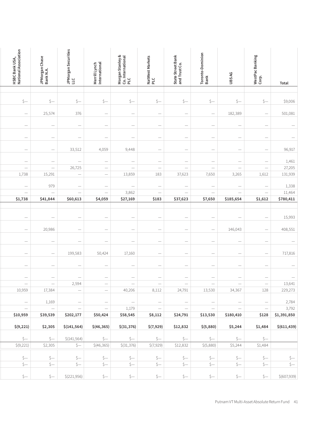|                                 | HSBC Bank USA,<br>National Association | JPMorgan Chase<br>Bank N.A.        | JPMorgan Securities<br>LLC        | Merrill Lynch<br>International                              | Morgan Stanley &<br>Co. International<br>PLC | NatWest Markets<br>PLC          | State Street Bank<br>and Trust Co. | Toronto-Dominion<br>  Bank                           | <b>UBSAG</b>                                         | WestPac Banking<br>Corp.        | Total                                                |
|---------------------------------|----------------------------------------|------------------------------------|-----------------------------------|-------------------------------------------------------------|----------------------------------------------|---------------------------------|------------------------------------|------------------------------------------------------|------------------------------------------------------|---------------------------------|------------------------------------------------------|
|                                 |                                        |                                    |                                   |                                                             |                                              |                                 |                                    |                                                      |                                                      |                                 |                                                      |
| $\zeta-$                        |                                        | $\zeta-$                           | $\zeta-$                          | $\mathsf{S}-$                                               | $\mathsf{S}-$                                | $\zeta-$                        | $\mathsf{S}-$                      | $\zeta-$                                             | $\zeta-$                                             | $\mathsf{S}-$                   | \$9,006                                              |
| $\overline{\phantom{a}}$        |                                        | 25,574                             | 376                               | $\overline{\phantom{m}}$                                    | $\hspace{0.1mm}-\hspace{0.1mm}$              | $\overline{\phantom{a}}$        | $\hspace{0.1mm}$                   | $\overline{\phantom{a}}$                             | 182,389                                              | $\hspace{0.1mm}-\hspace{0.1mm}$ | 501,081                                              |
| $\overline{\phantom{m}}$        |                                        | $\hspace{0.1mm}-\hspace{0.1mm}$    | $\overline{\phantom{m}}$          | $\overline{\phantom{m}}$                                    | $\overline{\phantom{m}}$                     | $\overline{\phantom{m}}$        | $\hspace{0.1mm}-\hspace{0.1mm}$    | $\hspace{0.1mm}-\hspace{0.1mm}$                      | $\overline{\phantom{m}}$                             | $\overline{\phantom{m}}$        |                                                      |
| $\overline{\phantom{a}}$        |                                        | $\overline{\phantom{a}}$           | $\hspace{0.1mm}-\hspace{0.1mm}$   | $\hspace{0.1mm}$                                            | $\hspace{0.1mm}-\hspace{0.1mm}$              | $\hspace{0.1mm}-\hspace{0.1mm}$ | $\hspace{0.1mm}-\hspace{0.1mm}$    | $\hspace{0.1mm}-\hspace{0.1mm}$                      | $\overline{\phantom{a}}$                             | $\hspace{0.1mm}-\hspace{0.1mm}$ |                                                      |
| $\overline{\phantom{m}}$        |                                        | $\overline{\phantom{m}}$           | 33,512                            | 4,059                                                       | 9,448                                        | $\overline{\phantom{m}}$        | $\hspace{0.1mm}-\hspace{0.1mm}$    | $\overline{\phantom{m}}$                             | $\overline{\phantom{m}}$                             | $\hspace{0.1mm}-\hspace{0.1mm}$ | 96,917                                               |
| $\hspace{0.1mm}-\hspace{0.1mm}$ |                                        | $\hspace{0.1mm}-\hspace{0.1mm}$    | $\hspace{0.1mm}-\hspace{0.1mm}$   | $\hspace{0.1mm}$                                            | $\hspace{0.1mm}-\hspace{0.1mm}$              | $\hspace{0.1mm}-\hspace{0.1mm}$ | $\hspace{0.1mm}-\hspace{0.1mm}$    | $\hspace{0.1mm}-\hspace{0.1mm}$                      | $\hspace{0.1mm}-\hspace{0.1mm}$                      | $\hspace{0.1mm}-\hspace{0.1mm}$ | 1,461                                                |
| $\equiv$                        |                                        | $\hspace{0.1mm}$                   | 26,725                            | $\overline{\phantom{m}}$                                    | $\hspace{0.1mm}$                             | $\hspace{0.1mm}-\hspace{0.1mm}$ | $\hspace{0.1mm}-\hspace{0.1mm}$    | $\hspace{0.1mm}-\hspace{0.1mm}$                      | $\hspace{0.1cm}$                                     | $\hspace{0.1mm}$                | 27,205                                               |
| 1,738                           |                                        | 15,291                             | $\hspace{0.1mm}$                  | $\overline{\phantom{m}}$                                    | 13,859                                       | 183                             | 37,623                             | 7,650                                                | 3,265                                                | 1,612                           | 131,939                                              |
| $\hspace{0.1mm}-\hspace{0.1mm}$ |                                        | 979                                | $\overline{\phantom{m}}$          | $\overline{\phantom{m}}$                                    | $\hspace{0.1mm}$                             | $\hspace{0.1mm}-\hspace{0.1mm}$ | $\hspace{0.1mm}-\hspace{0.1mm}$    | $\hspace{0.1mm}-\hspace{0.1mm}$                      | $\overline{\phantom{m}}$                             | $\overline{\phantom{m}}$        | 1,338                                                |
| $\overline{\phantom{m}}$        |                                        | $\overline{\phantom{m}}$           | $\overline{\phantom{m}}$          | $\overline{\phantom{m}}$                                    | 3,862                                        | $\overline{\phantom{m}}$        | $\overline{\phantom{a}}$           | $\overline{\phantom{m}}$                             | $\overline{\phantom{m}}$                             | $\overline{\phantom{m}}$        | 11,464<br>\$780,411                                  |
| \$1,738                         |                                        | \$41,844                           | \$60,613                          | \$4,059                                                     | \$27,169                                     | \$183                           | \$37,623                           | \$7,650                                              | \$185,654                                            | \$1,612                         |                                                      |
|                                 |                                        |                                    |                                   |                                                             |                                              |                                 |                                    |                                                      |                                                      |                                 |                                                      |
| $\overline{\phantom{a}}$        |                                        | $\overline{\phantom{a}}$           | $\hspace{0.1mm}-\hspace{0.1mm}$   | $\overline{\phantom{m}}$                                    | $\hspace{0.1mm}-\hspace{0.1mm}$              | $\hspace{0.1mm}-\hspace{0.1mm}$ | $\hspace{0.1mm}-\hspace{0.1mm}$    | $\hspace{0.1mm}-\hspace{0.1mm}$                      | $\overline{\phantom{m}}$                             | $\hspace{0.1mm}$                | 15,993                                               |
| $\equiv$                        |                                        | 20,986                             | $\overline{\phantom{m}}$          | $\hspace{0.1mm}-\hspace{0.1mm}$                             | $\overline{\phantom{m}}$                     | $\hspace{0.1mm}-\hspace{0.1mm}$ | $\hspace{0.1mm}-\hspace{0.1mm}$    | $\overline{\phantom{m}}$                             | 146,043                                              | $\equiv$                        | 408,551                                              |
| $\hspace{0.1mm}-\hspace{0.1mm}$ |                                        | $\hspace{0.1mm}-\hspace{0.1mm}$    | $\overline{\phantom{a}}$          | $\overline{\phantom{m}}$                                    | $\hspace{0.1mm}-\hspace{0.1mm}$              | $\hspace{0.1mm}-\hspace{0.1mm}$ | $\hspace{0.1mm}-\hspace{0.1mm}$    | $\hspace{0.1mm}-\hspace{0.1mm}$                      | $\hspace{0.1mm}-\hspace{0.1mm}$                      | $\overline{\phantom{m}}$        |                                                      |
|                                 |                                        |                                    |                                   |                                                             |                                              |                                 |                                    |                                                      |                                                      |                                 |                                                      |
| $\overline{\phantom{m}}$        |                                        | $\overline{\phantom{m}}$           | 199,583                           | 50,424                                                      | 17,160                                       | $\hspace{0.1mm}-\hspace{0.1mm}$ | $\hspace{0.1mm}-\hspace{0.1mm}$    | $\hspace{0.1mm}-\hspace{0.1mm}$                      | $\overline{\phantom{m}}$                             | $\overline{\phantom{m}}$        | 717,816                                              |
| $\overline{\phantom{a}}$        |                                        | $\overline{\phantom{a}}$           | $\hspace{0.1mm}-\hspace{0.1mm}$   | $\overline{\phantom{m}}$                                    | $\hspace{0.1mm}-\hspace{0.1mm}$              | $\hspace{0.1mm}-\hspace{0.1mm}$ | $\hspace{0.1mm}-\hspace{0.1mm}$    | $\hspace{0.1mm}-\hspace{0.1mm}$                      | $\hspace{0.1mm}-\hspace{0.1mm}$                      | $\hspace{0.1mm}-\hspace{0.1mm}$ | $\overline{\phantom{a}}$                             |
|                                 |                                        |                                    |                                   |                                                             |                                              |                                 |                                    |                                                      |                                                      |                                 |                                                      |
|                                 |                                        |                                    |                                   | $\hspace{0.1mm}-\hspace{0.1mm}$                             | $\overline{\phantom{m}}$                     | $\overline{\phantom{m}}$        | $\sim$<br>$\sim$                   | $\overline{\phantom{m}}$<br>$\overline{\phantom{0}}$ | $\overline{\phantom{m}}$<br>$\overline{\phantom{0}}$ |                                 |                                                      |
| $\overline{\phantom{m}}$        |                                        | $\overline{\phantom{m}}$<br>17,384 | 2,594<br>$\overline{\phantom{a}}$ | $\overline{\phantom{m}}$<br>$\hspace{0.1mm}-\hspace{0.1mm}$ | 40,206                                       | 8,112                           |                                    | 13,530                                               |                                                      | $\overline{\phantom{m}}$<br>128 | 13,641                                               |
| 10,959                          |                                        |                                    |                                   |                                                             |                                              |                                 | 24,791                             |                                                      | 34,367                                               |                                 | 229,273                                              |
| $\hspace{0.1cm} -$              |                                        | 1,169                              | $\sim$                            | $\sim$                                                      | $\sim$ $-$                                   | $\sim$                          | $\sim$                             | $\hspace{0.1mm}-\hspace{0.1mm}$                      | $\sim$                                               | $\sim$                          | 2,784                                                |
| $\sim$                          |                                        | $\sim$                             | $\sim$                            | $\sim$                                                      | 1,179                                        | $\sim$                          | $\sim$                             | $\sim$                                               | $\sim$                                               | $\sim$                          |                                                      |
| \$10,959                        |                                        | \$39,539                           | \$202,177                         | \$50,424                                                    | \$58,545                                     | \$8,112                         | \$24,791                           | \$13,530                                             | \$180,410                                            |                                 |                                                      |
| \$(9,221)                       |                                        | \$2,305                            | \$(141, 564)                      | \$(46, 365)                                                 | \$(31, 376)                                  | \$(7,929)                       | \$12,832                           | \$(5,880)                                            | \$5,244                                              | \$1,484                         |                                                      |
| $S-$                            |                                        | $S-$                               | \$(141, 564)                      | $S-$                                                        | $\zeta-$                                     | $S-$                            | $S-$                               | $\zeta-$                                             | $S-$                                                 | $S-$                            |                                                      |
| $\zeta(9,221)$                  |                                        | \$2,305                            | $S-$                              | $\$(46,365)$                                                | \$(31, 376)                                  | \$(7,929)                       | \$12,832                           | \$(5,880)                                            | \$5,244                                              | \$1,484                         |                                                      |
| $\zeta-$                        |                                        | $\zeta-$                           | $S-$                              | $S-$                                                        | $\zeta-$                                     | $S-$                            | $S-$                               | $\zeta-$                                             | $S-$                                                 | $S-$                            | 3,792<br>$$128$ \$1,391,850<br>\$ (611, 439)<br>$s-$ |
| $S-$                            |                                        | $S-$                               | $\zeta-$                          | $\zeta-$                                                    | $\zeta-$                                     | $S-$                            | $S-$                               | $\zeta-$                                             | $S-$                                                 | $\zeta-$                        | $\zeta-$                                             |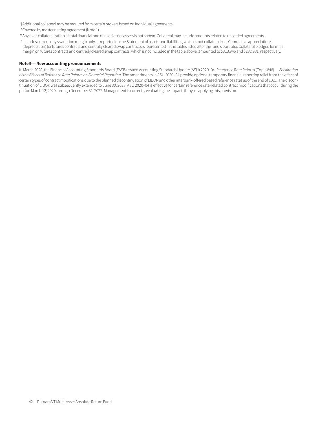†Additional collateral may be required from certain brokers based on individual agreements.

# Covered by master netting agreement (Note 1).

##Any over-collateralization of total financial and derivative net assets is not shown. Collateral may include amounts related to unsettled agreements.

§ Includes current day's variation margin only as reported on the Statement of assets and liabilities, which is not collateralized. Cumulative appreciation/ (depreciation) for futures contracts and centrally cleared swap contracts is represented in the tables listed after the fund's portfolio. Collateral pledged for initial margin on futures contracts and centrally cleared swap contracts, which is not included in the table above, amounted to \$313,946 and \$232,981, respectively.

#### **Note 9 — New accounting pronouncements**

In March 2020, the Financial Accounting Standards Board (FASB) issued Accounting Standards Update (ASU) 2020–04, Reference Rate Reform (Topic 848) — *Facilitation of the Effects of Reference Rate Reform on Financial Reporting*. The amendments in ASU 2020–04 provide optional temporary financial reporting relief from the effect of certain types of contract modifications due to the planned discontinuation of LIBOR and other interbank-offered based reference rates as of the end of 2021. The discontinuation of LIBOR was subsequently extended to June 30, 2023. ASU 2020–04 is effective for certain reference rate-related contract modifications that occur during the period March 12, 2020 through December 31, 2022. Management is currently evaluating the impact, if any, of applying this provision.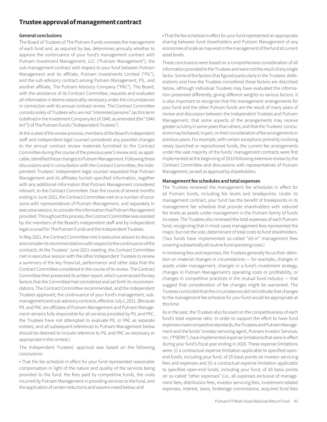# **Trustee approval of management contract**

#### **General conclusions**

The Board of Trustees of The Putnam Funds oversees the management of each fund and, as required by law, determines annually whether to approve the continuance of your fund's management contract with Putnam Investment Management, LLC ("Putnam Management"), the sub-management contract with respect to your fund between Putnam Management and its affiliate, Putnam Investments Limited ("PIL"), and the sub-advisory contract among Putnam Management, PIL, and another affiliate, The Putnam Advisory Company ("PAC"). The Board, with the assistance of its Contract Committee, requests and evaluates all information it deems reasonably necessary under the circumstances in connection with its annual contract review. The Contract Committee consists solely of Trustees who are not "interested persons" (as this term is defined in the Investment Company Act of 1940, as amended (the "1940 Act")) of The Putnam Funds ("Independent Trustees").

At the outset of the review process, members of the Board's independent staff and independent legal counsel considered any possible changes to the annual contract review materials furnished to the Contract Committee during the course of the previous year's review and, as applicable, identified those changes to Putnam Management. Following these discussions and in consultation with the Contract Committee, the Independent Trustees' independent legal counsel requested that Putnam Management and its affiliates furnish specified information, together with any additional information that Putnam Management considered relevant, to the Contract Committee. Over the course of several months ending in June 2021, the Contract Committee met on a number of occasions with representatives of Putnam Management, and separately in executive session, to consider the information that Putnam Management provided. Throughout this process, the Contract Committee was assisted by the members of the Board's independent staff and by independent legal counsel for The Putnam Funds and the Independent Trustees.

In May 2021, the Contract Committee met in executive session to discuss and consider its recommendations with respect to the continuance of the contracts. At the Trustees' June 2021 meeting, the Contract Committee met in executive session with the other Independent Trustees to review a summary of the key financial, performance and other data that the Contract Committee considered in the course of its review. The Contract Committee then presented its written report, which summarized the key factors that the Committee had considered and set forth its recommendations. The Contract Committee recommended, and the Independent Trustees approved, the continuance of your fund's management, submanagement and sub-advisory contracts, effective July 1, 2021. (Because PIL and PAC are affiliates of Putnam Management and Putnam Management remains fully responsible for all services provided by PIL and PAC, the Trustees have not attempted to evaluate PIL or PAC as separate entities, and all subsequent references to Putnam Management below should be deemed to include reference to PIL and PAC as necessary or appropriate in the context.)

The Independent Trustees' approval was based on the following conclusions:

• That the fee schedule in effect for your fund represented reasonable compensation in light of the nature and quality of the services being provided to the fund, the fees paid by competitive funds, the costs incurred by Putnam Management in providing services to the fund, and the application of certain reductions and waivers noted below; and

• That the fee schedule in effect for your fund represented an appropriate sharing between fund shareholders and Putnam Management of any economies of scale as may exist in the management of the fund at current asset levels.

These conclusions were based on a comprehensive consideration of all information provided to the Trustees and were not the result of any single factor. Some of the factors that figured particularly in the Trustees' deliberations and how the Trustees considered these factors are described below, although individual Trustees may have evaluated the information presented differently, giving different weights to various factors. It is also important to recognize that the management arrangements for your fund and the other Putnam funds are the result of many years of review and discussion between the Independent Trustees and Putnam Management, that some aspects of the arrangements may receive greater scrutiny in some years than others, and that the Trustees' conclusions may be based, in part, on their consideration of fee arrangements in previous years. For example, with certain exceptions primarily involving newly launched or repositioned funds, the current fee arrangements under the vast majority of the funds' management contracts were first implemented at the beginning of 2010 following extensive review by the Contract Committee and discussions with representatives of Putnam Management, as well as approval by shareholders.

#### **Management fee schedules and total expenses**

The Trustees reviewed the management fee schedules in effect for all Putnam funds, including fee levels and breakpoints. Under its management contract, your fund has the benefit of breakpoints in its management fee schedule that provide shareholders with reduced fee levels as assets under management in the Putnam family of funds increase. The Trustees also reviewed the total expenses of each Putnam fund, recognizing that in most cases management fees represented the major, but not the sole, determinant of total costs to fund shareholders. (Two funds have implemented so-called "all-in" management fees covering substantially all routine fund operating costs.)

In reviewing fees and expenses, the Trustees generally focus their attention on material changes in circumstances — for example, changes in assets under management, changes in a fund's investment strategy, changes in Putnam Management's operating costs or profitability, or changes in competitive practices in the mutual fund industry — that suggest that consideration of fee changes might be warranted. The Trustees concluded that the circumstances did not indicate that changes to the management fee schedule for your fund would be appropriate at this time.

As in the past, the Trustees also focused on the competitiveness of each fund's total expense ratio. In order to support the effort to have fund expenses meet competitive standards, the Trustees and Putnam Management and the funds' investor servicing agent, Putnam Investor Services, Inc. ("PSERV"), have implemented expense limitations that were in effect during your fund's fiscal year ending in 2020. These expense limitations were: (i) a contractual expense limitation applicable to specified openend funds, including your fund, of 25 basis points on investor servicing fees and expenses and (ii) a contractual expense limitation applicable to specified open-end funds, including your fund, of 20 basis points on so-called "other expenses" (i.e., all expenses exclusive of management fees, distribution fees, investor servicing fees, investment-related expenses, interest, taxes, brokerage commissions, acquired fund fees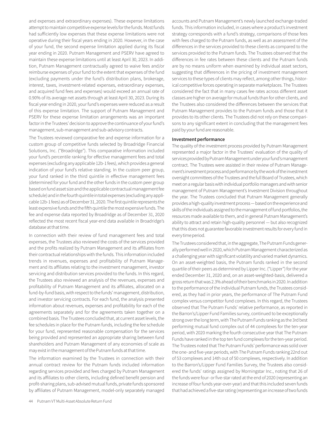and expenses and extraordinary expenses). These expense limitations attempt to maintain competitive expense levels for the funds. Most funds had sufficiently low expenses that these expense limitations were not operative during their fiscal years ending in 2020. However, in the case of your fund, the second expense limitation applied during its fiscal year ending in 2020. Putnam Management and PSERV have agreed to maintain these expense limitations until at least April 30, 2023. In addition, Putnam Management contractually agreed to waive fees and/or reimburse expenses of your fund to the extent that expenses of the fund (excluding payments under the fund's distribution plans, brokerage, interest, taxes, investment-related expenses, extraordinary expenses, and acquired fund fees and expenses) would exceed an annual rate of 0.90% of its average net assets through at least April 30, 2023. During its fiscal year ending in 2020, your fund's expenses were reduced as a result of this expense limitation. The support of Putnam Management and PSERV for these expense limitation arrangements was an important factor in the Trustees' decision to approve the continuance of your fund's management, sub-management and sub-advisory contracts.

The Trustees reviewed comparative fee and expense information for a custom group of competitive funds selected by Broadridge Financial Solutions, Inc. ("Broadridge"). This comparative information included your fund's percentile ranking for effective management fees and total expenses (excluding any applicable 12b-1 fees), which provides a general indication of your fund's relative standing. In the custom peer group, your fund ranked in the third quintile in effective management fees (determined for your fund and the other funds in the custom peer group based on fund asset size and the applicable contractual management fee schedule) and in the fourth quintile in total expenses (excluding any applicable 12b-1 fees) as of December 31, 2020. The first quintile represents the least expensive funds and the fifth quintile the most expensive funds. The fee and expense data reported by Broadridge as of December 31, 2020 reflected the most recent fiscal year-end data available in Broadridge's database at that time.

In connection with their review of fund management fees and total expenses, the Trustees also reviewed the costs of the services provided and the profits realized by Putnam Management and its affiliates from their contractual relationships with the funds. This information included trends in revenues, expenses and profitability of Putnam Management and its affiliates relating to the investment management, investor servicing and distribution services provided to the funds. In this regard, the Trustees also reviewed an analysis of the revenues, expenses and profitability of Putnam Management and its affiliates, allocated on a fund-by-fund basis, with respect to the funds' management, distribution, and investor servicing contracts. For each fund, the analysis presented information about revenues, expenses and profitability for each of the agreements separately and for the agreements taken together on a combined basis. The Trustees concluded that, at current asset levels, the fee schedules in place for the Putnam funds, including the fee schedule for your fund, represented reasonable compensation for the services being provided and represented an appropriate sharing between fund shareholders and Putnam Management of any economies of scale as may exist in the management of the Putnam funds at that time.

The information examined by the Trustees in connection with their annual contract review for the Putnam funds included information regarding services provided and fees charged by Putnam Management and its affiliates to other clients, including defined benefit pension and profit-sharing plans, sub-advised mutual funds, private funds sponsored by affiliates of Putnam Management, model-only separately managed

accounts and Putnam Management's newly launched exchange-traded funds. This information included, in cases where a product's investment strategy corresponds with a fund's strategy, comparisons of those fees with fees charged to the Putnam funds, as well as an assessment of the differences in the services provided to these clients as compared to the services provided to the Putnam funds. The Trustees observed that the differences in fee rates between these clients and the Putnam funds are by no means uniform when examined by individual asset sectors, suggesting that differences in the pricing of investment management services to these types of clients may reflect, among other things, historical competitive forces operating in separate marketplaces. The Trustees considered the fact that in many cases fee rates across different asset classes are higher on average for mutual funds than for other clients, and the Trustees also considered the differences between the services that Putnam Management provides to the Putnam funds and those that it provides to its other clients. The Trustees did not rely on these comparisons to any significant extent in concluding that the management fees paid by your fund are reasonable.

#### **Investment performance**

The quality of the investment process provided by Putnam Management represented a major factor in the Trustees' evaluation of the quality of services provided by Putnam Management under your fund's management contract. The Trustees were assisted in their review of Putnam Management's investment process and performance by the work of the investment oversight committees of the Trustees and the full Board of Trustees, which meet on a regular basis with individual portfolio managers and with senior management of Putnam Management's Investment Division throughout the year. The Trustees concluded that Putnam Management generally provides a high-quality investment process — based on the experience and skills of the individuals assigned to the management of fund portfolios, the resources made available to them, and in general Putnam Management's ability to attract and retain high-quality personnel — but also recognized that this does not guarantee favorable investment results for every fund in every time period.

The Trustees considered that, in the aggregate, The Putnam Funds generally performed well in 2020, which Putnam Management characterized as a challenging year with significant volatility and varied market dynamics. On an asset-weighted basis, the Putnam funds ranked in the second quartile of their peers as determined by Lipper Inc. ("Lipper") for the year ended December 31, 2020 and, on an asset-weighted-basis, delivered a gross return that was 2.3% ahead of their benchmarks in 2020. In addition to the performance of the individual Putnam funds, the Trustees considered, as they had in prior years, the performance of The Putnam Fund complex versus competitor fund complexes. In this regard, the Trustees observed that The Putnam Funds' relative performance, as reported in the Barron's/Lipper Fund Families survey, continued to be exceptionally strong over the long term, with The Putnam Funds ranking as the 3rd best performing mutual fund complex out of 44 complexes for the ten-year period, with 2020 marking the fourth consecutive year that The Putnam Funds have ranked in the top ten fund complexes for the ten-year period. The Trustees noted that The Putnam Funds' performance was solid over the one- and five-year periods, with The Putnam Funds ranking 22nd out of 53 complexes and 14th out of 50 complexes, respectively. In addition to the Barron's/Lipper Fund Families Survey, the Trustees also considered the funds' ratings assigned by Morningstar Inc., noting that 26 of the funds were four- or five-star rated at the end of 2020 (representing an increase of four funds year-over-year) and that this included seven funds that had achieved a five-star rating (representing an increase of two funds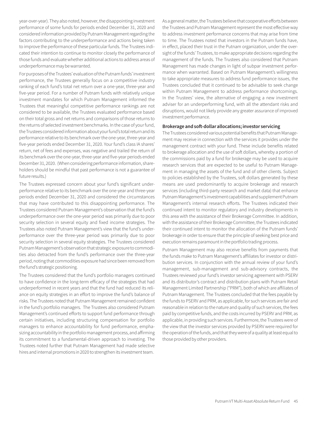year-over-year). They also noted, however, the disappointing investment performance of some funds for periods ended December 31, 2020 and considered information provided by Putnam Management regarding the factors contributing to the underperformance and actions being taken to improve the performance of these particular funds. The Trustees indicated their intention to continue to monitor closely the performance of those funds and evaluate whether additional actions to address areas of underperformance may be warranted.

For purposes of the Trustees' evaluation of the Putnam funds' investment performance, the Trustees generally focus on a competitive industry ranking of each fund's total net return over a one-year, three-year and five-year period. For a number of Putnam funds with relatively unique investment mandates for which Putnam Management informed the Trustees that meaningful competitive performance rankings are not considered to be available, the Trustees evaluated performance based on their total gross and net returns and comparisons of those returns to the returns of selected investment benchmarks. In the case of your fund, the Trustees considered information about your fund's total return and its performance relative to its benchmark over the one-year, three-year and five-year periods ended December 31, 2020. Your fund's class IA shares' return, net of fees and expenses, was negative and trailed the return of its benchmark over the one-year, three-year and five-year periods ended December 31, 2020. (When considering performance information, shareholders should be mindful that past performance is not a guarantee of future results.)

The Trustees expressed concern about your fund's significant underperformance relative to its benchmark over the one-year and three-year periods ended December 31, 2020 and considered the circumstances that may have contributed to this disappointing performance. The Trustees considered Putnam Management's observation that the fund's underperformance over the one-year period was primarily due to poor security selection in several equity and fixed income strategies. The Trustees also noted Putnam Management's view that the fund's underperformance over the three-year period was primarily due to poor security selection in several equity strategies. The Trustees considered Putnam Management's observation that strategic exposure to commodities also detracted from the fund's performance over the three-year period, noting that commodities exposure had since been removed from the fund's strategic positioning.

The Trustees considered that the fund's portfolio managers continued to have confidence in the long-term efficacy of the strategies that had underperformed in recent years and that the fund had reduced its reliance on equity strategies in an effort to improve the fund's balance of risks. The Trustees noted that Putnam Management remained confident in the fund's portfolio managers. The Trustees also considered Putnam Management's continued efforts to support fund performance through certain initiatives, including structuring compensation for portfolio managers to enhance accountability for fund performance, emphasizing accountability in the portfolio management process, and affirming its commitment to a fundamental-driven approach to investing. The Trustees noted further that Putnam Management had made selective hires and internal promotions in 2020 to strengthen its investment team.

As a general matter, the Trustees believe that cooperative efforts between the Trustees and Putnam Management represent the most effective way to address investment performance concerns that may arise from time to time. The Trustees noted that investors in the Putnam funds have, in effect, placed their trust in the Putnam organization, under the oversight of the funds' Trustees, to make appropriate decisions regarding the management of the funds. The Trustees also considered that Putnam Management has made changes in light of subpar investment performance when warranted. Based on Putnam Management's willingness to take appropriate measures to address fund performance issues, the Trustees concluded that it continued to be advisable to seek change within Putnam Management to address performance shortcomings. In the Trustees' view, the alternative of engaging a new investment adviser for an underperforming fund, with all the attendant risks and disruptions, would not likely provide any greater assurance of improved investment performance.

#### **Brokerage and soft-dollar allocations; investor servicing**

The Trustees considered various potential benefits that Putnam Management may receive in connection with the services it provides under the management contract with your fund. These include benefits related to brokerage allocation and the use of soft dollars, whereby a portion of the commissions paid by a fund for brokerage may be used to acquire research services that are expected to be useful to Putnam Management in managing the assets of the fund and of other clients. Subject to policies established by the Trustees, soft dollars generated by these means are used predominantly to acquire brokerage and research services (including third-party research and market data) that enhance Putnam Management's investment capabilities and supplement Putnam Management's internal research efforts. The Trustees indicated their continued intent to monitor regulatory and industry developments in this area with the assistance of their Brokerage Committee. In addition, with the assistance of their Brokerage Committee, the Trustees indicated their continued intent to monitor the allocation of the Putnam funds' brokerage in order to ensure that the principle of seeking best price and execution remains paramount in the portfolio trading process.

Putnam Management may also receive benefits from payments that the funds make to Putnam Management's affiliates for investor or distribution services. In conjunction with the annual review of your fund's management, sub-management and sub-advisory contracts, the Trustees reviewed your fund's investor servicing agreement with PSERV and its distributor's contract and distribution plans with Putnam Retail Management Limited Partnership ("PRM"), both of which are affiliates of Putnam Management. The Trustees concluded that the fees payable by the funds to PSERV and PRM, as applicable, for such services are fair and reasonable in relation to the nature and quality of such services, the fees paid by competitive funds, and the costs incurred by PSERV and PRM, as applicable, in providing such services. Furthermore, the Trustees were of the view that the investor services provided by PSERV were required for the operation of the funds, and that they were of a quality at least equal to those provided by other providers.